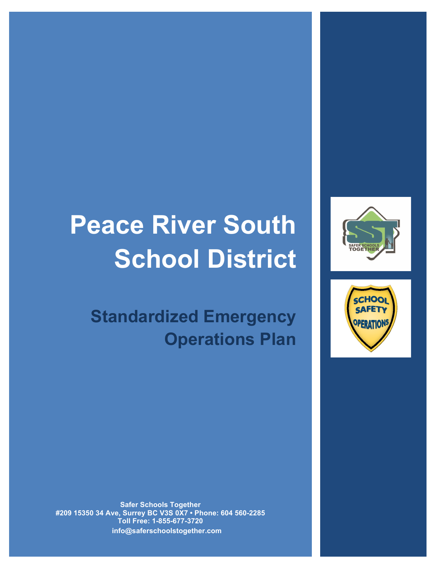# **Peace River South School District**

**Standardized Emergency Operations Plan**





**Safer Schools Together #209 15350 34 Ave, Surrey BC V3S 0X7 • Phone: 604 560-2285 Toll Free: 1-855-677-3720 info@saferschoolstogether.com**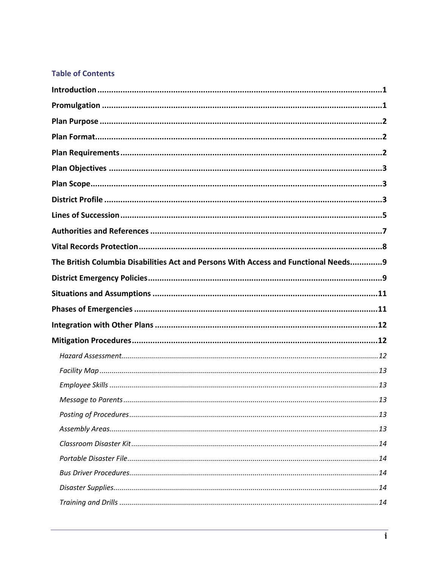# **Table of Contents**

| The British Columbia Disabilities Act and Persons With Access and Functional Needs9 |
|-------------------------------------------------------------------------------------|
|                                                                                     |
|                                                                                     |
|                                                                                     |
|                                                                                     |
|                                                                                     |
|                                                                                     |
|                                                                                     |
|                                                                                     |
|                                                                                     |
|                                                                                     |
|                                                                                     |
|                                                                                     |
|                                                                                     |
|                                                                                     |
|                                                                                     |
|                                                                                     |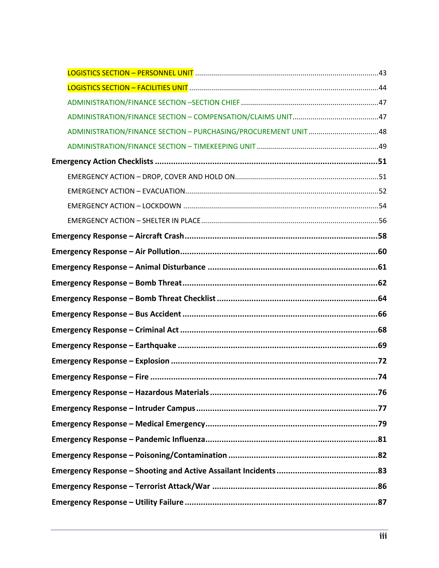| ADMINISTRATION/FINANCE SECTION - PURCHASING/PROCUREMENT UNIT 48 |  |
|-----------------------------------------------------------------|--|
|                                                                 |  |
|                                                                 |  |
|                                                                 |  |
|                                                                 |  |
|                                                                 |  |
|                                                                 |  |
|                                                                 |  |
|                                                                 |  |
|                                                                 |  |
|                                                                 |  |
|                                                                 |  |
|                                                                 |  |
|                                                                 |  |
|                                                                 |  |
|                                                                 |  |
|                                                                 |  |
|                                                                 |  |
|                                                                 |  |
|                                                                 |  |
|                                                                 |  |
|                                                                 |  |
|                                                                 |  |
|                                                                 |  |
|                                                                 |  |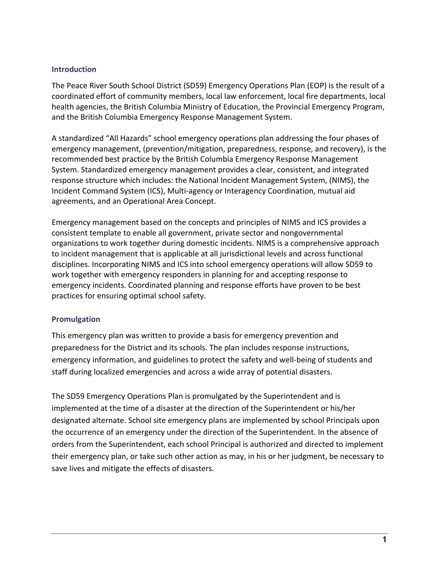### **Introduction**

The Peace River South School District (SD59) Emergency Operations Plan (EOP) is the result of a coordinated effort of community members, local law enforcement, local fire departments, local health agencies, the British Columbia Ministry of Education, the Provincial Emergency Program, and the British Columbia Emergency Response Management System.

A standardized "All Hazards" school emergency operations plan addressing the four phases of emergency management, (prevention/mitigation, preparedness, response, and recovery), is the recommended best practice by the British Columbia Emergency Response Management System. Standardized emergency management provides a clear, consistent, and integrated response structure which includes: the National Incident Management System, (NIMS), the Incident Command System (ICS), Multi-agency or Interagency Coordination, mutual aid agreements, and an Operational Area Concept.

Emergency management based on the concepts and principles of NIMS and ICS provides a consistent template to enable all government, private sector and nongovernmental organizations to work together during domestic incidents. NIMS is a comprehensive approach to incident management that is applicable at all jurisdictional levels and across functional disciplines. Incorporating NIMS and ICS into school emergency operations will allow SD59 to work together with emergency responders in planning for and accepting response to emergency incidents. Coordinated planning and response efforts have proven to be best practices for ensuring optimal school safety.

### **Promulgation**

This emergency plan was written to provide a basis for emergency prevention and preparedness for the District and its schools. The plan includes response instructions, emergency information, and guidelines to protect the safety and well-being of students and staff during localized emergencies and across a wide array of potential disasters.

The SD59 Emergency Operations Plan is promulgated by the Superintendent and is implemented at the time of a disaster at the direction of the Superintendent or his/her designated alternate. School site emergency plans are implemented by school Principals upon the occurrence of an emergency under the direction of the Superintendent. In the absence of orders from the Superintendent, each school Principal is authorized and directed to implement their emergency plan, or take such other action as may, in his or her judgment, be necessary to save lives and mitigate the effects of disasters.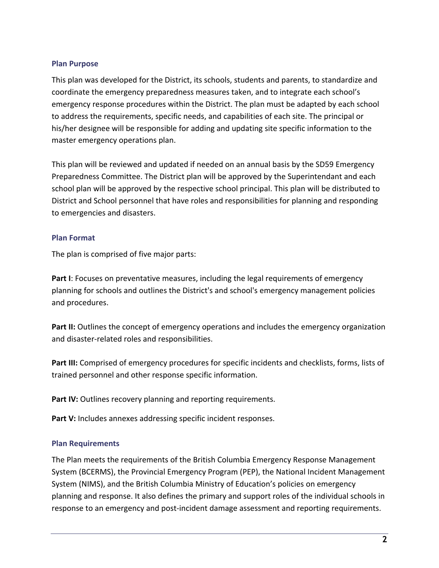### **Plan Purpose**

This plan was developed for the District, its schools, students and parents, to standardize and coordinate the emergency preparedness measures taken, and to integrate each school's emergency response procedures within the District. The plan must be adapted by each school to address the requirements, specific needs, and capabilities of each site. The principal or his/her designee will be responsible for adding and updating site specific information to the master emergency operations plan.

This plan will be reviewed and updated if needed on an annual basis by the SD59 Emergency Preparedness Committee. The District plan will be approved by the Superintendant and each school plan will be approved by the respective school principal. This plan will be distributed to District and School personnel that have roles and responsibilities for planning and responding to emergencies and disasters.

### **Plan Format**

The plan is comprised of five major parts:

**Part I**: Focuses on preventative measures, including the legal requirements of emergency planning for schools and outlines the District's and school's emergency management policies and procedures.

Part II: Outlines the concept of emergency operations and includes the emergency organization and disaster-related roles and responsibilities.

**Part III:** Comprised of emergency procedures for specific incidents and checklists, forms, lists of trained personnel and other response specific information.

**Part IV:** Outlines recovery planning and reporting requirements.

Part V: Includes annexes addressing specific incident responses.

### **Plan Requirements**

The Plan meets the requirements of the British Columbia Emergency Response Management System (BCERMS), the Provincial Emergency Program (PEP), the National Incident Management System (NIMS), and the British Columbia Ministry of Education's policies on emergency planning and response. It also defines the primary and support roles of the individual schools in response to an emergency and post-incident damage assessment and reporting requirements.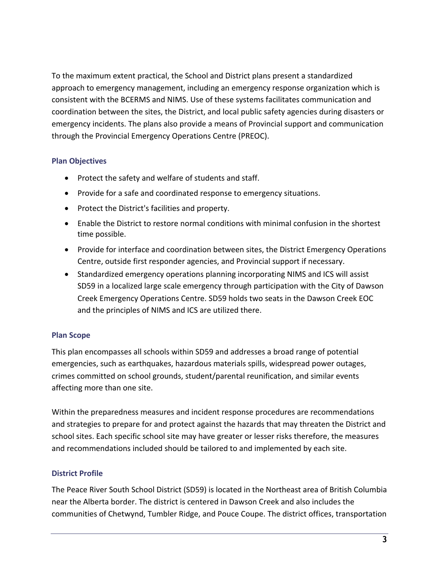To the maximum extent practical, the School and District plans present a standardized approach to emergency management, including an emergency response organization which is consistent with the BCERMS and NIMS. Use of these systems facilitates communication and coordination between the sites, the District, and local public safety agencies during disasters or emergency incidents. The plans also provide a means of Provincial support and communication through the Provincial Emergency Operations Centre (PREOC).

### **Plan Objectives**

- Protect the safety and welfare of students and staff.
- Provide for a safe and coordinated response to emergency situations.
- Protect the District's facilities and property.
- Enable the District to restore normal conditions with minimal confusion in the shortest time possible.
- Provide for interface and coordination between sites, the District Emergency Operations Centre, outside first responder agencies, and Provincial support if necessary.
- Standardized emergency operations planning incorporating NIMS and ICS will assist SD59 in a localized large scale emergency through participation with the City of Dawson Creek Emergency Operations Centre. SD59 holds two seats in the Dawson Creek EOC and the principles of NIMS and ICS are utilized there.

### **Plan Scope**

This plan encompasses all schools within SD59 and addresses a broad range of potential emergencies, such as earthquakes, hazardous materials spills, widespread power outages, crimes committed on school grounds, student/parental reunification, and similar events affecting more than one site.

Within the preparedness measures and incident response procedures are recommendations and strategies to prepare for and protect against the hazards that may threaten the District and school sites. Each specific school site may have greater or lesser risks therefore, the measures and recommendations included should be tailored to and implemented by each site.

### **District Profile**

The Peace River South School District (SD59) is located in the Northeast area of British Columbia near the Alberta border. The district is centered in Dawson Creek and also includes the communities of Chetwynd, Tumbler Ridge, and Pouce Coupe. The district offices, transportation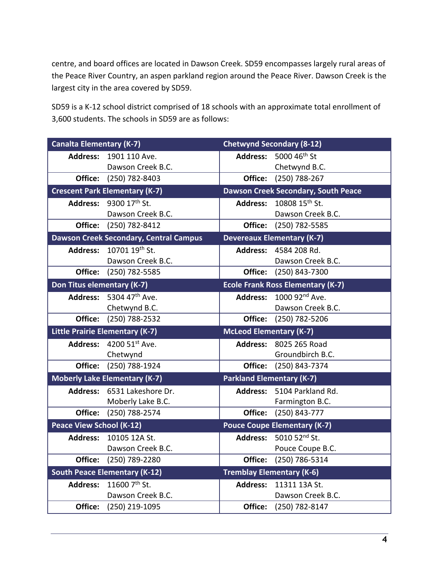centre, and board offices are located in Dawson Creek. SD59 encompasses largely rural areas of the Peace River Country, an aspen parkland region around the Peace River. Dawson Creek is the largest city in the area covered by SD59.

SD59 is a K-12 school district comprised of 18 schools with an approximate total enrollment of 3,600 students. The schools in SD59 are as follows:

| <b>Canalta Elementary (K-7)</b> |                                               |                                  | <b>Chetwynd Secondary (8-12)</b>           |
|---------------------------------|-----------------------------------------------|----------------------------------|--------------------------------------------|
|                                 | <b>Address: 1901 110 Ave.</b>                 |                                  | Address: 5000 46 <sup>th</sup> St          |
|                                 | Dawson Creek B.C.                             |                                  | Chetwynd B.C.                              |
| Office:                         | (250) 782-8403                                | Office:                          | (250) 788-267                              |
|                                 | <b>Crescent Park Elementary (K-7)</b>         |                                  | <b>Dawson Creek Secondary, South Peace</b> |
|                                 | Address: 9300 17th St.                        |                                  | Address: 10808 15 <sup>th</sup> St.        |
|                                 | Dawson Creek B.C.                             |                                  | Dawson Creek B.C.                          |
|                                 | Office: (250) 782-8412                        | Office:                          | (250) 782-5585                             |
|                                 | <b>Dawson Creek Secondary, Central Campus</b> |                                  | <b>Devereaux Elementary (K-7)</b>          |
|                                 | Address: 10701 19th St.                       |                                  | Address: 4584 208 Rd.                      |
|                                 | Dawson Creek B.C.                             |                                  | Dawson Creek B.C.                          |
|                                 | Office: (250) 782-5585                        | Office:                          | (250) 843-7300                             |
| Don Titus elementary (K-7)      |                                               |                                  | <b>Ecole Frank Ross Elementary (K-7)</b>   |
|                                 | Address: $5304.47^{\text{th}}$ Ave.           |                                  | Address: 1000 92 <sup>nd</sup> Ave.        |
|                                 | Chetwynd B.C.                                 |                                  | Dawson Creek B.C.                          |
|                                 | Office: (250) 788-2532                        |                                  | Office: (250) 782-5206                     |
|                                 | Little Prairie Elementary (K-7)               | <b>McLeod Elementary (K-7)</b>   |                                            |
| <b>Address:</b>                 | 4200 51st Ave.                                |                                  | <b>Address: 8025 265 Road</b>              |
|                                 | Chetwynd                                      |                                  | Groundbirch B.C.                           |
| Office:                         | (250) 788-1924                                | Office:                          | (250) 843-7374                             |
|                                 | <b>Moberly Lake Elementary (K-7)</b>          | <b>Parkland Elementary (K-7)</b> |                                            |
|                                 | Address: 6531 Lakeshore Dr.                   | <b>Address:</b>                  | 5104 Parkland Rd.                          |
|                                 | Moberly Lake B.C.                             |                                  | Farmington B.C.                            |
| Office:                         | (250) 788-2574                                | Office:                          | (250) 843-777                              |
| <b>Peace View School (K-12)</b> |                                               |                                  | <b>Pouce Coupe Elementary (K-7)</b>        |
| <b>Address:</b>                 | 10105 12A St.                                 |                                  | Address: 5010 52nd St.                     |
|                                 | Dawson Creek B.C.                             |                                  | Pouce Coupe B.C.                           |
| Office:                         | (250) 789-2280                                | Office:                          | $(250)$ 786-5314                           |
|                                 | <b>South Peace Elementary (K-12)</b>          |                                  | <b>Tremblay Elementary (K-6)</b>           |
| <b>Address:</b>                 | 11600 7th St.                                 | <b>Address:</b>                  | 11311 13A St.                              |
|                                 | Dawson Creek B.C.                             |                                  | Dawson Creek B.C.                          |
| Office:                         | (250) 219-1095                                | Office:                          | (250) 782-8147                             |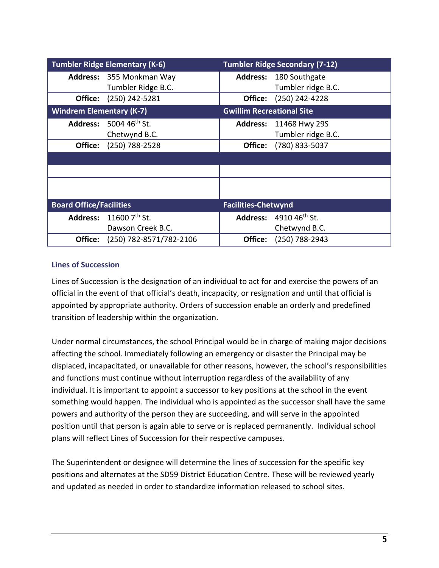|                                 | <b>Tumbler Ridge Elementary (K-6)</b>     |                                  | <b>Tumbler Ridge Secondary (7-12)</b> |
|---------------------------------|-------------------------------------------|----------------------------------|---------------------------------------|
|                                 | <b>Address:</b> 355 Monkman Way           |                                  | <b>Address: 180 Southgate</b>         |
|                                 | Tumbler Ridge B.C.                        |                                  | Tumbler ridge B.C.                    |
| Office:                         | (250) 242-5281                            | Office:                          | (250) 242-4228                        |
| <b>Windrem Elementary (K-7)</b> |                                           | <b>Gwillim Recreational Site</b> |                                       |
|                                 | <b>Address:</b> 5004 46 <sup>th</sup> St. |                                  | <b>Address: 11468 Hwy 29S</b>         |
|                                 | Chetwynd B.C.                             |                                  | Tumbler ridge B.C.                    |
| Office:                         | (250) 788-2528                            | Office:                          | (780) 833-5037                        |
|                                 |                                           |                                  |                                       |
|                                 |                                           |                                  |                                       |
|                                 |                                           |                                  |                                       |
|                                 |                                           |                                  |                                       |
| <b>Board Office/Facilities</b>  |                                           | <b>Facilities-Chetwynd</b>       |                                       |
|                                 | Address: 11600 7th St.                    |                                  | Address: 4910 46 <sup>th</sup> St.    |
|                                 | Dawson Creek B.C.                         |                                  | Chetwynd B.C.                         |
| Office:                         | (250) 782-8571/782-2106                   | Office:                          | (250) 788-2943                        |

### **Lines of Succession**

Lines of Succession is the designation of an individual to act for and exercise the powers of an official in the event of that official's death, incapacity, or resignation and until that official is appointed by appropriate authority. Orders of succession enable an orderly and predefined transition of leadership within the organization.

Under normal circumstances, the school Principal would be in charge of making major decisions affecting the school. Immediately following an emergency or disaster the Principal may be displaced, incapacitated, or unavailable for other reasons, however, the school's responsibilities and functions must continue without interruption regardless of the availability of any individual. It is important to appoint a successor to key positions at the school in the event something would happen. The individual who is appointed as the successor shall have the same powers and authority of the person they are succeeding, and will serve in the appointed position until that person is again able to serve or is replaced permanently. Individual school plans will reflect Lines of Succession for their respective campuses.

The Superintendent or designee will determine the lines of succession for the specific key positions and alternates at the SD59 District Education Centre. These will be reviewed yearly and updated as needed in order to standardize information released to school sites.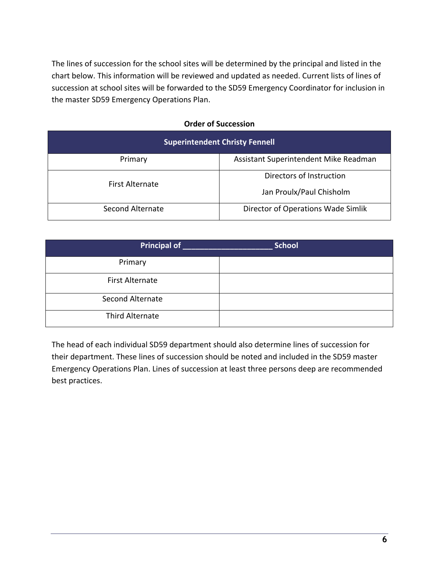The lines of succession for the school sites will be determined by the principal and listed in the chart below. This information will be reviewed and updated as needed. Current lists of lines of succession at school sites will be forwarded to the SD59 Emergency Coordinator for inclusion in the master SD59 Emergency Operations Plan.

### **Order of Succession**

| <b>Superintendent Christy Fennell</b> |                                       |  |
|---------------------------------------|---------------------------------------|--|
| Primary                               | Assistant Superintendent Mike Readman |  |
| <b>First Alternate</b>                | Directors of Instruction              |  |
|                                       | Jan Proulx/Paul Chisholm              |  |
| Second Alternate                      | Director of Operations Wade Simlik    |  |

| Principal of            | <b>School</b> |
|-------------------------|---------------|
| Primary                 |               |
| <b>First Alternate</b>  |               |
| <b>Second Alternate</b> |               |
| Third Alternate         |               |

The head of each individual SD59 department should also determine lines of succession for their department. These lines of succession should be noted and included in the SD59 master Emergency Operations Plan. Lines of succession at least three persons deep are recommended best practices.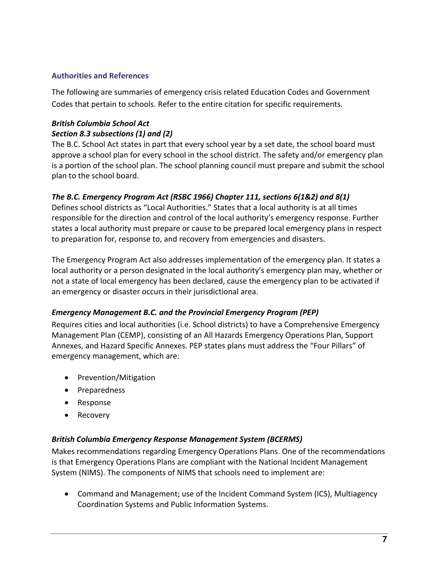### **Authorities and References**

The following are summaries of emergency crisis related Education Codes and Government Codes that pertain to schools. Refer to the entire citation for specific requirements.

### *British Columbia School Act Section 8.3 subsections (1) and (2)*

The B.C. School Act states in part that every school year by a set date, the school board must approve a school plan for every school in the school district. The safety and/or emergency plan is a portion of the school plan. The school planning council must prepare and submit the school plan to the school board.

# *The B.C. Emergency Program Act (RSBC 1966) Chapter 111, sections 6(1&2) and 8(1)*

Defines school districts as "Local Authorities." States that a local authority is at all times responsible for the direction and control of the local authority's emergency response. Further states a local authority must prepare or cause to be prepared local emergency plans in respect to preparation for, response to, and recovery from emergencies and disasters.

The Emergency Program Act also addresses implementation of the emergency plan. It states a local authority or a person designated in the local authority's emergency plan may, whether or not a state of local emergency has been declared, cause the emergency plan to be activated if an emergency or disaster occurs in their jurisdictional area.

### *Emergency Management B.C. and the Provincial Emergency Program (PEP)*

Requires cities and local authorities (i.e. School districts) to have a Comprehensive Emergency Management Plan (CEMP), consisting of an All Hazards Emergency Operations Plan, Support Annexes, and Hazard Specific Annexes. PEP states plans must address the "Four Pillars" of emergency management, which are:

- Prevention/Mitigation
- Preparedness
- Response
- Recovery

### *British Columbia Emergency Response Management System (BCERMS)*

Makes recommendations regarding Emergency Operations Plans. One of the recommendations is that Emergency Operations Plans are compliant with the National Incident Management System (NIMS). The components of NIMS that schools need to implement are:

• Command and Management; use of the Incident Command System (ICS), Multiagency Coordination Systems and Public Information Systems.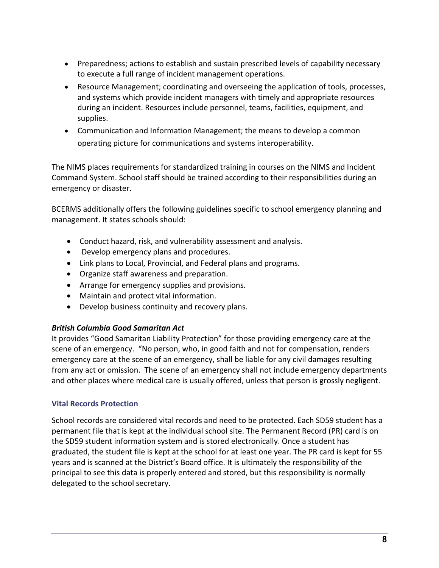- Preparedness; actions to establish and sustain prescribed levels of capability necessary to execute a full range of incident management operations.
- Resource Management; coordinating and overseeing the application of tools, processes, and systems which provide incident managers with timely and appropriate resources during an incident. Resources include personnel, teams, facilities, equipment, and supplies.
- Communication and Information Management; the means to develop a common operating picture for communications and systems interoperability.

The NIMS places requirements for standardized training in courses on the NIMS and Incident Command System. School staff should be trained according to their responsibilities during an emergency or disaster.

BCERMS additionally offers the following guidelines specific to school emergency planning and management. It states schools should:

- Conduct hazard, risk, and vulnerability assessment and analysis.
- Develop emergency plans and procedures.
- Link plans to Local, Provincial, and Federal plans and programs.
- Organize staff awareness and preparation.
- Arrange for emergency supplies and provisions.
- Maintain and protect vital information.
- Develop business continuity and recovery plans.

### *British Columbia Good Samaritan Act*

It provides "Good Samaritan Liability Protection" for those providing emergency care at the scene of an emergency. "No person, who, in good faith and not for compensation, renders emergency care at the scene of an emergency, shall be liable for any civil damages resulting from any act or omission. The scene of an emergency shall not include emergency departments and other places where medical care is usually offered, unless that person is grossly negligent.

# **Vital Records Protection**

School records are considered vital records and need to be protected. Each SD59 student has a permanent file that is kept at the individual school site. The Permanent Record (PR) card is on the SD59 student information system and is stored electronically. Once a student has graduated, the student file is kept at the school for at least one year. The PR card is kept for 55 years and is scanned at the District's Board office. It is ultimately the responsibility of the principal to see this data is properly entered and stored, but this responsibility is normally delegated to the school secretary.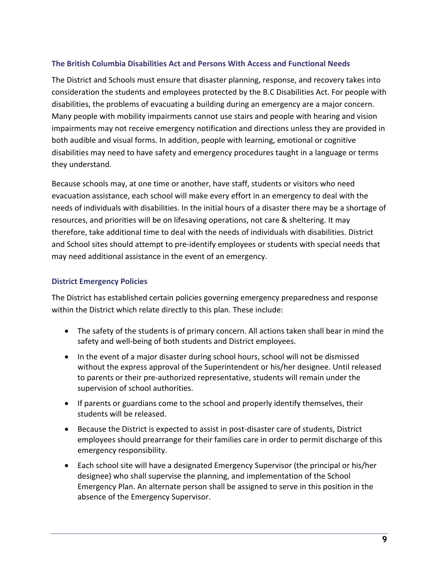### **The British Columbia Disabilities Act and Persons With Access and Functional Needs**

The District and Schools must ensure that disaster planning, response, and recovery takes into consideration the students and employees protected by the B.C Disabilities Act. For people with disabilities, the problems of evacuating a building during an emergency are a major concern. Many people with mobility impairments cannot use stairs and people with hearing and vision impairments may not receive emergency notification and directions unless they are provided in both audible and visual forms. In addition, people with learning, emotional or cognitive disabilities may need to have safety and emergency procedures taught in a language or terms they understand.

Because schools may, at one time or another, have staff, students or visitors who need evacuation assistance, each school will make every effort in an emergency to deal with the needs of individuals with disabilities. In the initial hours of a disaster there may be a shortage of resources, and priorities will be on lifesaving operations, not care & sheltering. It may therefore, take additional time to deal with the needs of individuals with disabilities. District and School sites should attempt to pre-identify employees or students with special needs that may need additional assistance in the event of an emergency.

### **District Emergency Policies**

The District has established certain policies governing emergency preparedness and response within the District which relate directly to this plan. These include:

- The safety of the students is of primary concern. All actions taken shall bear in mind the safety and well-being of both students and District employees.
- In the event of a major disaster during school hours, school will not be dismissed without the express approval of the Superintendent or his/her designee. Until released to parents or their pre-authorized representative, students will remain under the supervision of school authorities.
- If parents or guardians come to the school and properly identify themselves, their students will be released.
- Because the District is expected to assist in post-disaster care of students, District employees should prearrange for their families care in order to permit discharge of this emergency responsibility.
- Each school site will have a designated Emergency Supervisor (the principal or his/her designee) who shall supervise the planning, and implementation of the School Emergency Plan. An alternate person shall be assigned to serve in this position in the absence of the Emergency Supervisor.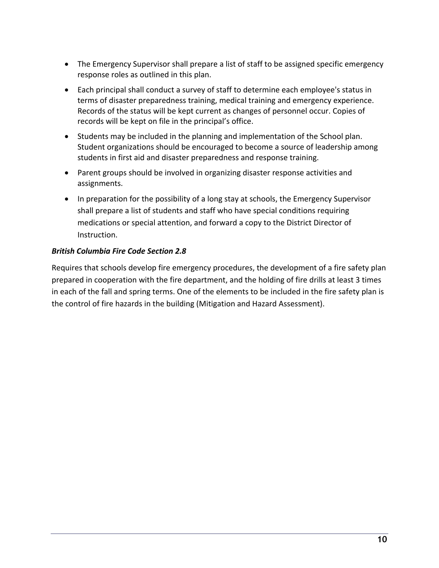- The Emergency Supervisor shall prepare a list of staff to be assigned specific emergency response roles as outlined in this plan.
- Each principal shall conduct a survey of staff to determine each employee's status in terms of disaster preparedness training, medical training and emergency experience. Records of the status will be kept current as changes of personnel occur. Copies of records will be kept on file in the principal's office.
- Students may be included in the planning and implementation of the School plan. Student organizations should be encouraged to become a source of leadership among students in first aid and disaster preparedness and response training.
- Parent groups should be involved in organizing disaster response activities and assignments.
- In preparation for the possibility of a long stay at schools, the Emergency Supervisor shall prepare a list of students and staff who have special conditions requiring medications or special attention, and forward a copy to the District Director of Instruction.

# *British Columbia Fire Code Section 2.8*

Requires that schools develop fire emergency procedures, the development of a fire safety plan prepared in cooperation with the fire department, and the holding of fire drills at least 3 times in each of the fall and spring terms. One of the elements to be included in the fire safety plan is the control of fire hazards in the building (Mitigation and Hazard Assessment).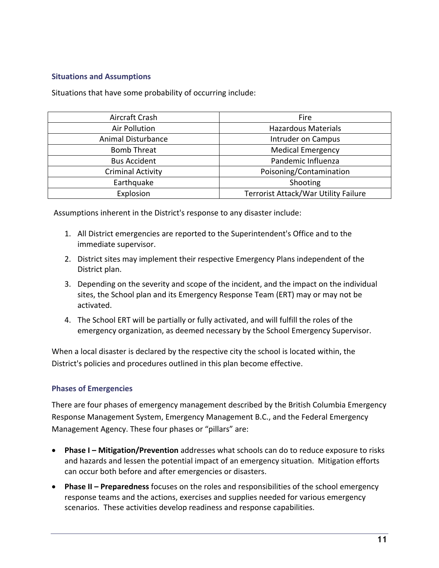### **Situations and Assumptions**

Situations that have some probability of occurring include:

| Aircraft Crash            | Fire                                 |
|---------------------------|--------------------------------------|
| <b>Air Pollution</b>      | <b>Hazardous Materials</b>           |
| <b>Animal Disturbance</b> | Intruder on Campus                   |
| <b>Bomb Threat</b>        | <b>Medical Emergency</b>             |
| <b>Bus Accident</b>       | Pandemic Influenza                   |
| <b>Criminal Activity</b>  | Poisoning/Contamination              |
| Earthquake                | Shooting                             |
| Explosion                 | Terrorist Attack/War Utility Failure |

Assumptions inherent in the District's response to any disaster include:

- 1. All District emergencies are reported to the Superintendent's Office and to the immediate supervisor.
- 2. District sites may implement their respective Emergency Plans independent of the District plan.
- 3. Depending on the severity and scope of the incident, and the impact on the individual sites, the School plan and its Emergency Response Team (ERT) may or may not be activated.
- 4. The School ERT will be partially or fully activated, and will fulfill the roles of the emergency organization, as deemed necessary by the School Emergency Supervisor.

When a local disaster is declared by the respective city the school is located within, the District's policies and procedures outlined in this plan become effective.

### **Phases of Emergencies**

There are four phases of emergency management described by the British Columbia Emergency Response Management System, Emergency Management B.C., and the Federal Emergency Management Agency. These four phases or "pillars" are:

- **Phase I – Mitigation/Prevention** addresses what schools can do to reduce exposure to risks and hazards and lessen the potential impact of an emergency situation. Mitigation efforts can occur both before and after emergencies or disasters.
- **Phase II – Preparedness** focuses on the roles and responsibilities of the school emergency response teams and the actions, exercises and supplies needed for various emergency scenarios. These activities develop readiness and response capabilities.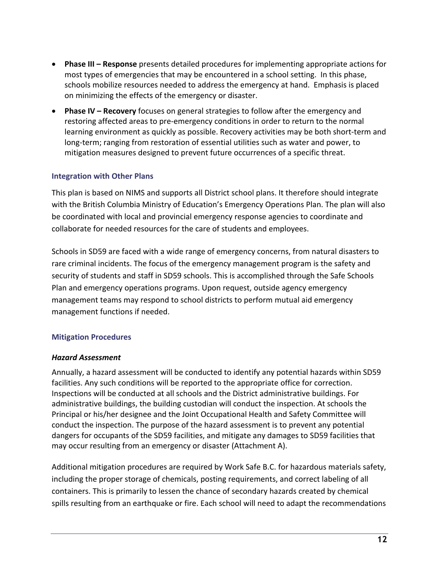- **Phase III – Response** presents detailed procedures for implementing appropriate actions for most types of emergencies that may be encountered in a school setting. In this phase, schools mobilize resources needed to address the emergency at hand. Emphasis is placed on minimizing the effects of the emergency or disaster.
- **Phase IV – Recovery** focuses on general strategies to follow after the emergency and restoring affected areas to pre-emergency conditions in order to return to the normal learning environment as quickly as possible. Recovery activities may be both short-term and long-term; ranging from restoration of essential utilities such as water and power, to mitigation measures designed to prevent future occurrences of a specific threat.

# **Integration with Other Plans**

This plan is based on NIMS and supports all District school plans. It therefore should integrate with the British Columbia Ministry of Education's Emergency Operations Plan. The plan will also be coordinated with local and provincial emergency response agencies to coordinate and collaborate for needed resources for the care of students and employees.

Schools in SD59 are faced with a wide range of emergency concerns, from natural disasters to rare criminal incidents. The focus of the emergency management program is the safety and security of students and staff in SD59 schools. This is accomplished through the Safe Schools Plan and emergency operations programs. Upon request, outside agency emergency management teams may respond to school districts to perform mutual aid emergency management functions if needed.

# **Mitigation Procedures**

### *Hazard Assessment*

Annually, a hazard assessment will be conducted to identify any potential hazards within SD59 facilities. Any such conditions will be reported to the appropriate office for correction. Inspections will be conducted at all schools and the District administrative buildings. For administrative buildings, the building custodian will conduct the inspection. At schools the Principal or his/her designee and the Joint Occupational Health and Safety Committee will conduct the inspection. The purpose of the hazard assessment is to prevent any potential dangers for occupants of the SD59 facilities, and mitigate any damages to SD59 facilities that may occur resulting from an emergency or disaster (Attachment A).

Additional mitigation procedures are required by Work Safe B.C. for hazardous materials safety, including the proper storage of chemicals, posting requirements, and correct labeling of all containers. This is primarily to lessen the chance of secondary hazards created by chemical spills resulting from an earthquake or fire. Each school will need to adapt the recommendations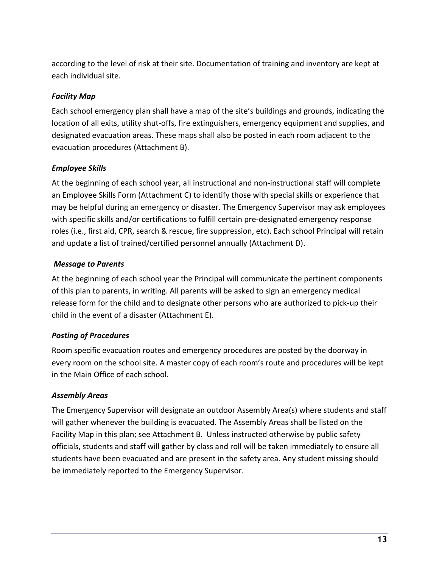according to the level of risk at their site. Documentation of training and inventory are kept at each individual site.

# *Facility Map*

Each school emergency plan shall have a map of the site's buildings and grounds, indicating the location of all exits, utility shut-offs, fire extinguishers, emergency equipment and supplies, and designated evacuation areas. These maps shall also be posted in each room adjacent to the evacuation procedures (Attachment B).

# *Employee Skills*

At the beginning of each school year, all instructional and non-instructional staff will complete an Employee Skills Form (Attachment C) to identify those with special skills or experience that may be helpful during an emergency or disaster. The Emergency Supervisor may ask employees with specific skills and/or certifications to fulfill certain pre-designated emergency response roles (i.e., first aid, CPR, search & rescue, fire suppression, etc). Each school Principal will retain and update a list of trained/certified personnel annually (Attachment D).

# *Message to Parents*

At the beginning of each school year the Principal will communicate the pertinent components of this plan to parents, in writing. All parents will be asked to sign an emergency medical release form for the child and to designate other persons who are authorized to pick-up their child in the event of a disaster (Attachment E).

# *Posting of Procedures*

Room specific evacuation routes and emergency procedures are posted by the doorway in every room on the school site. A master copy of each room's route and procedures will be kept in the Main Office of each school.

### *Assembly Areas*

The Emergency Supervisor will designate an outdoor Assembly Area(s) where students and staff will gather whenever the building is evacuated. The Assembly Areas shall be listed on the Facility Map in this plan; see Attachment B. Unless instructed otherwise by public safety officials, students and staff will gather by class and roll will be taken immediately to ensure all students have been evacuated and are present in the safety area. Any student missing should be immediately reported to the Emergency Supervisor.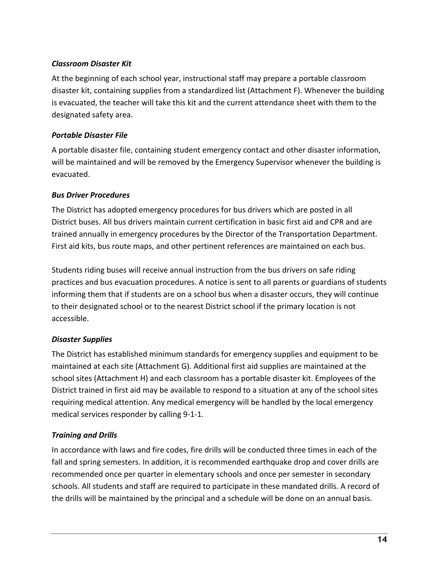# *Classroom Disaster Kit*

At the beginning of each school year, instructional staff may prepare a portable classroom disaster kit, containing supplies from a standardized list (Attachment F). Whenever the building is evacuated, the teacher will take this kit and the current attendance sheet with them to the designated safety area.

# *Portable Disaster File*

A portable disaster file, containing student emergency contact and other disaster information, will be maintained and will be removed by the Emergency Supervisor whenever the building is evacuated.

# *Bus Driver Procedures*

The District has adopted emergency procedures for bus drivers which are posted in all District buses. All bus drivers maintain current certification in basic first aid and CPR and are trained annually in emergency procedures by the Director of the Transportation Department. First aid kits, bus route maps, and other pertinent references are maintained on each bus.

Students riding buses will receive annual instruction from the bus drivers on safe riding practices and bus evacuation procedures. A notice is sent to all parents or guardians of students informing them that if students are on a school bus when a disaster occurs, they will continue to their designated school or to the nearest District school if the primary location is not accessible.

# *Disaster Supplies*

The District has established minimum standards for emergency supplies and equipment to be maintained at each site (Attachment G). Additional first aid supplies are maintained at the school sites (Attachment H) and each classroom has a portable disaster kit. Employees of the District trained in first aid may be available to respond to a situation at any of the school sites requiring medical attention. Any medical emergency will be handled by the local emergency medical services responder by calling 9-1-1.

# *Training and Drills*

In accordance with laws and fire codes, fire drills will be conducted three times in each of the fall and spring semesters. In addition, it is recommended earthquake drop and cover drills are recommended once per quarter in elementary schools and once per semester in secondary schools. All students and staff are required to participate in these mandated drills. A record of the drills will be maintained by the principal and a schedule will be done on an annual basis.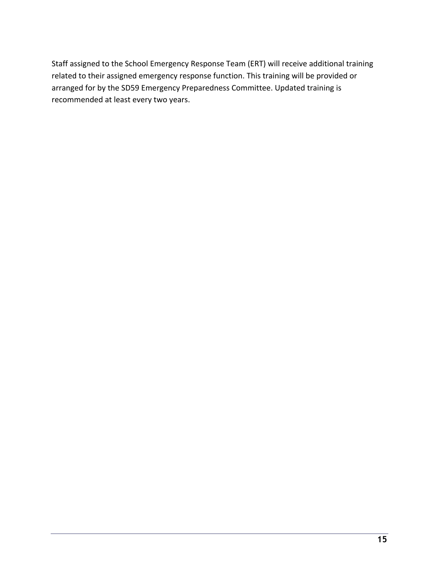Staff assigned to the School Emergency Response Team (ERT) will receive additional training related to their assigned emergency response function. This training will be provided or arranged for by the SD59 Emergency Preparedness Committee. Updated training is recommended at least every two years.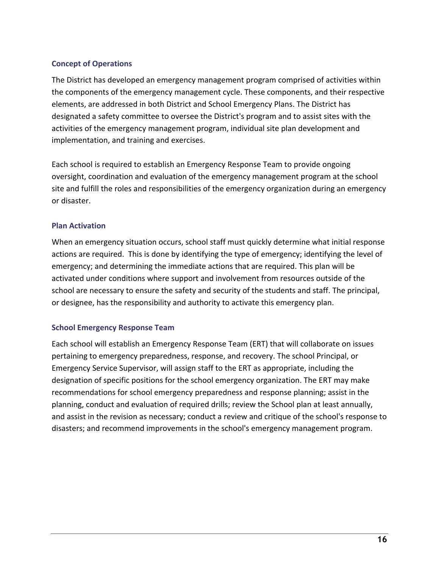### **Concept of Operations**

The District has developed an emergency management program comprised of activities within the components of the emergency management cycle. These components, and their respective elements, are addressed in both District and School Emergency Plans. The District has designated a safety committee to oversee the District's program and to assist sites with the activities of the emergency management program, individual site plan development and implementation, and training and exercises.

Each school is required to establish an Emergency Response Team to provide ongoing oversight, coordination and evaluation of the emergency management program at the school site and fulfill the roles and responsibilities of the emergency organization during an emergency or disaster.

### **Plan Activation**

When an emergency situation occurs, school staff must quickly determine what initial response actions are required. This is done by identifying the type of emergency; identifying the level of emergency; and determining the immediate actions that are required. This plan will be activated under conditions where support and involvement from resources outside of the school are necessary to ensure the safety and security of the students and staff. The principal, or designee, has the responsibility and authority to activate this emergency plan.

### **School Emergency Response Team**

Each school will establish an Emergency Response Team (ERT) that will collaborate on issues pertaining to emergency preparedness, response, and recovery. The school Principal, or Emergency Service Supervisor, will assign staff to the ERT as appropriate, including the designation of specific positions for the school emergency organization. The ERT may make recommendations for school emergency preparedness and response planning; assist in the planning, conduct and evaluation of required drills; review the School plan at least annually, and assist in the revision as necessary; conduct a review and critique of the school's response to disasters; and recommend improvements in the school's emergency management program.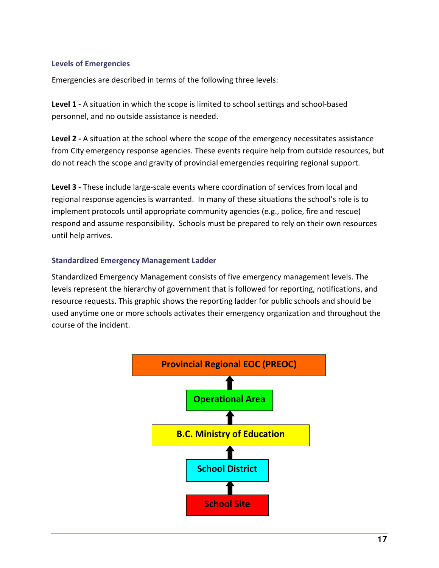### **Levels of Emergencies**

Emergencies are described in terms of the following three levels:

**Level 1 -** A situation in which the scope is limited to school settings and school-based personnel, and no outside assistance is needed.

**Level 2 -** A situation at the school where the scope of the emergency necessitates assistance from City emergency response agencies. These events require help from outside resources, but do not reach the scope and gravity of provincial emergencies requiring regional support.

**Level 3 -** These include large-scale events where coordination of services from local and regional response agencies is warranted. In many of these situations the school's role is to implement protocols until appropriate community agencies (e.g., police, fire and rescue) respond and assume responsibility. Schools must be prepared to rely on their own resources until help arrives.

### **Standardized Emergency Management Ladder**

Standardized Emergency Management consists of five emergency management levels. The levels represent the hierarchy of government that is followed for reporting, notifications, and resource requests. This graphic shows the reporting ladder for public schools and should be used anytime one or more schools activates their emergency organization and throughout the course of the incident.

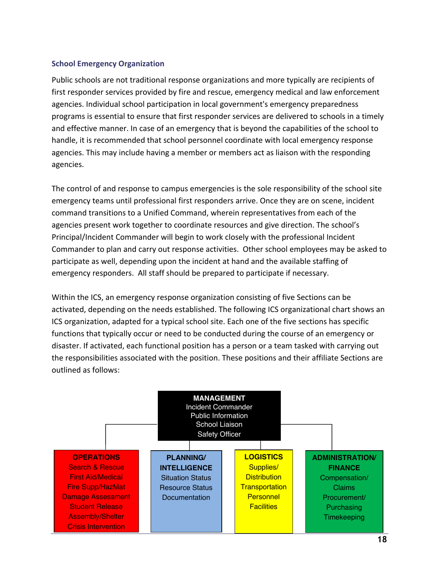### **School Emergency Organization**

Public schools are not traditional response organizations and more typically are recipients of first responder services provided by fire and rescue, emergency medical and law enforcement agencies. Individual school participation in local government's emergency preparedness programs is essential to ensure that first responder services are delivered to schools in a timely and effective manner. In case of an emergency that is beyond the capabilities of the school to handle, it is recommended that school personnel coordinate with local emergency response agencies. This may include having a member or members act as liaison with the responding agencies.

The control of and response to campus emergencies is the sole responsibility of the school site emergency teams until professional first responders arrive. Once they are on scene, incident command transitions to a Unified Command, wherein representatives from each of the agencies present work together to coordinate resources and give direction. The school's Principal/Incident Commander will begin to work closely with the professional Incident Commander to plan and carry out response activities. Other school employees may be asked to participate as well, depending upon the incident at hand and the available staffing of emergency responders. All staff should be prepared to participate if necessary.

Within the ICS, an emergency response organization consisting of five Sections can be activated, depending on the needs established. The following ICS organizational chart shows an ICS organization, adapted for a typical school site. Each one of the five sections has specific functions that typically occur or need to be conducted during the course of an emergency or disaster. If activated, each functional position has a person or a team tasked with carrying out the responsibilities associated with the position. These positions and their affiliate Sections are outlined as follows:

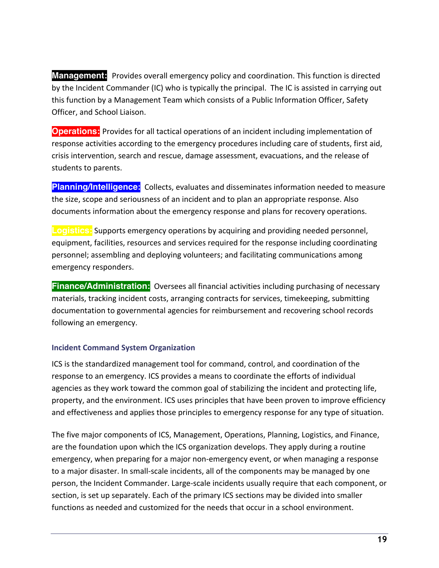**Management:** Provides overall emergency policy and coordination. This function is directed by the Incident Commander (IC) who is typically the principal. The IC is assisted in carrying out this function by a Management Team which consists of a Public Information Officer, Safety Officer, and School Liaison.

**Operations:** Provides for all tactical operations of an incident including implementation of response activities according to the emergency procedures including care of students, first aid, crisis intervention, search and rescue, damage assessment, evacuations, and the release of students to parents.

**Planning/Intelligence:** Collects, evaluates and disseminates information needed to measure the size, scope and seriousness of an incident and to plan an appropriate response. Also documents information about the emergency response and plans for recovery operations.

**Logistics:** Supports emergency operations by acquiring and providing needed personnel, equipment, facilities, resources and services required for the response including coordinating personnel; assembling and deploying volunteers; and facilitating communications among emergency responders.

**Finance/Administration:** Oversees all financial activities including purchasing of necessary materials, tracking incident costs, arranging contracts for services, timekeeping, submitting documentation to governmental agencies for reimbursement and recovering school records following an emergency.

### **Incident Command System Organization**

ICS is the standardized management tool for command, control, and coordination of the response to an emergency. ICS provides a means to coordinate the efforts of individual agencies as they work toward the common goal of stabilizing the incident and protecting life, property, and the environment. ICS uses principles that have been proven to improve efficiency and effectiveness and applies those principles to emergency response for any type of situation.

The five major components of ICS, Management, Operations, Planning, Logistics, and Finance, are the foundation upon which the ICS organization develops. They apply during a routine emergency, when preparing for a major non-emergency event, or when managing a response to a major disaster. In small-scale incidents, all of the components may be managed by one person, the Incident Commander. Large-scale incidents usually require that each component, or section, is set up separately. Each of the primary ICS sections may be divided into smaller functions as needed and customized for the needs that occur in a school environment.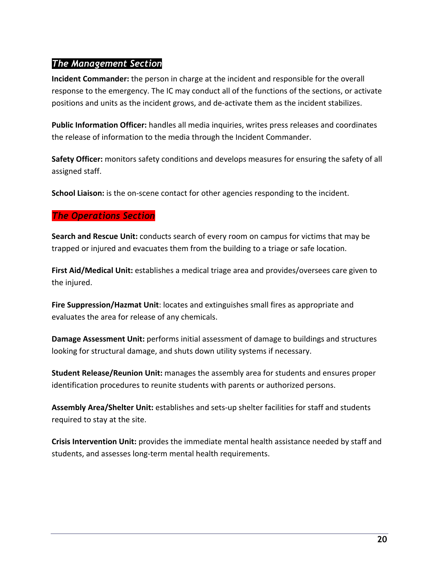# *The Management Section*

**Incident Commander:** the person in charge at the incident and responsible for the overall response to the emergency. The IC may conduct all of the functions of the sections, or activate positions and units as the incident grows, and de-activate them as the incident stabilizes.

**Public Information Officer:** handles all media inquiries, writes press releases and coordinates the release of information to the media through the Incident Commander.

**Safety Officer:** monitors safety conditions and develops measures for ensuring the safety of all assigned staff.

**School Liaison:** is the on-scene contact for other agencies responding to the incident.

# *The Operations Section*

**Search and Rescue Unit:** conducts search of every room on campus for victims that may be trapped or injured and evacuates them from the building to a triage or safe location.

**First Aid/Medical Unit:** establishes a medical triage area and provides/oversees care given to the injured.

**Fire Suppression/Hazmat Unit**: locates and extinguishes small fires as appropriate and evaluates the area for release of any chemicals.

**Damage Assessment Unit:** performs initial assessment of damage to buildings and structures looking for structural damage, and shuts down utility systems if necessary.

**Student Release/Reunion Unit:** manages the assembly area for students and ensures proper identification procedures to reunite students with parents or authorized persons.

**Assembly Area/Shelter Unit:** establishes and sets-up shelter facilities for staff and students required to stay at the site.

**Crisis Intervention Unit:** provides the immediate mental health assistance needed by staff and students, and assesses long-term mental health requirements.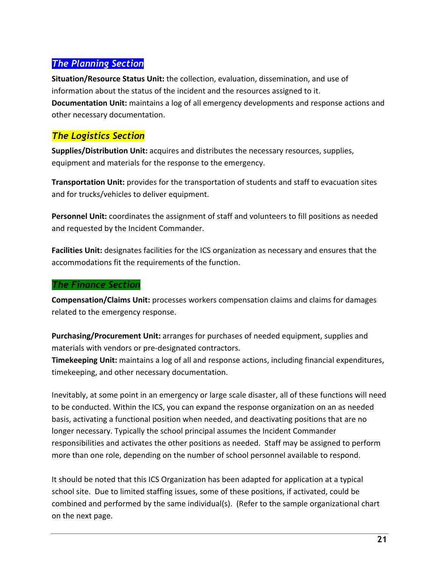# *The Planning Section*

**Situation/Resource Status Unit:** the collection, evaluation, dissemination, and use of information about the status of the incident and the resources assigned to it. **Documentation Unit:** maintains a log of all emergency developments and response actions and other necessary documentation.

# *The Logistics Section*

**Supplies/Distribution Unit:** acquires and distributes the necessary resources, supplies, equipment and materials for the response to the emergency.

**Transportation Unit:** provides for the transportation of students and staff to evacuation sites and for trucks/vehicles to deliver equipment.

**Personnel Unit:** coordinates the assignment of staff and volunteers to fill positions as needed and requested by the Incident Commander.

**Facilities Unit:** designates facilities for the ICS organization as necessary and ensures that the accommodations fit the requirements of the function.

### *The Finance Section*

**Compensation/Claims Unit:** processes workers compensation claims and claims for damages related to the emergency response.

**Purchasing/Procurement Unit:** arranges for purchases of needed equipment, supplies and materials with vendors or pre-designated contractors.

**Timekeeping Unit:** maintains a log of all and response actions, including financial expenditures, timekeeping, and other necessary documentation.

Inevitably, at some point in an emergency or large scale disaster, all of these functions will need to be conducted. Within the ICS, you can expand the response organization on an as needed basis, activating a functional position when needed, and deactivating positions that are no longer necessary. Typically the school principal assumes the Incident Commander responsibilities and activates the other positions as needed. Staff may be assigned to perform more than one role, depending on the number of school personnel available to respond.

It should be noted that this ICS Organization has been adapted for application at a typical school site. Due to limited staffing issues, some of these positions, if activated, could be combined and performed by the same individual(s). (Refer to the sample organizational chart on the next page.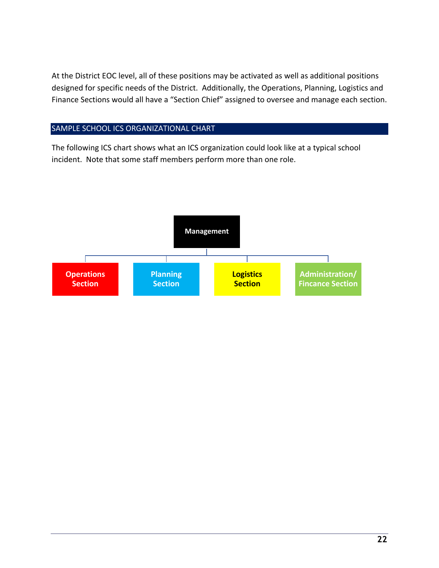At the District EOC level, all of these positions may be activated as well as additional positions designed for specific needs of the District. Additionally, the Operations, Planning, Logistics and Finance Sections would all have a "Section Chief" assigned to oversee and manage each section.

# SAMPLE SCHOOL ICS ORGANIZATIONAL CHART

The following ICS chart shows what an ICS organization could look like at a typical school incident. Note that some staff members perform more than one role.

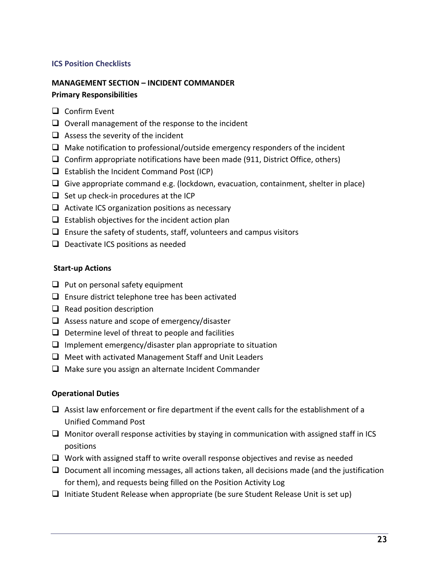### **ICS Position Checklists**

# **MANAGEMENT SECTION – INCIDENT COMMANDER**

### **Primary Responsibilities**

- $\Box$  Confirm Event
- $\Box$  Overall management of the response to the incident
- $\Box$  Assess the severity of the incident
- $\Box$  Make notification to professional/outside emergency responders of the incident
- $\Box$  Confirm appropriate notifications have been made (911, District Office, others)
- $\Box$  Establish the Incident Command Post (ICP)
- $\Box$  Give appropriate command e.g. (lockdown, evacuation, containment, shelter in place)
- $\Box$  Set up check-in procedures at the ICP
- $\Box$  Activate ICS organization positions as necessary
- $\Box$  Establish objectives for the incident action plan
- $\Box$  Ensure the safety of students, staff, volunteers and campus visitors
- $\Box$  Deactivate ICS positions as needed

### **Start-up Actions**

- $\Box$  Put on personal safety equipment
- $\Box$  Ensure district telephone tree has been activated
- $\Box$  Read position description
- $\Box$  Assess nature and scope of emergency/disaster
- $\Box$  Determine level of threat to people and facilities
- $\Box$  Implement emergency/disaster plan appropriate to situation
- $\Box$  Meet with activated Management Staff and Unit Leaders
- $\Box$  Make sure you assign an alternate Incident Commander

### **Operational Duties**

- $\Box$  Assist law enforcement or fire department if the event calls for the establishment of a Unified Command Post
- $\Box$  Monitor overall response activities by staying in communication with assigned staff in ICS positions
- $\Box$  Work with assigned staff to write overall response objectives and revise as needed
- $\Box$  Document all incoming messages, all actions taken, all decisions made (and the justification for them), and requests being filled on the Position Activity Log
- $\Box$  Initiate Student Release when appropriate (be sure Student Release Unit is set up)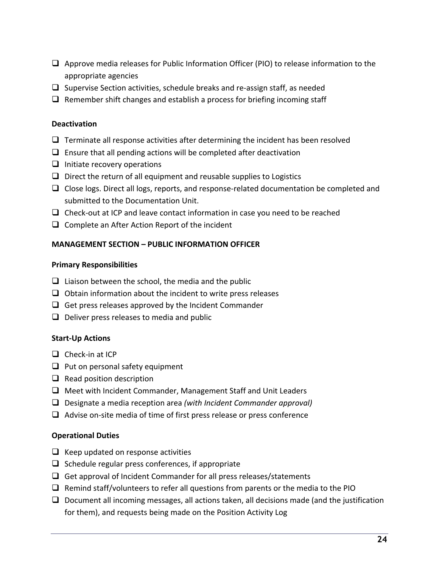- $\Box$  Approve media releases for Public Information Officer (PIO) to release information to the appropriate agencies
- $\Box$  Supervise Section activities, schedule breaks and re-assign staff, as needed
- $\Box$  Remember shift changes and establish a process for briefing incoming staff

### **Deactivation**

- $\Box$  Terminate all response activities after determining the incident has been resolved
- $\Box$  Ensure that all pending actions will be completed after deactivation
- $\Box$  Initiate recovery operations
- $\Box$  Direct the return of all equipment and reusable supplies to Logistics
- $\Box$  Close logs. Direct all logs, reports, and response-related documentation be completed and submitted to the Documentation Unit.
- $\Box$  Check-out at ICP and leave contact information in case you need to be reached
- $\Box$  Complete an After Action Report of the incident

# **MANAGEMENT SECTION – PUBLIC INFORMATION OFFICER**

### **Primary Responsibilities**

- $\Box$  Liaison between the school, the media and the public
- $\Box$  Obtain information about the incident to write press releases
- $\Box$  Get press releases approved by the Incident Commander
- $\Box$  Deliver press releases to media and public

### **Start-Up Actions**

- $\Box$  Check-in at ICP
- $\Box$  Put on personal safety equipment
- $\Box$  Read position description
- $\Box$  Meet with Incident Commander, Management Staff and Unit Leaders
- q Designate a media reception area *(with Incident Commander approval)*
- $\Box$  Advise on-site media of time of first press release or press conference

### **Operational Duties**

- $\Box$  Keep updated on response activities
- $\Box$  Schedule regular press conferences, if appropriate
- $\Box$  Get approval of Incident Commander for all press releases/statements
- $\Box$  Remind staff/volunteers to refer all questions from parents or the media to the PIO
- $\Box$  Document all incoming messages, all actions taken, all decisions made (and the justification for them), and requests being made on the Position Activity Log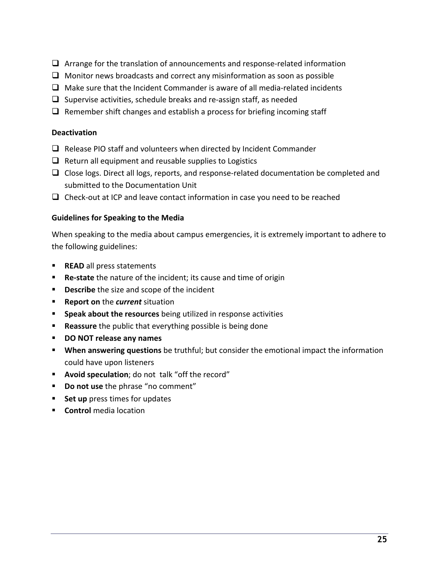- $\Box$  Arrange for the translation of announcements and response-related information
- $\Box$  Monitor news broadcasts and correct any misinformation as soon as possible
- $\Box$  Make sure that the Incident Commander is aware of all media-related incidents
- $\Box$  Supervise activities, schedule breaks and re-assign staff, as needed
- $\Box$  Remember shift changes and establish a process for briefing incoming staff

### **Deactivation**

- $\Box$  Release PIO staff and volunteers when directed by Incident Commander
- $\Box$  Return all equipment and reusable supplies to Logistics
- $\Box$  Close logs. Direct all logs, reports, and response-related documentation be completed and submitted to the Documentation Unit
- $\Box$  Check-out at ICP and leave contact information in case you need to be reached

### **Guidelines for Speaking to the Media**

When speaking to the media about campus emergencies, it is extremely important to adhere to the following guidelines:

- **READ** all press statements
- **Re-state** the nature of the incident; its cause and time of origin
- **Describe** the size and scope of the incident
- § **Report on** the *current* situation
- § **Speak about the resources** being utilized in response activities
- **Reassure** the public that everything possible is being done
- § **DO NOT release any names**
- § **When answering questions** be truthful; but consider the emotional impact the information could have upon listeners
- § **Avoid speculation**; do not talk "off the record"
- § **Do not use** the phrase "no comment"
- Set up press times for updates
- **E** Control media location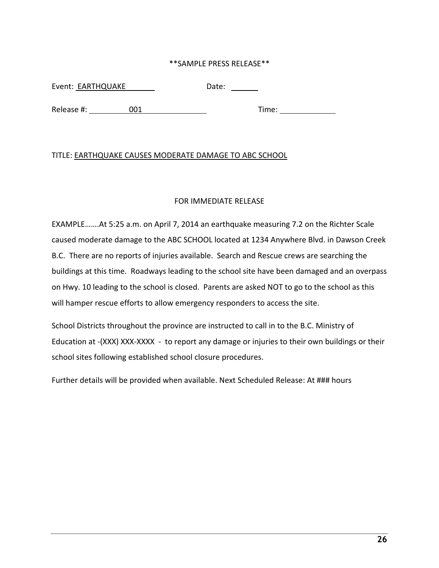### \*\*SAMPLE PRESS RELEASE\*\*

Event: EARTHQUAKE Date: Date:

Release #: 001 Time:

### TITLE: EARTHQUAKE CAUSES MODERATE DAMAGE TO ABC SCHOOL

### FOR IMMEDIATE RELEASE

EXAMPLE…….At 5:25 a.m. on April 7, 2014 an earthquake measuring 7.2 on the Richter Scale caused moderate damage to the ABC SCHOOL located at 1234 Anywhere Blvd. in Dawson Creek B.C. There are no reports of injuries available. Search and Rescue crews are searching the buildings at this time. Roadways leading to the school site have been damaged and an overpass on Hwy. 10 leading to the school is closed. Parents are asked NOT to go to the school as this will hamper rescue efforts to allow emergency responders to access the site.

School Districts throughout the province are instructed to call in to the B.C. Ministry of Education at -(XXX) XXX-XXXX - to report any damage or injuries to their own buildings or their school sites following established school closure procedures.

Further details will be provided when available. Next Scheduled Release: At ### hours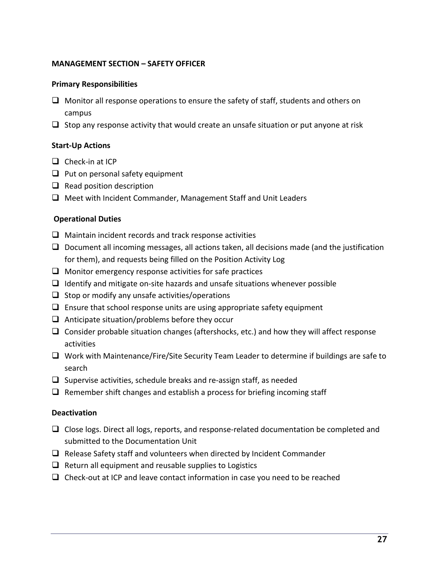### **MANAGEMENT SECTION – SAFETY OFFICER**

### **Primary Responsibilities**

- $\Box$  Monitor all response operations to ensure the safety of staff, students and others on campus
- $\Box$  Stop any response activity that would create an unsafe situation or put anyone at risk

### **Start-Up Actions**

- $\Box$  Check-in at ICP
- $\Box$  Put on personal safety equipment
- $\Box$  Read position description
- $\Box$  Meet with Incident Commander, Management Staff and Unit Leaders

### **Operational Duties**

- $\Box$  Maintain incident records and track response activities
- $\Box$  Document all incoming messages, all actions taken, all decisions made (and the justification for them), and requests being filled on the Position Activity Log
- $\Box$  Monitor emergency response activities for safe practices
- $\Box$  Identify and mitigate on-site hazards and unsafe situations whenever possible
- $\Box$  Stop or modify any unsafe activities/operations
- $\Box$  Ensure that school response units are using appropriate safety equipment
- $\Box$  Anticipate situation/problems before they occur
- $\Box$  Consider probable situation changes (aftershocks, etc.) and how they will affect response activities
- $\Box$  Work with Maintenance/Fire/Site Security Team Leader to determine if buildings are safe to search
- $\Box$  Supervise activities, schedule breaks and re-assign staff, as needed
- $\Box$  Remember shift changes and establish a process for briefing incoming staff

### **Deactivation**

- $\Box$  Close logs. Direct all logs, reports, and response-related documentation be completed and submitted to the Documentation Unit
- $\Box$  Release Safety staff and volunteers when directed by Incident Commander
- $\Box$  Return all equipment and reusable supplies to Logistics
- $\Box$  Check-out at ICP and leave contact information in case you need to be reached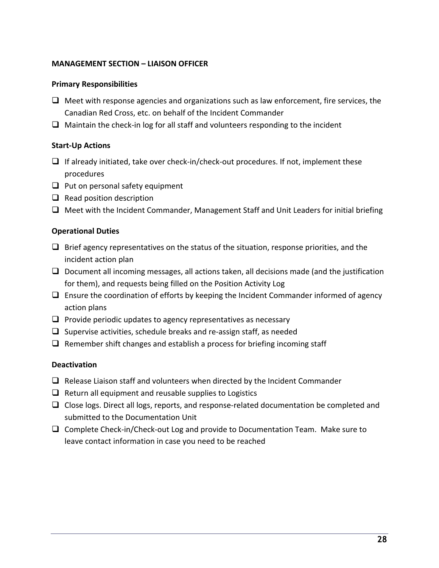### **MANAGEMENT SECTION – LIAISON OFFICER**

### **Primary Responsibilities**

- $\Box$  Meet with response agencies and organizations such as law enforcement, fire services, the Canadian Red Cross, etc. on behalf of the Incident Commander
- $\Box$  Maintain the check-in log for all staff and volunteers responding to the incident

### **Start-Up Actions**

- $\Box$  If already initiated, take over check-in/check-out procedures. If not, implement these procedures
- $\Box$  Put on personal safety equipment
- $\Box$  Read position description
- $\Box$  Meet with the Incident Commander, Management Staff and Unit Leaders for initial briefing

### **Operational Duties**

- $\Box$  Brief agency representatives on the status of the situation, response priorities, and the incident action plan
- $\Box$  Document all incoming messages, all actions taken, all decisions made (and the justification for them), and requests being filled on the Position Activity Log
- $\Box$  Ensure the coordination of efforts by keeping the Incident Commander informed of agency action plans
- $\Box$  Provide periodic updates to agency representatives as necessary
- $\Box$  Supervise activities, schedule breaks and re-assign staff, as needed
- $\Box$  Remember shift changes and establish a process for briefing incoming staff

### **Deactivation**

- $\Box$  Release Liaison staff and volunteers when directed by the Incident Commander
- $\Box$  Return all equipment and reusable supplies to Logistics
- $\Box$  Close logs. Direct all logs, reports, and response-related documentation be completed and submitted to the Documentation Unit
- $\Box$  Complete Check-in/Check-out Log and provide to Documentation Team. Make sure to leave contact information in case you need to be reached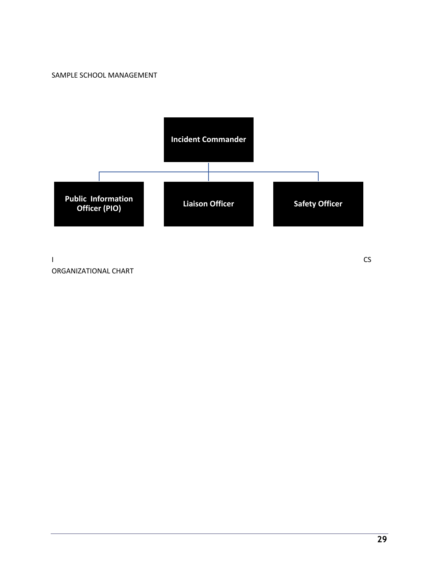#### SAMPLE SCHOOL MANAGEMENT



I CS ORGANIZATIONAL CHART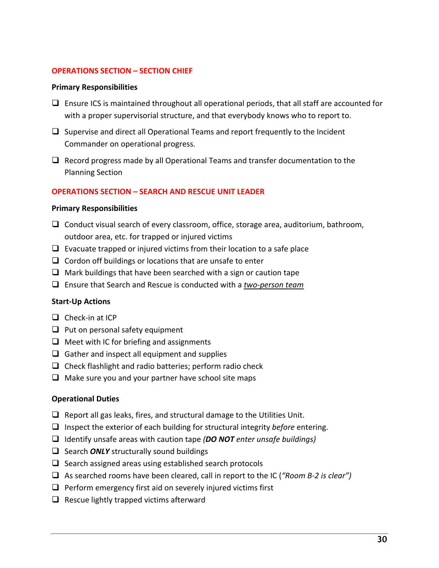### **OPERATIONS SECTION – SECTION CHIEF**

### **Primary Responsibilities**

- $\Box$  Ensure ICS is maintained throughout all operational periods, that all staff are accounted for with a proper supervisorial structure, and that everybody knows who to report to.
- $\Box$  Supervise and direct all Operational Teams and report frequently to the Incident Commander on operational progress.
- $\Box$  Record progress made by all Operational Teams and transfer documentation to the Planning Section

### **OPERATIONS SECTION – SEARCH AND RESCUE UNIT LEADER**

### **Primary Responsibilities**

- $\Box$  Conduct visual search of every classroom, office, storage area, auditorium, bathroom, outdoor area, etc. for trapped or injured victims
- $\Box$  Evacuate trapped or injured victims from their location to a safe place
- $\Box$  Cordon off buildings or locations that are unsafe to enter
- $\Box$  Mark buildings that have been searched with a sign or caution tape
- q Ensure that Search and Rescue is conducted with a *two-person team*

### **Start-Up Actions**

- $\Box$  Check-in at ICP
- $\Box$  Put on personal safety equipment
- $\Box$  Meet with IC for briefing and assignments
- $\Box$  Gather and inspect all equipment and supplies
- $\Box$  Check flashlight and radio batteries; perform radio check
- $\Box$  Make sure you and your partner have school site maps

### **Operational Duties**

- $\Box$  Report all gas leaks, fires, and structural damage to the Utilities Unit.
- □ Inspect the exterior of each building for structural integrity *before* entering.
- q Identify unsafe areas with caution tape *(DO NOT enter unsafe buildings)*
- **Q** Search *ONLY* structurally sound buildings
- $\Box$  Search assigned areas using established search protocols
- q As searched rooms have been cleared, call in report to the IC (*"Room B-2 is clear")*
- $\Box$  Perform emergency first aid on severely injured victims first
- $\Box$  Rescue lightly trapped victims afterward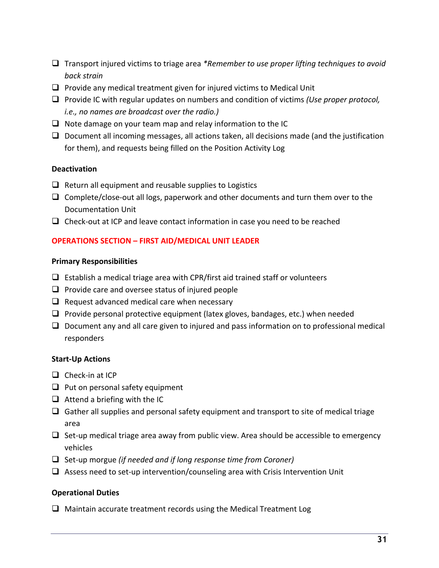- q Transport injured victims to triage area *\*Remember to use proper lifting techniques to avoid back strain*
- $\Box$  Provide any medical treatment given for injured victims to Medical Unit
- □ Provide IC with regular updates on numbers and condition of victims *(Use proper protocol, i.e., no names are broadcast over the radio.)*
- $\Box$  Note damage on your team map and relay information to the IC
- $\Box$  Document all incoming messages, all actions taken, all decisions made (and the justification for them), and requests being filled on the Position Activity Log

### **Deactivation**

- $\Box$  Return all equipment and reusable supplies to Logistics
- $\Box$  Complete/close-out all logs, paperwork and other documents and turn them over to the Documentation Unit
- $\Box$  Check-out at ICP and leave contact information in case you need to be reached

### **OPERATIONS SECTION – FIRST AID/MEDICAL UNIT LEADER**

### **Primary Responsibilities**

- $\Box$  Establish a medical triage area with CPR/first aid trained staff or volunteers
- $\Box$  Provide care and oversee status of injured people
- $\Box$  Request advanced medical care when necessary
- $\Box$  Provide personal protective equipment (latex gloves, bandages, etc.) when needed
- $\Box$  Document any and all care given to injured and pass information on to professional medical responders

### **Start-Up Actions**

- $\Box$  Check-in at ICP
- $\Box$  Put on personal safety equipment
- $\Box$  Attend a briefing with the IC
- $\Box$  Gather all supplies and personal safety equipment and transport to site of medical triage area
- $\Box$  Set-up medical triage area away from public view. Area should be accessible to emergency vehicles
- □ Set-up morgue *(if needed and if long response time from Coroner)*
- $\Box$  Assess need to set-up intervention/counseling area with Crisis Intervention Unit

### **Operational Duties**

 $\Box$  Maintain accurate treatment records using the Medical Treatment Log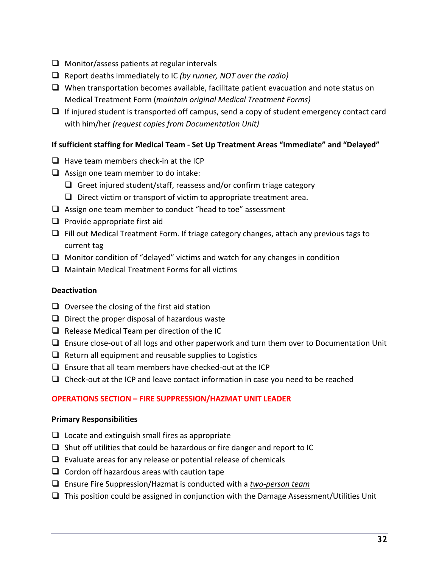- $\Box$  Monitor/assess patients at regular intervals
- q Report deaths immediately to IC *(by runner, NOT over the radio)*
- $\Box$  When transportation becomes available, facilitate patient evacuation and note status on Medical Treatment Form (*maintain original Medical Treatment Forms)*
- $\Box$  If injured student is transported off campus, send a copy of student emergency contact card with him/her *(request copies from Documentation Unit)*

# **If sufficient staffing for Medical Team - Set Up Treatment Areas "Immediate" and "Delayed"**

- $\Box$  Have team members check-in at the ICP
- $\Box$  Assign one team member to do intake:
	- $\Box$  Greet injured student/staff, reassess and/or confirm triage category
	- $\Box$  Direct victim or transport of victim to appropriate treatment area.
- $\Box$  Assign one team member to conduct "head to toe" assessment
- $\Box$  Provide appropriate first aid
- $\Box$  Fill out Medical Treatment Form. If triage category changes, attach any previous tags to current tag
- $\Box$  Monitor condition of "delayed" victims and watch for any changes in condition
- $\Box$  Maintain Medical Treatment Forms for all victims

# **Deactivation**

- $\Box$  Oversee the closing of the first aid station
- $\Box$  Direct the proper disposal of hazardous waste
- $\Box$  Release Medical Team per direction of the IC
- $\Box$  Ensure close-out of all logs and other paperwork and turn them over to Documentation Unit
- $\Box$  Return all equipment and reusable supplies to Logistics
- $\Box$  Ensure that all team members have checked-out at the ICP
- $\Box$  Check-out at the ICP and leave contact information in case you need to be reached

# **OPERATIONS SECTION – FIRE SUPPRESSION/HAZMAT UNIT LEADER**

# **Primary Responsibilities**

- $\Box$  Locate and extinguish small fires as appropriate
- $\Box$  Shut off utilities that could be hazardous or fire danger and report to IC
- $\Box$  Evaluate areas for any release or potential release of chemicals
- $\Box$  Cordon off hazardous areas with caution tape
- q Ensure Fire Suppression/Hazmat is conducted with a *two-person team*
- $\Box$  This position could be assigned in conjunction with the Damage Assessment/Utilities Unit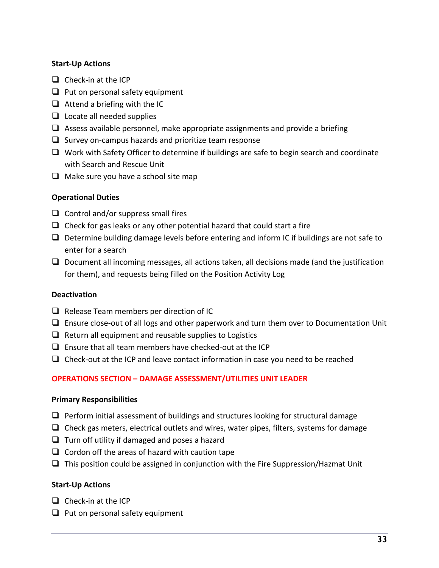# **Start-Up Actions**

- $\Box$  Check-in at the ICP
- $\Box$  Put on personal safety equipment
- $\Box$  Attend a briefing with the IC
- $\Box$  Locate all needed supplies
- $\Box$  Assess available personnel, make appropriate assignments and provide a briefing
- $\Box$  Survey on-campus hazards and prioritize team response
- $\Box$  Work with Safety Officer to determine if buildings are safe to begin search and coordinate with Search and Rescue Unit
- $\Box$  Make sure you have a school site map

## **Operational Duties**

- $\Box$  Control and/or suppress small fires
- $\Box$  Check for gas leaks or any other potential hazard that could start a fire
- $\Box$  Determine building damage levels before entering and inform IC if buildings are not safe to enter for a search
- $\Box$  Document all incoming messages, all actions taken, all decisions made (and the justification for them), and requests being filled on the Position Activity Log

### **Deactivation**

- $\Box$  Release Team members per direction of IC
- $\Box$  Ensure close-out of all logs and other paperwork and turn them over to Documentation Unit
- $\Box$  Return all equipment and reusable supplies to Logistics
- $\Box$  Ensure that all team members have checked-out at the ICP
- $\Box$  Check-out at the ICP and leave contact information in case you need to be reached

# **OPERATIONS SECTION – DAMAGE ASSESSMENT/UTILITIES UNIT LEADER**

### **Primary Responsibilities**

- $\Box$  Perform initial assessment of buildings and structures looking for structural damage
- $\Box$  Check gas meters, electrical outlets and wires, water pipes, filters, systems for damage
- $\Box$  Turn off utility if damaged and poses a hazard
- $\Box$  Cordon off the areas of hazard with caution tape
- $\Box$  This position could be assigned in conjunction with the Fire Suppression/Hazmat Unit

### **Start-Up Actions**

- $\Box$  Check-in at the ICP
- $\Box$  Put on personal safety equipment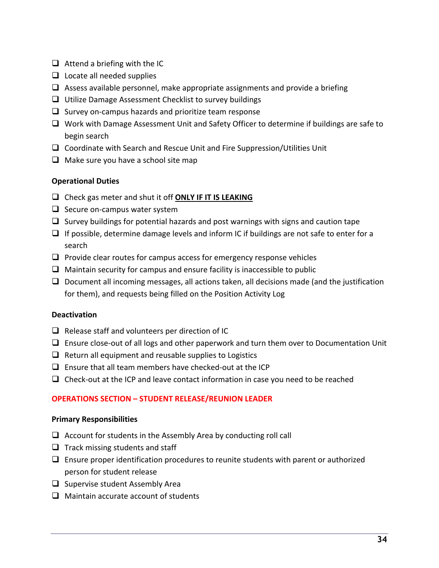- $\Box$  Attend a briefing with the IC
- $\Box$  Locate all needed supplies
- $\Box$  Assess available personnel, make appropriate assignments and provide a briefing
- $\Box$  Utilize Damage Assessment Checklist to survey buildings
- $\Box$  Survey on-campus hazards and prioritize team response
- $\Box$  Work with Damage Assessment Unit and Safety Officer to determine if buildings are safe to begin search
- $\Box$  Coordinate with Search and Rescue Unit and Fire Suppression/Utilities Unit
- $\Box$  Make sure you have a school site map

# **Operational Duties**

- □ Check gas meter and shut it off **ONLY IF IT IS LEAKING**
- $\Box$  Secure on-campus water system
- $\Box$  Survey buildings for potential hazards and post warnings with signs and caution tape
- $\Box$  If possible, determine damage levels and inform IC if buildings are not safe to enter for a search
- $\Box$  Provide clear routes for campus access for emergency response vehicles
- $\Box$  Maintain security for campus and ensure facility is inaccessible to public
- $\Box$  Document all incoming messages, all actions taken, all decisions made (and the justification for them), and requests being filled on the Position Activity Log

# **Deactivation**

- $\Box$  Release staff and volunteers per direction of IC
- $\Box$  Ensure close-out of all logs and other paperwork and turn them over to Documentation Unit
- $\Box$  Return all equipment and reusable supplies to Logistics
- $\Box$  Ensure that all team members have checked-out at the ICP
- $\Box$  Check-out at the ICP and leave contact information in case you need to be reached

# **OPERATIONS SECTION – STUDENT RELEASE/REUNION LEADER**

# **Primary Responsibilities**

- $\Box$  Account for students in the Assembly Area by conducting roll call
- $\Box$  Track missing students and staff
- $\Box$  Ensure proper identification procedures to reunite students with parent or authorized person for student release
- $\Box$  Supervise student Assembly Area
- $\Box$  Maintain accurate account of students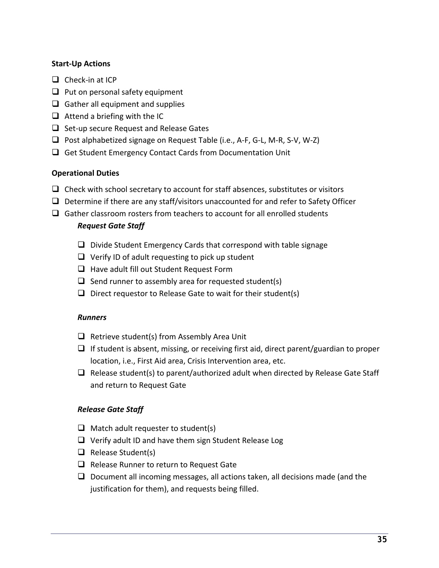# **Start-Up Actions**

- $\Box$  Check-in at ICP
- $\Box$  Put on personal safety equipment
- $\Box$  Gather all equipment and supplies
- $\Box$  Attend a briefing with the IC
- $\Box$  Set-up secure Request and Release Gates
- $\Box$  Post alphabetized signage on Request Table (i.e., A-F, G-L, M-R, S-V, W-Z)
- $\Box$  Get Student Emergency Contact Cards from Documentation Unit

# **Operational Duties**

- $\Box$  Check with school secretary to account for staff absences, substitutes or visitors
- $\Box$  Determine if there are any staff/visitors unaccounted for and refer to Safety Officer
- $\Box$  Gather classroom rosters from teachers to account for all enrolled students

## *Request Gate Staff*

- $\Box$  Divide Student Emergency Cards that correspond with table signage
- $\Box$  Verify ID of adult requesting to pick up student
- $\Box$  Have adult fill out Student Request Form
- $\Box$  Send runner to assembly area for requested student(s)
- $\Box$  Direct requestor to Release Gate to wait for their student(s)

### *Runners*

- $\Box$  Retrieve student(s) from Assembly Area Unit
- $\Box$  If student is absent, missing, or receiving first aid, direct parent/guardian to proper location, i.e., First Aid area, Crisis Intervention area, etc.
- $\Box$  Release student(s) to parent/authorized adult when directed by Release Gate Staff and return to Request Gate

### *Release Gate Staff*

- $\Box$  Match adult requester to student(s)
- $\Box$  Verify adult ID and have them sign Student Release Log
- $\Box$  Release Student(s)
- $\Box$  Release Runner to return to Request Gate
- $\Box$  Document all incoming messages, all actions taken, all decisions made (and the justification for them), and requests being filled.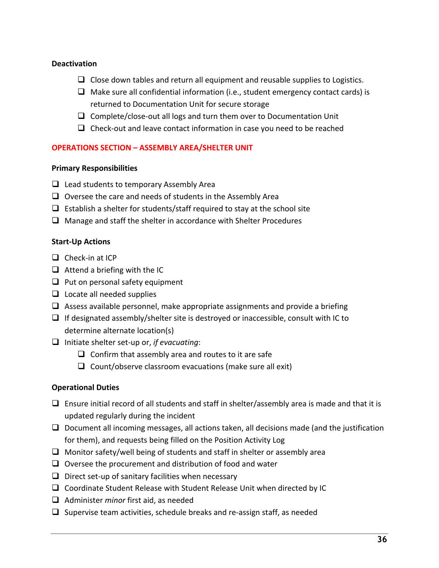# **Deactivation**

- $\Box$  Close down tables and return all equipment and reusable supplies to Logistics.
- $\Box$  Make sure all confidential information (i.e., student emergency contact cards) is returned to Documentation Unit for secure storage
- $\Box$  Complete/close-out all logs and turn them over to Documentation Unit
- $\Box$  Check-out and leave contact information in case you need to be reached

## **OPERATIONS SECTION – ASSEMBLY AREA/SHELTER UNIT**

## **Primary Responsibilities**

- $\Box$  Lead students to temporary Assembly Area
- $\Box$  Oversee the care and needs of students in the Assembly Area
- $\Box$  Establish a shelter for students/staff required to stay at the school site
- $\Box$  Manage and staff the shelter in accordance with Shelter Procedures

### **Start-Up Actions**

- $\Box$  Check-in at ICP
- $\Box$  Attend a briefing with the IC
- $\Box$  Put on personal safety equipment
- $\Box$  Locate all needed supplies
- $\Box$  Assess available personnel, make appropriate assignments and provide a briefing
- $\Box$  If designated assembly/shelter site is destroyed or inaccessible, consult with IC to determine alternate location(s)
- q Initiate shelter set-up or, *if evacuating*:
	- $\Box$  Confirm that assembly area and routes to it are safe
	- $\Box$  Count/observe classroom evacuations (make sure all exit)

# **Operational Duties**

- $\Box$  Ensure initial record of all students and staff in shelter/assembly area is made and that it is updated regularly during the incident
- $\Box$  Document all incoming messages, all actions taken, all decisions made (and the justification for them), and requests being filled on the Position Activity Log
- $\Box$  Monitor safety/well being of students and staff in shelter or assembly area
- $\Box$  Oversee the procurement and distribution of food and water
- $\Box$  Direct set-up of sanitary facilities when necessary
- $\Box$  Coordinate Student Release with Student Release Unit when directed by IC
- □ Administer *minor* first aid, as needed
- $\Box$  Supervise team activities, schedule breaks and re-assign staff, as needed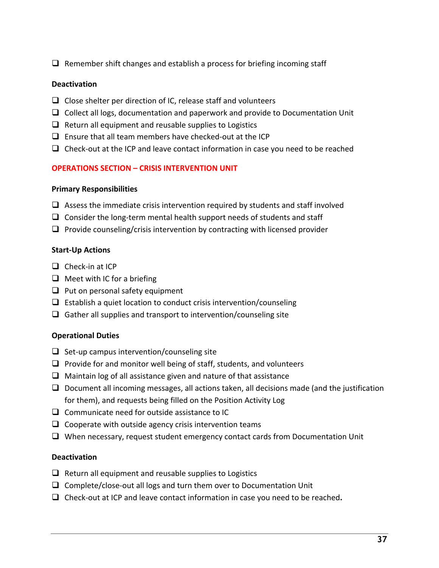$\Box$  Remember shift changes and establish a process for briefing incoming staff

# **Deactivation**

- $\Box$  Close shelter per direction of IC, release staff and volunteers
- $\Box$  Collect all logs, documentation and paperwork and provide to Documentation Unit
- $\Box$  Return all equipment and reusable supplies to Logistics
- $\Box$  Ensure that all team members have checked-out at the ICP
- $\Box$  Check-out at the ICP and leave contact information in case you need to be reached

## **OPERATIONS SECTION – CRISIS INTERVENTION UNIT**

### **Primary Responsibilities**

- $\Box$  Assess the immediate crisis intervention required by students and staff involved
- $\Box$  Consider the long-term mental health support needs of students and staff
- $\Box$  Provide counseling/crisis intervention by contracting with licensed provider

## **Start-Up Actions**

- $\Box$  Check-in at ICP
- $\Box$  Meet with IC for a briefing
- $\Box$  Put on personal safety equipment
- $\Box$  Establish a quiet location to conduct crisis intervention/counseling
- $\Box$  Gather all supplies and transport to intervention/counseling site

### **Operational Duties**

- $\Box$  Set-up campus intervention/counseling site
- $\Box$  Provide for and monitor well being of staff, students, and volunteers
- $\Box$  Maintain log of all assistance given and nature of that assistance
- $\Box$  Document all incoming messages, all actions taken, all decisions made (and the justification for them), and requests being filled on the Position Activity Log
- $\Box$  Communicate need for outside assistance to IC
- $\Box$  Cooperate with outside agency crisis intervention teams
- $\Box$  When necessary, request student emergency contact cards from Documentation Unit

# **Deactivation**

- $\Box$  Return all equipment and reusable supplies to Logistics
- $\Box$  Complete/close-out all logs and turn them over to Documentation Unit
- □ Check-out at ICP and leave contact information in case you need to be reached.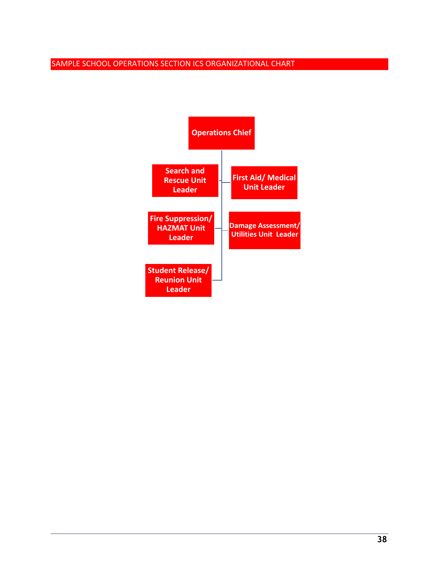# SAMPLE SCHOOL OPERATIONS SECTION ICS ORGANIZATIONAL CHART

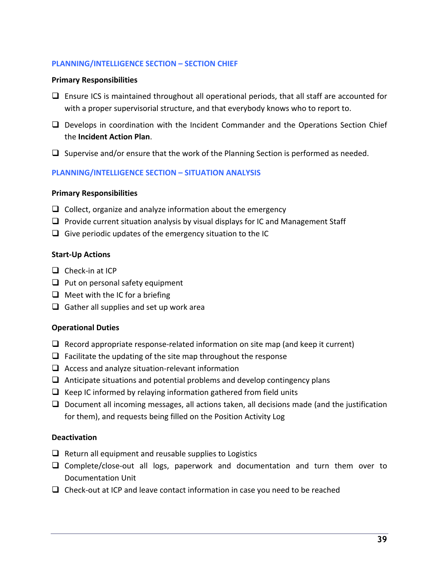## **PLANNING/INTELLIGENCE SECTION – SECTION CHIEF**

#### **Primary Responsibilities**

- $\Box$  Ensure ICS is maintained throughout all operational periods, that all staff are accounted for with a proper supervisorial structure, and that everybody knows who to report to.
- $\Box$  Develops in coordination with the Incident Commander and the Operations Section Chief the **Incident Action Plan**.
- $\Box$  Supervise and/or ensure that the work of the Planning Section is performed as needed.

### **PLANNING/INTELLIGENCE SECTION – SITUATION ANALYSIS**

#### **Primary Responsibilities**

- $\Box$  Collect, organize and analyze information about the emergency
- $\Box$  Provide current situation analysis by visual displays for IC and Management Staff
- $\Box$  Give periodic updates of the emergency situation to the IC

### **Start-Up Actions**

- $\Box$  Check-in at ICP
- $\Box$  Put on personal safety equipment
- $\Box$  Meet with the IC for a briefing
- $\Box$  Gather all supplies and set up work area

### **Operational Duties**

- $\Box$  Record appropriate response-related information on site map (and keep it current)
- $\Box$  Facilitate the updating of the site map throughout the response
- $\Box$  Access and analyze situation-relevant information
- $\Box$  Anticipate situations and potential problems and develop contingency plans
- $\Box$  Keep IC informed by relaying information gathered from field units
- $\Box$  Document all incoming messages, all actions taken, all decisions made (and the justification for them), and requests being filled on the Position Activity Log

### **Deactivation**

- $\Box$  Return all equipment and reusable supplies to Logistics
- $\Box$  Complete/close-out all logs, paperwork and documentation and turn them over to Documentation Unit
- $\Box$  Check-out at ICP and leave contact information in case you need to be reached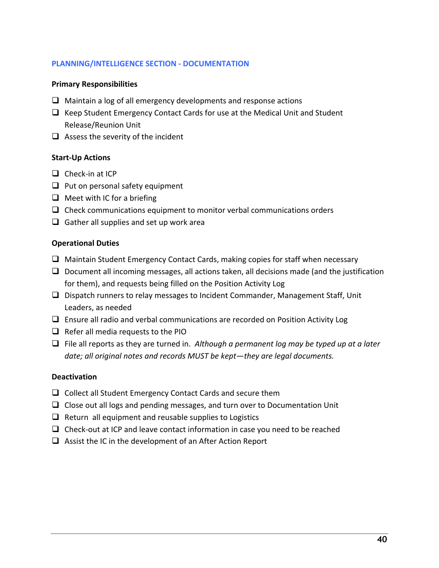## **PLANNING/INTELLIGENCE SECTION - DOCUMENTATION**

## **Primary Responsibilities**

- $\Box$  Maintain a log of all emergency developments and response actions
- $\Box$  Keep Student Emergency Contact Cards for use at the Medical Unit and Student Release/Reunion Unit
- $\Box$  Assess the severity of the incident

## **Start-Up Actions**

- $\Box$  Check-in at ICP
- $\Box$  Put on personal safety equipment
- $\Box$  Meet with IC for a briefing
- $\Box$  Check communications equipment to monitor verbal communications orders
- $\Box$  Gather all supplies and set up work area

## **Operational Duties**

- $\Box$  Maintain Student Emergency Contact Cards, making copies for staff when necessary
- $\Box$  Document all incoming messages, all actions taken, all decisions made (and the justification for them), and requests being filled on the Position Activity Log
- $\Box$  Dispatch runners to relay messages to Incident Commander, Management Staff, Unit Leaders, as needed
- $\Box$  Ensure all radio and verbal communications are recorded on Position Activity Log
- $\Box$  Refer all media requests to the PIO
- $\Box$  File all reports as they are turned in. *Although a permanent log may be typed up at a later date; all original notes and records MUST be kept—they are legal documents.*

### **Deactivation**

- $\Box$  Collect all Student Emergency Contact Cards and secure them
- $\Box$  Close out all logs and pending messages, and turn over to Documentation Unit
- $\Box$  Return all equipment and reusable supplies to Logistics
- $\Box$  Check-out at ICP and leave contact information in case you need to be reached
- $\Box$  Assist the IC in the development of an After Action Report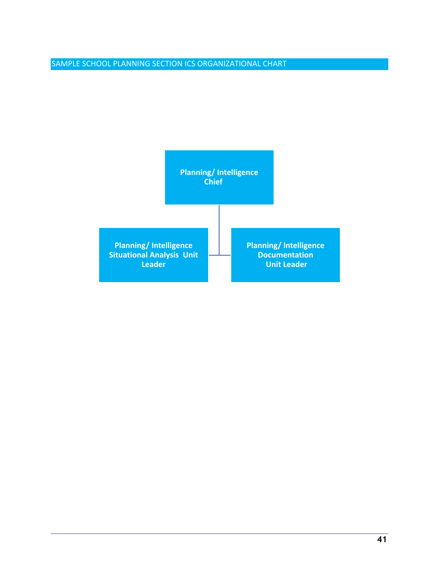# SAMPLE SCHOOL PLANNING SECTION ICS ORGANIZATIONAL CHART

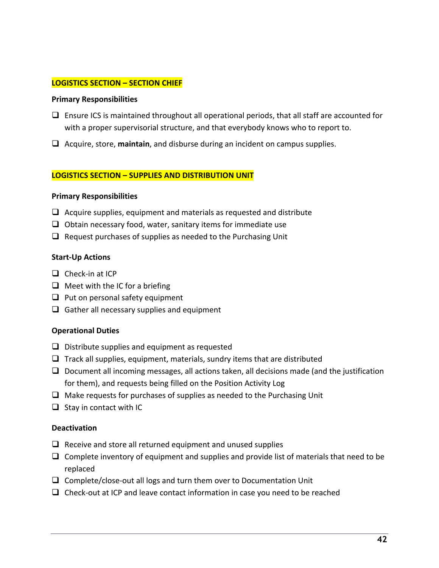## **LOGISTICS SECTION – SECTION CHIEF**

#### **Primary Responsibilities**

- $\Box$  Ensure ICS is maintained throughout all operational periods, that all staff are accounted for with a proper supervisorial structure, and that everybody knows who to report to.
- q Acquire, store, **maintain**, and disburse during an incident on campus supplies.

#### **LOGISTICS SECTION – SUPPLIES AND DISTRIBUTION UNIT**

#### **Primary Responsibilities**

- $\Box$  Acquire supplies, equipment and materials as requested and distribute
- $\Box$  Obtain necessary food, water, sanitary items for immediate use
- $\Box$  Request purchases of supplies as needed to the Purchasing Unit

#### **Start-Up Actions**

- $\Box$  Check-in at ICP
- $\Box$  Meet with the IC for a briefing
- $\Box$  Put on personal safety equipment
- $\Box$  Gather all necessary supplies and equipment

### **Operational Duties**

- $\Box$  Distribute supplies and equipment as requested
- $\Box$  Track all supplies, equipment, materials, sundry items that are distributed
- $\Box$  Document all incoming messages, all actions taken, all decisions made (and the justification for them), and requests being filled on the Position Activity Log
- $\Box$  Make requests for purchases of supplies as needed to the Purchasing Unit
- $\Box$  Stay in contact with IC

### **Deactivation**

- $\Box$  Receive and store all returned equipment and unused supplies
- $\Box$  Complete inventory of equipment and supplies and provide list of materials that need to be replaced
- $\Box$  Complete/close-out all logs and turn them over to Documentation Unit
- $\Box$  Check-out at ICP and leave contact information in case you need to be reached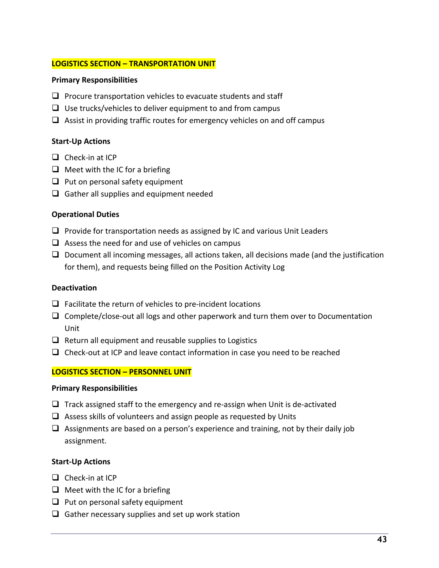### **LOGISTICS SECTION – TRANSPORTATION UNIT**

### **Primary Responsibilities**

- $\Box$  Procure transportation vehicles to evacuate students and staff
- $\Box$  Use trucks/vehicles to deliver equipment to and from campus
- $\Box$  Assist in providing traffic routes for emergency vehicles on and off campus

# **Start-Up Actions**

- $\Box$  Check-in at ICP
- $\Box$  Meet with the IC for a briefing
- $\Box$  Put on personal safety equipment
- $\Box$  Gather all supplies and equipment needed

# **Operational Duties**

- $\Box$  Provide for transportation needs as assigned by IC and various Unit Leaders
- $\Box$  Assess the need for and use of vehicles on campus
- $\Box$  Document all incoming messages, all actions taken, all decisions made (and the justification for them), and requests being filled on the Position Activity Log

### **Deactivation**

- $\Box$  Facilitate the return of vehicles to pre-incident locations
- $\Box$  Complete/close-out all logs and other paperwork and turn them over to Documentation Unit
- $\Box$  Return all equipment and reusable supplies to Logistics
- $\Box$  Check-out at ICP and leave contact information in case you need to be reached

# **LOGISTICS SECTION – PERSONNEL UNIT**

### **Primary Responsibilities**

- $\Box$  Track assigned staff to the emergency and re-assign when Unit is de-activated
- $\Box$  Assess skills of volunteers and assign people as requested by Units
- $\Box$  Assignments are based on a person's experience and training, not by their daily job assignment.

### **Start-Up Actions**

- $\Box$  Check-in at ICP
- $\Box$  Meet with the IC for a briefing
- $\Box$  Put on personal safety equipment
- $\Box$  Gather necessary supplies and set up work station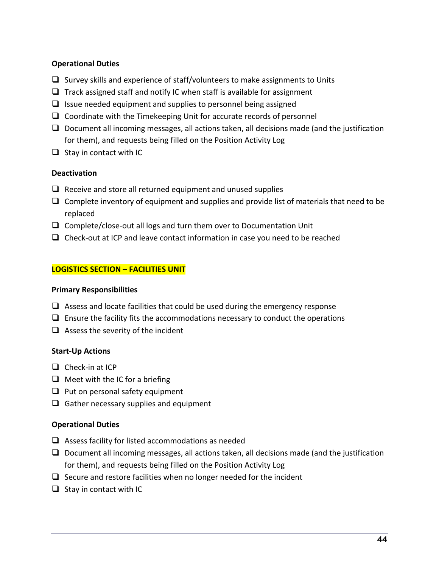# **Operational Duties**

- $\Box$  Survey skills and experience of staff/volunteers to make assignments to Units
- $\Box$  Track assigned staff and notify IC when staff is available for assignment
- $\Box$  Issue needed equipment and supplies to personnel being assigned
- $\Box$  Coordinate with the Timekeeping Unit for accurate records of personnel
- $\Box$  Document all incoming messages, all actions taken, all decisions made (and the justification for them), and requests being filled on the Position Activity Log
- $\Box$  Stay in contact with IC

# **Deactivation**

- $\Box$  Receive and store all returned equipment and unused supplies
- $\Box$  Complete inventory of equipment and supplies and provide list of materials that need to be replaced
- $\Box$  Complete/close-out all logs and turn them over to Documentation Unit
- $\Box$  Check-out at ICP and leave contact information in case you need to be reached

# **LOGISTICS SECTION – FACILITIES UNIT**

# **Primary Responsibilities**

- $\Box$  Assess and locate facilities that could be used during the emergency response
- $\Box$  Ensure the facility fits the accommodations necessary to conduct the operations
- $\Box$  Assess the severity of the incident

# **Start-Up Actions**

- $\Box$  Check-in at ICP
- $\Box$  Meet with the IC for a briefing
- $\Box$  Put on personal safety equipment
- $\Box$  Gather necessary supplies and equipment

# **Operational Duties**

- $\Box$  Assess facility for listed accommodations as needed
- $\Box$  Document all incoming messages, all actions taken, all decisions made (and the justification for them), and requests being filled on the Position Activity Log
- $\Box$  Secure and restore facilities when no longer needed for the incident
- $\Box$  Stay in contact with IC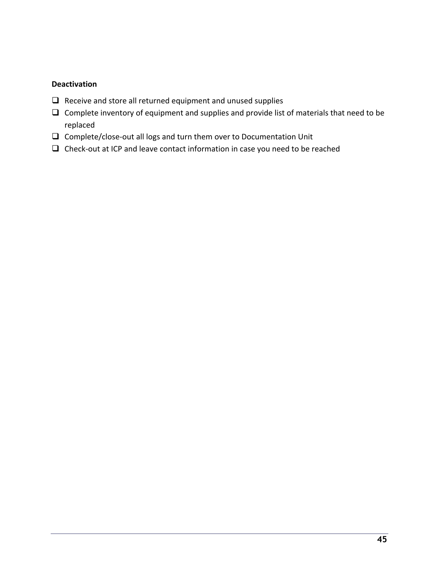# **Deactivation**

- $\Box$  Receive and store all returned equipment and unused supplies
- $\Box$  Complete inventory of equipment and supplies and provide list of materials that need to be replaced
- $\Box$  Complete/close-out all logs and turn them over to Documentation Unit
- $\Box$  Check-out at ICP and leave contact information in case you need to be reached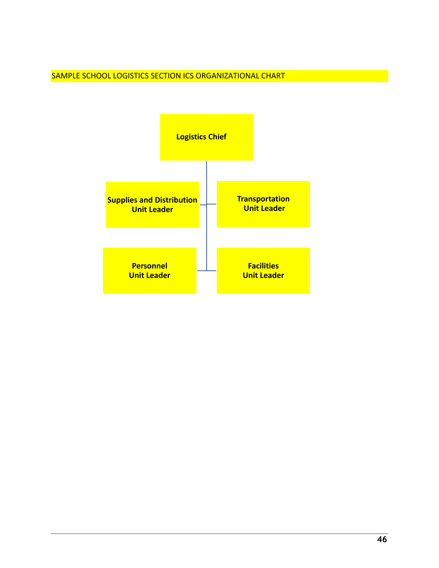SAMPLE SCHOOL LOGISTICS SECTION ICS ORGANIZATIONAL CHART

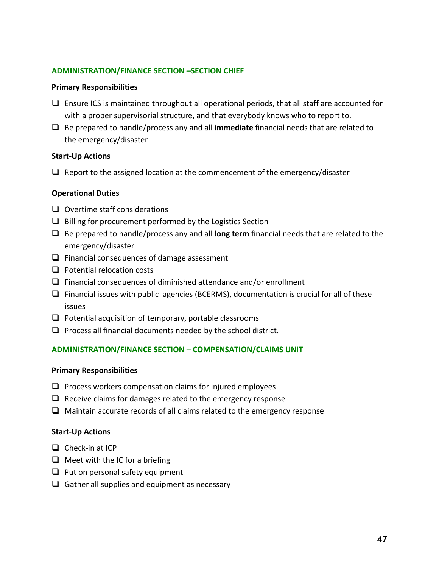### **ADMINISTRATION/FINANCE SECTION –SECTION CHIEF**

#### **Primary Responsibilities**

- $\Box$  Ensure ICS is maintained throughout all operational periods, that all staff are accounted for with a proper supervisorial structure, and that everybody knows who to report to.
- q Be prepared to handle/process any and all **immediate** financial needs that are related to the emergency/disaster

#### **Start-Up Actions**

 $\Box$  Report to the assigned location at the commencement of the emergency/disaster

### **Operational Duties**

- $\Box$  Overtime staff considerations
- $\Box$  Billing for procurement performed by the Logistics Section
- q Be prepared to handle/process any and all **long term** financial needs that are related to the emergency/disaster
- $\Box$  Financial consequences of damage assessment
- $\Box$  Potential relocation costs
- $\Box$  Financial consequences of diminished attendance and/or enrollment
- $\Box$  Financial issues with public agencies (BCERMS), documentation is crucial for all of these issues
- $\Box$  Potential acquisition of temporary, portable classrooms
- $\Box$  Process all financial documents needed by the school district.

### **ADMINISTRATION/FINANCE SECTION – COMPENSATION/CLAIMS UNIT**

### **Primary Responsibilities**

- $\Box$  Process workers compensation claims for injured employees
- $\Box$  Receive claims for damages related to the emergency response
- $\Box$  Maintain accurate records of all claims related to the emergency response

### **Start-Up Actions**

- $\Box$  Check-in at ICP
- $\Box$  Meet with the IC for a briefing
- $\Box$  Put on personal safety equipment
- $\Box$  Gather all supplies and equipment as necessary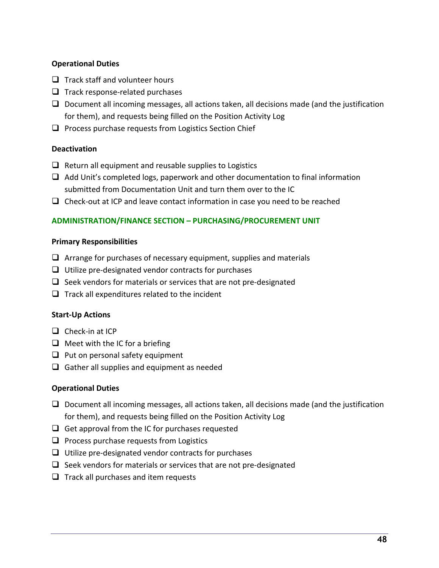# **Operational Duties**

- $\Box$  Track staff and volunteer hours
- $\Box$  Track response-related purchases
- $\Box$  Document all incoming messages, all actions taken, all decisions made (and the justification for them), and requests being filled on the Position Activity Log
- $\Box$  Process purchase requests from Logistics Section Chief

# **Deactivation**

- $\Box$  Return all equipment and reusable supplies to Logistics
- $\Box$  Add Unit's completed logs, paperwork and other documentation to final information submitted from Documentation Unit and turn them over to the IC
- $\Box$  Check-out at ICP and leave contact information in case you need to be reached

# **ADMINISTRATION/FINANCE SECTION – PURCHASING/PROCUREMENT UNIT**

## **Primary Responsibilities**

- $\Box$  Arrange for purchases of necessary equipment, supplies and materials
- $\Box$  Utilize pre-designated vendor contracts for purchases
- $\Box$  Seek vendors for materials or services that are not pre-designated
- $\Box$  Track all expenditures related to the incident

# **Start-Up Actions**

- $\Box$  Check-in at ICP
- $\Box$  Meet with the IC for a briefing
- $\Box$  Put on personal safety equipment
- $\Box$  Gather all supplies and equipment as needed

# **Operational Duties**

- $\Box$  Document all incoming messages, all actions taken, all decisions made (and the justification for them), and requests being filled on the Position Activity Log
- $\Box$  Get approval from the IC for purchases requested
- $\Box$  Process purchase requests from Logistics
- $\Box$  Utilize pre-designated vendor contracts for purchases
- $\Box$  Seek vendors for materials or services that are not pre-designated
- $\Box$  Track all purchases and item requests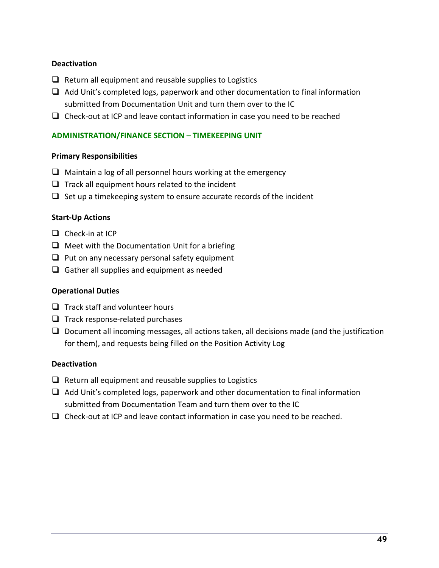## **Deactivation**

- $\Box$  Return all equipment and reusable supplies to Logistics
- $\Box$  Add Unit's completed logs, paperwork and other documentation to final information submitted from Documentation Unit and turn them over to the IC
- $\Box$  Check-out at ICP and leave contact information in case you need to be reached

## **ADMINISTRATION/FINANCE SECTION – TIMEKEEPING UNIT**

### **Primary Responsibilities**

- $\Box$  Maintain a log of all personnel hours working at the emergency
- $\Box$  Track all equipment hours related to the incident
- $\Box$  Set up a timekeeping system to ensure accurate records of the incident

### **Start-Up Actions**

- $\Box$  Check-in at ICP
- $\Box$  Meet with the Documentation Unit for a briefing
- $\Box$  Put on any necessary personal safety equipment
- $\Box$  Gather all supplies and equipment as needed

### **Operational Duties**

- $\Box$  Track staff and volunteer hours
- $\Box$  Track response-related purchases
- $\Box$  Document all incoming messages, all actions taken, all decisions made (and the justification for them), and requests being filled on the Position Activity Log

### **Deactivation**

- $\Box$  Return all equipment and reusable supplies to Logistics
- $\Box$  Add Unit's completed logs, paperwork and other documentation to final information submitted from Documentation Team and turn them over to the IC
- $\Box$  Check-out at ICP and leave contact information in case you need to be reached.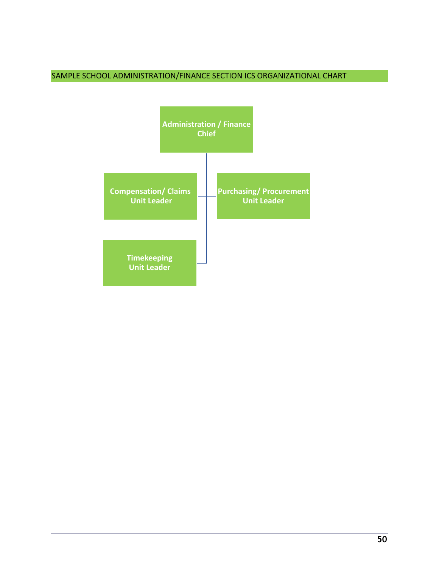# SAMPLE SCHOOL ADMINISTRATION/FINANCE SECTION ICS ORGANIZATIONAL CHART

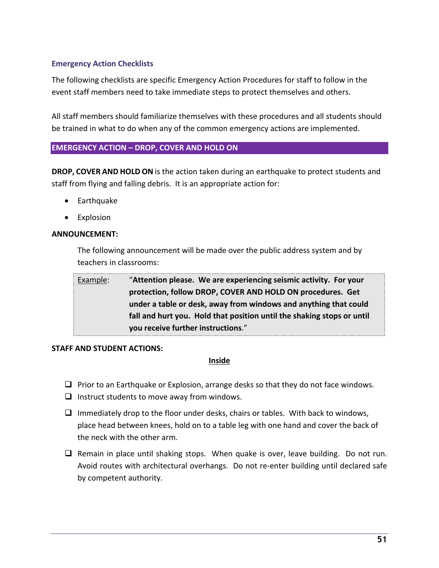# **Emergency Action Checklists**

The following checklists are specific Emergency Action Procedures for staff to follow in the event staff members need to take immediate steps to protect themselves and others.

All staff members should familiarize themselves with these procedures and all students should be trained in what to do when any of the common emergency actions are implemented.

## **EMERGENCY ACTION – DROP, COVER AND HOLD ON**

**DROP, COVER AND HOLD ON** is the action taken during an earthquake to protect students and staff from flying and falling debris. It is an appropriate action for:

- Earthquake
- Explosion

### **ANNOUNCEMENT:**

The following announcement will be made over the public address system and by teachers in classrooms:

| Example: | "Attention please. We are experiencing seismic activity. For your      |
|----------|------------------------------------------------------------------------|
|          | protection, follow DROP, COVER AND HOLD ON procedures. Get             |
|          | under a table or desk, away from windows and anything that could       |
|          | fall and hurt you. Hold that position until the shaking stops or until |
|          | you receive further instructions."                                     |

### **STAFF AND STUDENT ACTIONS:**

### **Inside**

- $\Box$  Prior to an Earthquake or Explosion, arrange desks so that they do not face windows.
- $\Box$  Instruct students to move away from windows.
- $\Box$  Immediately drop to the floor under desks, chairs or tables. With back to windows, place head between knees, hold on to a table leg with one hand and cover the back of the neck with the other arm.
- $\Box$  Remain in place until shaking stops. When quake is over, leave building. Do not run. Avoid routes with architectural overhangs. Do not re-enter building until declared safe by competent authority.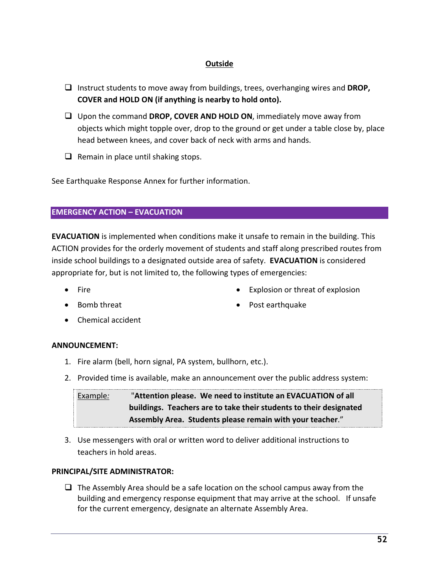# **Outside**

- □ Instruct students to move away from buildings, trees, overhanging wires and **DROP**, **COVER and HOLD ON (if anything is nearby to hold onto).**
- □ Upon the command **DROP, COVER AND HOLD ON**, immediately move away from objects which might topple over, drop to the ground or get under a table close by, place head between knees, and cover back of neck with arms and hands.
- $\Box$  Remain in place until shaking stops.

See Earthquake Response Annex for further information.

## **EMERGENCY ACTION – EVACUATION**

**EVACUATION** is implemented when conditions make it unsafe to remain in the building. This ACTION provides for the orderly movement of students and staff along prescribed routes from inside school buildings to a designated outside area of safety. **EVACUATION** is considered appropriate for, but is not limited to, the following types of emergencies:

- 
- Fire  **Explosion or threat of explosion**
- 
- Bomb threat Post earthquake
- Chemical accident

### **ANNOUNCEMENT:**

- 1. Fire alarm (bell, horn signal, PA system, bullhorn, etc.).
- 2. Provided time is available, make an announcement over the public address system:

Example*:* "**Attention please. We need to institute an EVACUATION of all buildings. Teachers are to take their students to their designated Assembly Area. Students please remain with your teacher**."

3. Use messengers with oral or written word to deliver additional instructions to teachers in hold areas.

# **PRINCIPAL/SITE ADMINISTRATOR:**

 $\Box$  The Assembly Area should be a safe location on the school campus away from the building and emergency response equipment that may arrive at the school. If unsafe for the current emergency, designate an alternate Assembly Area.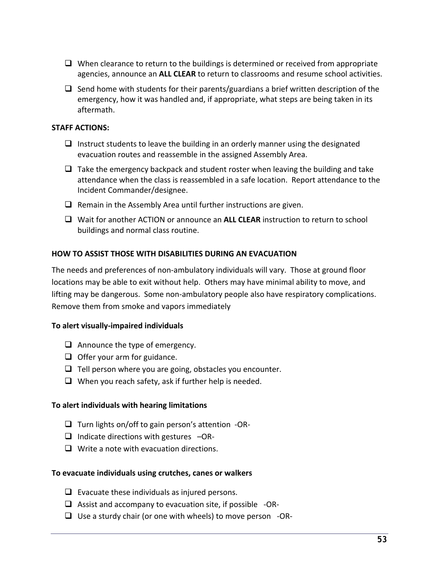- $\Box$  When clearance to return to the buildings is determined or received from appropriate agencies, announce an **ALL CLEAR** to return to classrooms and resume school activities.
- $\Box$  Send home with students for their parents/guardians a brief written description of the emergency, how it was handled and, if appropriate, what steps are being taken in its aftermath.

# **STAFF ACTIONS:**

- $\Box$  Instruct students to leave the building in an orderly manner using the designated evacuation routes and reassemble in the assigned Assembly Area.
- $\Box$  Take the emergency backpack and student roster when leaving the building and take attendance when the class is reassembled in a safe location. Report attendance to the Incident Commander/designee.
- $\Box$  Remain in the Assembly Area until further instructions are given.
- **Q** Wait for another ACTION or announce an **ALL CLEAR** instruction to return to school buildings and normal class routine.

## **HOW TO ASSIST THOSE WITH DISABILITIES DURING AN EVACUATION**

The needs and preferences of non-ambulatory individuals will vary. Those at ground floor locations may be able to exit without help. Others may have minimal ability to move, and lifting may be dangerous. Some non-ambulatory people also have respiratory complications. Remove them from smoke and vapors immediately

### **To alert visually-impaired individuals**

- $\Box$  Announce the type of emergency.
- $\Box$  Offer your arm for guidance.
- $\Box$  Tell person where you are going, obstacles you encounter.
- $\Box$  When you reach safety, ask if further help is needed.

### **To alert individuals with hearing limitations**

- $\Box$  Turn lights on/off to gain person's attention -OR-
- $\Box$  Indicate directions with gestures  $-\text{OR-}$
- $\Box$  Write a note with evacuation directions.

### **To evacuate individuals using crutches, canes or walkers**

- $\Box$  Evacuate these individuals as injured persons.
- $\Box$  Assist and accompany to evacuation site, if possible -OR-
- $\Box$  Use a sturdy chair (or one with wheels) to move person -OR-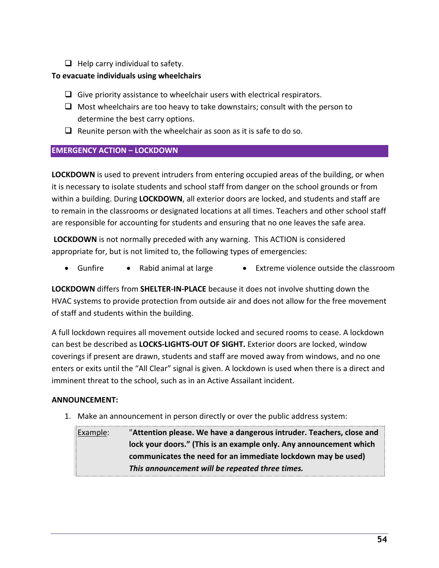$\Box$  Help carry individual to safety.

# **To evacuate individuals using wheelchairs**

- $\Box$  Give priority assistance to wheelchair users with electrical respirators.
- $\Box$  Most wheelchairs are too heavy to take downstairs; consult with the person to determine the best carry options.
- $\Box$  Reunite person with the wheelchair as soon as it is safe to do so.

# **EMERGENCY ACTION – LOCKDOWN**

**LOCKDOWN** is used to prevent intruders from entering occupied areas of the building, or when it is necessary to isolate students and school staff from danger on the school grounds or from within a building. During **LOCKDOWN**, all exterior doors are locked, and students and staff are to remain in the classrooms or designated locations at all times. Teachers and other school staff are responsible for accounting for students and ensuring that no one leaves the safe area.

**LOCKDOWN** is not normally preceded with any warning. This ACTION is considered appropriate for, but is not limited to, the following types of emergencies:

• Gunfire • Rabid animal at large • Extreme violence outside the classroom

**LOCKDOWN** differs from **SHELTER-IN-PLACE** because it does not involve shutting down the HVAC systems to provide protection from outside air and does not allow for the free movement of staff and students within the building.

A full lockdown requires all movement outside locked and secured rooms to cease. A lockdown can best be described as **LOCKS-LIGHTS-OUT OF SIGHT.** Exterior doors are locked, window coverings if present are drawn, students and staff are moved away from windows, and no one enters or exits until the "All Clear" signal is given. A lockdown is used when there is a direct and imminent threat to the school, such as in an Active Assailant incident.

# **ANNOUNCEMENT:**

1. Make an announcement in person directly or over the public address system:

Example: "**Attention please. We have a dangerous intruder. Teachers, close and lock your doors." (This is an example only. Any announcement which communicates the need for an immediate lockdown may be used)**  *This announcement will be repeated three times.*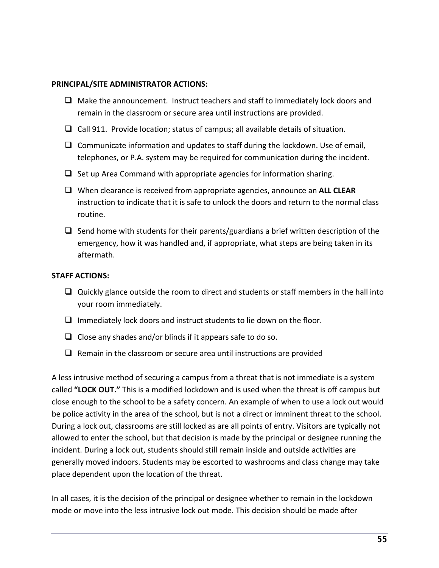### **PRINCIPAL/SITE ADMINISTRATOR ACTIONS:**

- $\Box$  Make the announcement. Instruct teachers and staff to immediately lock doors and remain in the classroom or secure area until instructions are provided.
- $\Box$  Call 911. Provide location; status of campus; all available details of situation.
- $\Box$  Communicate information and updates to staff during the lockdown. Use of email, telephones, or P.A. system may be required for communication during the incident.
- $\Box$  Set up Area Command with appropriate agencies for information sharing.
- q When clearance is received from appropriate agencies, announce an **ALL CLEAR** instruction to indicate that it is safe to unlock the doors and return to the normal class routine.
- $\Box$  Send home with students for their parents/guardians a brief written description of the emergency, how it was handled and, if appropriate, what steps are being taken in its aftermath.

## **STAFF ACTIONS:**

- $\Box$  Quickly glance outside the room to direct and students or staff members in the hall into your room immediately.
- $\Box$  Immediately lock doors and instruct students to lie down on the floor.
- $\Box$  Close any shades and/or blinds if it appears safe to do so.
- $\Box$  Remain in the classroom or secure area until instructions are provided

A less intrusive method of securing a campus from a threat that is not immediate is a system called **"LOCK OUT."** This is a modified lockdown and is used when the threat is off campus but close enough to the school to be a safety concern. An example of when to use a lock out would be police activity in the area of the school, but is not a direct or imminent threat to the school. During a lock out, classrooms are still locked as are all points of entry. Visitors are typically not allowed to enter the school, but that decision is made by the principal or designee running the incident. During a lock out, students should still remain inside and outside activities are generally moved indoors. Students may be escorted to washrooms and class change may take place dependent upon the location of the threat.

In all cases, it is the decision of the principal or designee whether to remain in the lockdown mode or move into the less intrusive lock out mode. This decision should be made after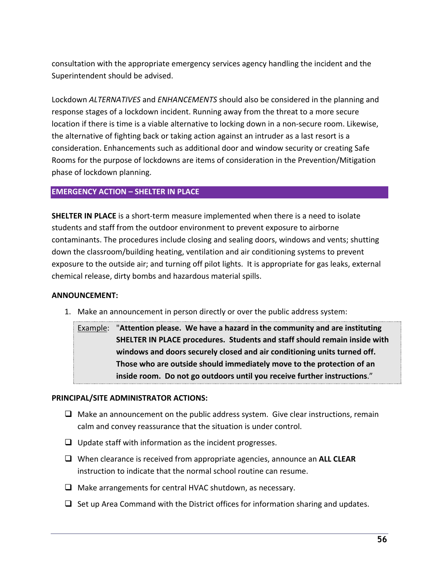consultation with the appropriate emergency services agency handling the incident and the Superintendent should be advised.

Lockdown *ALTERNATIVES* and *ENHANCEMENTS* should also be considered in the planning and response stages of a lockdown incident. Running away from the threat to a more secure location if there is time is a viable alternative to locking down in a non-secure room. Likewise, the alternative of fighting back or taking action against an intruder as a last resort is a consideration. Enhancements such as additional door and window security or creating Safe Rooms for the purpose of lockdowns are items of consideration in the Prevention/Mitigation phase of lockdown planning.

## **EMERGENCY ACTION – SHELTER IN PLACE**

**SHELTER IN PLACE** is a short-term measure implemented when there is a need to isolate students and staff from the outdoor environment to prevent exposure to airborne contaminants. The procedures include closing and sealing doors, windows and vents; shutting down the classroom/building heating, ventilation and air conditioning systems to prevent exposure to the outside air; and turning off pilot lights. It is appropriate for gas leaks, external chemical release, dirty bombs and hazardous material spills.

### **ANNOUNCEMENT:**

1. Make an announcement in person directly or over the public address system:

Example: "**Attention please. We have a hazard in the community and are instituting SHELTER IN PLACE procedures. Students and staff should remain inside with windows and doors securely closed and air conditioning units turned off. Those who are outside should immediately move to the protection of an inside room. Do not go outdoors until you receive further instructions**."

### **PRINCIPAL/SITE ADMINISTRATOR ACTIONS:**

- $\Box$  Make an announcement on the public address system. Give clear instructions, remain calm and convey reassurance that the situation is under control.
- $\Box$  Update staff with information as the incident progresses.
- q When clearance is received from appropriate agencies, announce an **ALL CLEAR** instruction to indicate that the normal school routine can resume.
- $\Box$  Make arrangements for central HVAC shutdown, as necessary.
- $\Box$  Set up Area Command with the District offices for information sharing and updates.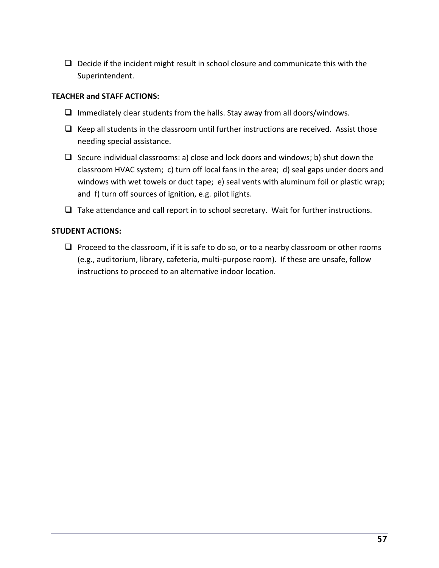$\Box$  Decide if the incident might result in school closure and communicate this with the Superintendent.

# **TEACHER and STAFF ACTIONS:**

- $\Box$  Immediately clear students from the halls. Stay away from all doors/windows.
- $\Box$  Keep all students in the classroom until further instructions are received. Assist those needing special assistance.
- $\Box$  Secure individual classrooms: a) close and lock doors and windows; b) shut down the classroom HVAC system; c) turn off local fans in the area; d) seal gaps under doors and windows with wet towels or duct tape; e) seal vents with aluminum foil or plastic wrap; and f) turn off sources of ignition, e.g. pilot lights.
- $\Box$  Take attendance and call report in to school secretary. Wait for further instructions.

# **STUDENT ACTIONS:**

 $\Box$  Proceed to the classroom, if it is safe to do so, or to a nearby classroom or other rooms (e.g., auditorium, library, cafeteria, multi-purpose room). If these are unsafe, follow instructions to proceed to an alternative indoor location.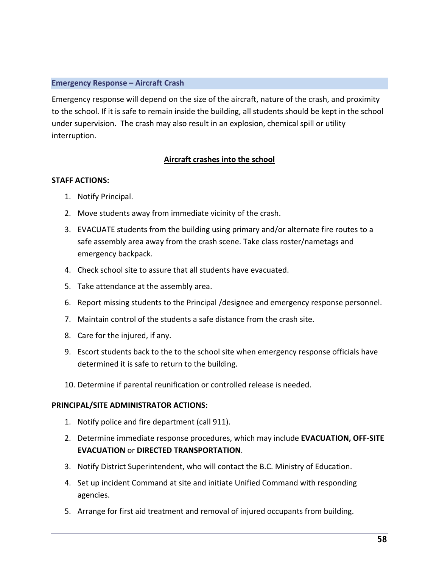### **Emergency Response – Aircraft Crash**

Emergency response will depend on the size of the aircraft, nature of the crash, and proximity to the school. If it is safe to remain inside the building, all students should be kept in the school under supervision. The crash may also result in an explosion, chemical spill or utility interruption.

# **Aircraft crashes into the school**

## **STAFF ACTIONS:**

- 1. Notify Principal.
- 2. Move students away from immediate vicinity of the crash.
- 3. EVACUATE students from the building using primary and/or alternate fire routes to a safe assembly area away from the crash scene. Take class roster/nametags and emergency backpack.
- 4. Check school site to assure that all students have evacuated.
- 5. Take attendance at the assembly area.
- 6. Report missing students to the Principal /designee and emergency response personnel.
- 7. Maintain control of the students a safe distance from the crash site.
- 8. Care for the injured, if any.
- 9. Escort students back to the to the school site when emergency response officials have determined it is safe to return to the building.
- 10. Determine if parental reunification or controlled release is needed.

### **PRINCIPAL/SITE ADMINISTRATOR ACTIONS:**

- 1. Notify police and fire department (call 911).
- 2. Determine immediate response procedures, which may include **EVACUATION, OFF-SITE EVACUATION** or **DIRECTED TRANSPORTATION**.
- 3. Notify District Superintendent, who will contact the B.C. Ministry of Education.
- 4. Set up incident Command at site and initiate Unified Command with responding agencies.
- 5. Arrange for first aid treatment and removal of injured occupants from building.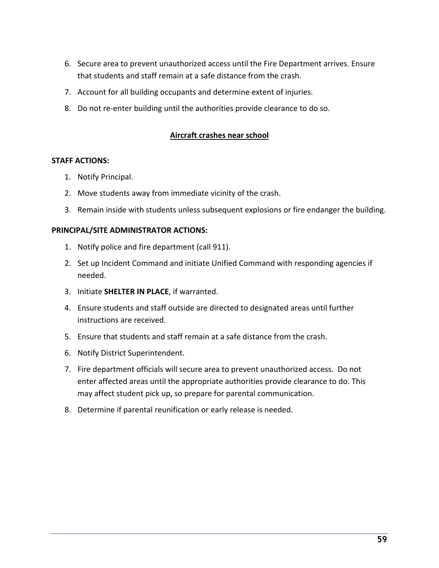- 6. Secure area to prevent unauthorized access until the Fire Department arrives. Ensure that students and staff remain at a safe distance from the crash.
- 7. Account for all building occupants and determine extent of injuries.
- 8. Do not re-enter building until the authorities provide clearance to do so.

## **Aircraft crashes near school**

#### **STAFF ACTIONS:**

- 1. Notify Principal.
- 2. Move students away from immediate vicinity of the crash.
- 3. Remain inside with students unless subsequent explosions or fire endanger the building.

### **PRINCIPAL/SITE ADMINISTRATOR ACTIONS:**

- 1. Notify police and fire department (call 911).
- 2. Set up Incident Command and initiate Unified Command with responding agencies if needed.
- 3. Initiate **SHELTER IN PLACE**, if warranted.
- 4. Ensure students and staff outside are directed to designated areas until further instructions are received.
- 5. Ensure that students and staff remain at a safe distance from the crash.
- 6. Notify District Superintendent.
- 7. Fire department officials will secure area to prevent unauthorized access. Do not enter affected areas until the appropriate authorities provide clearance to do. This may affect student pick up, so prepare for parental communication.
- 8. Determine if parental reunification or early release is needed.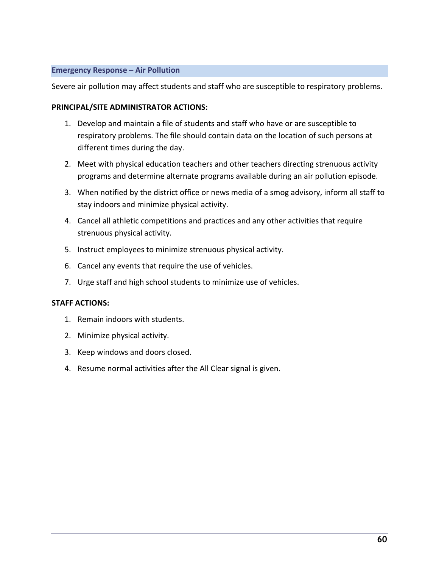### **Emergency Response – Air Pollution**

Severe air pollution may affect students and staff who are susceptible to respiratory problems.

### **PRINCIPAL/SITE ADMINISTRATOR ACTIONS:**

- 1. Develop and maintain a file of students and staff who have or are susceptible to respiratory problems. The file should contain data on the location of such persons at different times during the day.
- 2. Meet with physical education teachers and other teachers directing strenuous activity programs and determine alternate programs available during an air pollution episode.
- 3. When notified by the district office or news media of a smog advisory, inform all staff to stay indoors and minimize physical activity.
- 4. Cancel all athletic competitions and practices and any other activities that require strenuous physical activity.
- 5. Instruct employees to minimize strenuous physical activity.
- 6. Cancel any events that require the use of vehicles.
- 7. Urge staff and high school students to minimize use of vehicles.

### **STAFF ACTIONS:**

- 1. Remain indoors with students.
- 2. Minimize physical activity.
- 3. Keep windows and doors closed.
- 4. Resume normal activities after the All Clear signal is given.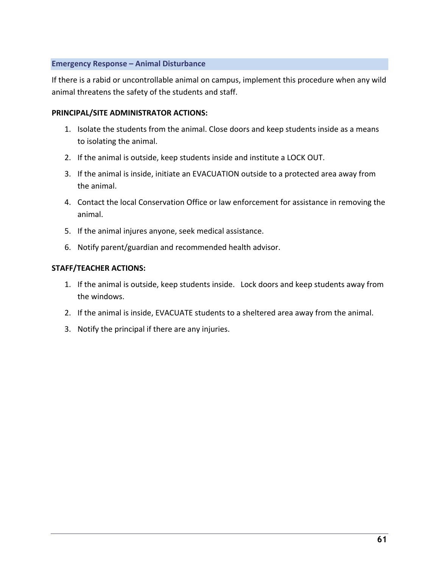### **Emergency Response – Animal Disturbance**

If there is a rabid or uncontrollable animal on campus, implement this procedure when any wild animal threatens the safety of the students and staff.

# **PRINCIPAL/SITE ADMINISTRATOR ACTIONS:**

- 1. Isolate the students from the animal. Close doors and keep students inside as a means to isolating the animal.
- 2. If the animal is outside, keep students inside and institute a LOCK OUT.
- 3. If the animal is inside, initiate an EVACUATION outside to a protected area away from the animal.
- 4. Contact the local Conservation Office or law enforcement for assistance in removing the animal.
- 5. If the animal injures anyone, seek medical assistance.
- 6. Notify parent/guardian and recommended health advisor.

## **STAFF/TEACHER ACTIONS:**

- 1. If the animal is outside, keep students inside. Lock doors and keep students away from the windows.
- 2. If the animal is inside, EVACUATE students to a sheltered area away from the animal.
- 3. Notify the principal if there are any injuries.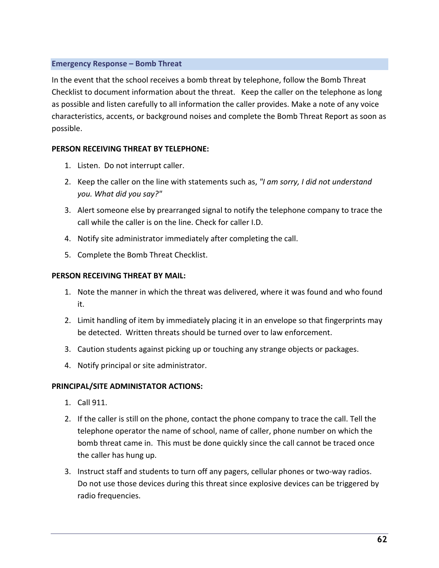## **Emergency Response – Bomb Threat**

In the event that the school receives a bomb threat by telephone, follow the Bomb Threat Checklist to document information about the threat. Keep the caller on the telephone as long as possible and listen carefully to all information the caller provides. Make a note of any voice characteristics, accents, or background noises and complete the Bomb Threat Report as soon as possible.

## **PERSON RECEIVING THREAT BY TELEPHONE:**

- 1. Listen. Do not interrupt caller.
- 2. Keep the caller on the line with statements such as, *"I am sorry, I did not understand you. What did you say?"*
- 3. Alert someone else by prearranged signal to notify the telephone company to trace the call while the caller is on the line. Check for caller I.D.
- 4. Notify site administrator immediately after completing the call.
- 5. Complete the Bomb Threat Checklist.

# **PERSON RECEIVING THREAT BY MAIL:**

- 1. Note the manner in which the threat was delivered, where it was found and who found it.
- 2. Limit handling of item by immediately placing it in an envelope so that fingerprints may be detected. Written threats should be turned over to law enforcement.
- 3. Caution students against picking up or touching any strange objects or packages.
- 4. Notify principal or site administrator.

# **PRINCIPAL/SITE ADMINISTATOR ACTIONS:**

- 1. Call 911.
- 2. If the caller is still on the phone, contact the phone company to trace the call. Tell the telephone operator the name of school, name of caller, phone number on which the bomb threat came in. This must be done quickly since the call cannot be traced once the caller has hung up.
- 3. Instruct staff and students to turn off any pagers, cellular phones or two-way radios. Do not use those devices during this threat since explosive devices can be triggered by radio frequencies.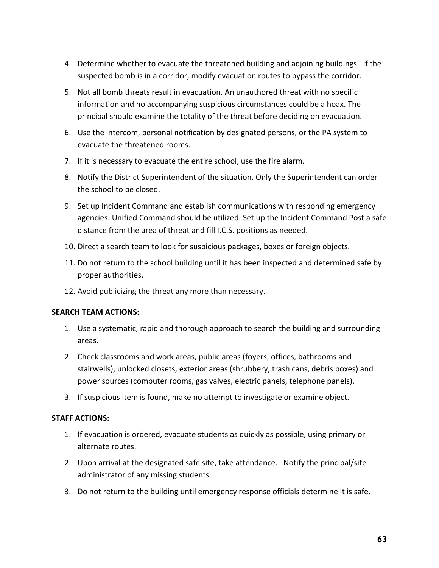- 4. Determine whether to evacuate the threatened building and adjoining buildings. If the suspected bomb is in a corridor, modify evacuation routes to bypass the corridor.
- 5. Not all bomb threats result in evacuation. An unauthored threat with no specific information and no accompanying suspicious circumstances could be a hoax. The principal should examine the totality of the threat before deciding on evacuation.
- 6. Use the intercom, personal notification by designated persons, or the PA system to evacuate the threatened rooms.
- 7. If it is necessary to evacuate the entire school, use the fire alarm.
- 8. Notify the District Superintendent of the situation. Only the Superintendent can order the school to be closed.
- 9. Set up Incident Command and establish communications with responding emergency agencies. Unified Command should be utilized. Set up the Incident Command Post a safe distance from the area of threat and fill I.C.S. positions as needed.
- 10. Direct a search team to look for suspicious packages, boxes or foreign objects.
- 11. Do not return to the school building until it has been inspected and determined safe by proper authorities.
- 12. Avoid publicizing the threat any more than necessary.

### **SEARCH TEAM ACTIONS:**

- 1. Use a systematic, rapid and thorough approach to search the building and surrounding areas.
- 2. Check classrooms and work areas, public areas (foyers, offices, bathrooms and stairwells), unlocked closets, exterior areas (shrubbery, trash cans, debris boxes) and power sources (computer rooms, gas valves, electric panels, telephone panels).
- 3. If suspicious item is found, make no attempt to investigate or examine object.

# **STAFF ACTIONS:**

- 1. If evacuation is ordered, evacuate students as quickly as possible, using primary or alternate routes.
- 2. Upon arrival at the designated safe site, take attendance. Notify the principal/site administrator of any missing students.
- 3. Do not return to the building until emergency response officials determine it is safe.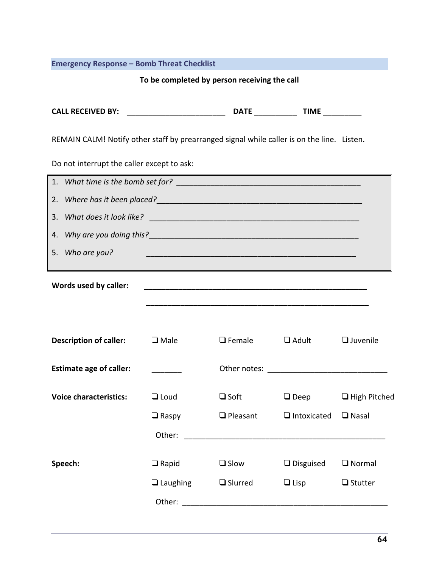# **Emergency Response – Bomb Threat Checklist**

# **To be completed by person receiving the call**

| <b>CALL RECEIVED BY:</b> | . <del>.</del> |  |
|--------------------------|----------------|--|
|                          |                |  |

REMAIN CALM! Notify other staff by prearranged signal while caller is on the line. Listen.

Do not interrupt the caller except to ask:

| 4. |                                |                 |                                                            |                    |                     |  |  |  |  |
|----|--------------------------------|-----------------|------------------------------------------------------------|--------------------|---------------------|--|--|--|--|
| 5. | Who are you?                   |                 |                                                            |                    |                     |  |  |  |  |
|    |                                |                 |                                                            |                    |                     |  |  |  |  |
|    | Words used by caller:          |                 |                                                            |                    |                     |  |  |  |  |
|    |                                |                 |                                                            |                    |                     |  |  |  |  |
|    |                                |                 |                                                            |                    |                     |  |  |  |  |
|    | <b>Description of caller:</b>  | $\Box$ Male     | $\Box$ Female                                              | $\Box$ Adult       | $\Box$ Juvenile     |  |  |  |  |
|    | <b>Estimate age of caller:</b> |                 |                                                            |                    |                     |  |  |  |  |
|    | <b>Voice characteristics:</b>  | $\Box$ Loud     | $\square$ Soft                                             | $\Box$ Deep        | $\Box$ High Pitched |  |  |  |  |
|    |                                | $\Box$ Raspy    | $\Box$ Pleasant                                            | $\Box$ Intoxicated | $\Box$ Nasal        |  |  |  |  |
|    |                                |                 |                                                            |                    |                     |  |  |  |  |
|    |                                |                 |                                                            |                    |                     |  |  |  |  |
|    | Speech:                        | $\Box$ Rapid    | $\Box$ Slow                                                | $\Box$ Disguised   | $\Box$ Normal       |  |  |  |  |
|    |                                | $\Box$ Laughing | $\Box$ Slurred                                             | $\Box$ Lisp        | $\Box$ Stutter      |  |  |  |  |
|    |                                | Other:          | <u> 1980 - John Stein, Amerikaansk politiker (</u> † 1920) |                    |                     |  |  |  |  |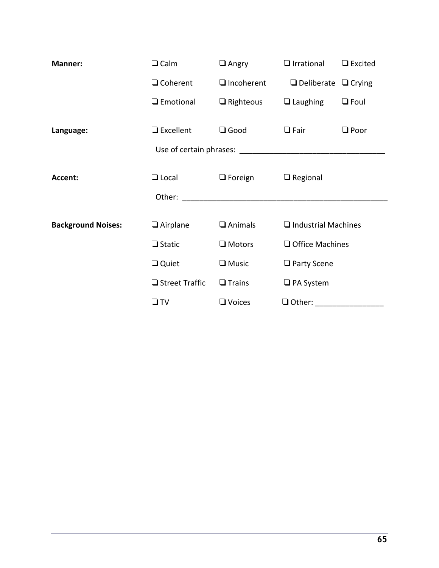| Manner:                   | $\Box$ Calm      | $\Box$ Angry      | $\Box$ Irrational               | $\Box$ Excited |  |
|---------------------------|------------------|-------------------|---------------------------------|----------------|--|
|                           | $\Box$ Coherent  | $\Box$ Incoherent | $\Box$ Deliberate $\Box$ Crying |                |  |
|                           | $\Box$ Emotional | $\Box$ Righteous  | $\Box$ Laughing                 | $\Box$ Foul    |  |
| Language:                 | $\Box$ Excellent | $\Box$ Good       | $\Box$ Fair                     | $\Box$ Poor    |  |
|                           |                  |                   |                                 |                |  |
| Accent:                   | $\Box$ Local     | $\Box$ Foreign    | $\Box$ Regional                 |                |  |
|                           |                  |                   |                                 |                |  |
| <b>Background Noises:</b> | $\Box$ Airplane  | $\Box$ Animals    | $\Box$ Industrial Machines      |                |  |
|                           | $\Box$ Static    | $\Box$ Motors     | $\Box$ Office Machines          |                |  |
|                           | $\Box$ Quiet     | $\square$ Music   | $\Box$ Party Scene              |                |  |
|                           | □ Street Traffic | $\Box$ Trains     | $\Box$ PA System                |                |  |
|                           | $\square$ TV     | $\Box$ Voices     | $\Box$ Other:                   |                |  |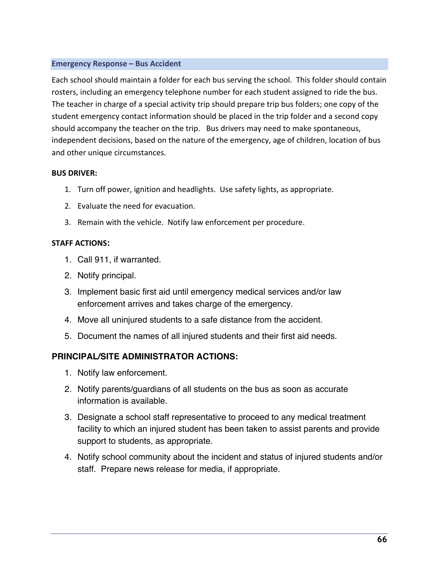## **Emergency Response – Bus Accident**

Each school should maintain a folder for each bus serving the school. This folder should contain rosters, including an emergency telephone number for each student assigned to ride the bus. The teacher in charge of a special activity trip should prepare trip bus folders; one copy of the student emergency contact information should be placed in the trip folder and a second copy should accompany the teacher on the trip. Bus drivers may need to make spontaneous, independent decisions, based on the nature of the emergency, age of children, location of bus and other unique circumstances.

## **BUS DRIVER:**

- 1. Turn off power, ignition and headlights. Use safety lights, as appropriate.
- 2. Evaluate the need for evacuation.
- 3. Remain with the vehicle. Notify law enforcement per procedure.

# **STAFF ACTIONS:**

- 1. Call 911, if warranted.
- 2. Notify principal.
- 3. Implement basic first aid until emergency medical services and/or law enforcement arrives and takes charge of the emergency.
- 4. Move all uninjured students to a safe distance from the accident.
- 5. Document the names of all injured students and their first aid needs.

# **PRINCIPAL/SITE ADMINISTRATOR ACTIONS:**

- 1. Notify law enforcement.
- 2. Notify parents/guardians of all students on the bus as soon as accurate information is available.
- 3. Designate a school staff representative to proceed to any medical treatment facility to which an injured student has been taken to assist parents and provide support to students, as appropriate.
- 4. Notify school community about the incident and status of injured students and/or staff. Prepare news release for media, if appropriate.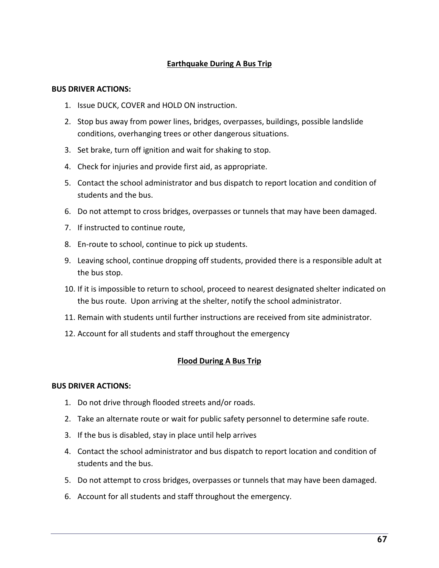# **Earthquake During A Bus Trip**

#### **BUS DRIVER ACTIONS:**

- 1. Issue DUCK, COVER and HOLD ON instruction.
- 2. Stop bus away from power lines, bridges, overpasses, buildings, possible landslide conditions, overhanging trees or other dangerous situations.
- 3. Set brake, turn off ignition and wait for shaking to stop.
- 4. Check for injuries and provide first aid, as appropriate.
- 5. Contact the school administrator and bus dispatch to report location and condition of students and the bus.
- 6. Do not attempt to cross bridges, overpasses or tunnels that may have been damaged.
- 7. If instructed to continue route,
- 8. En-route to school, continue to pick up students.
- 9. Leaving school, continue dropping off students, provided there is a responsible adult at the bus stop.
- 10. If it is impossible to return to school, proceed to nearest designated shelter indicated on the bus route. Upon arriving at the shelter, notify the school administrator.
- 11. Remain with students until further instructions are received from site administrator.
- 12. Account for all students and staff throughout the emergency

### **Flood During A Bus Trip**

### **BUS DRIVER ACTIONS:**

- 1. Do not drive through flooded streets and/or roads.
- 2. Take an alternate route or wait for public safety personnel to determine safe route.
- 3. If the bus is disabled, stay in place until help arrives
- 4. Contact the school administrator and bus dispatch to report location and condition of students and the bus.
- 5. Do not attempt to cross bridges, overpasses or tunnels that may have been damaged.
- 6. Account for all students and staff throughout the emergency.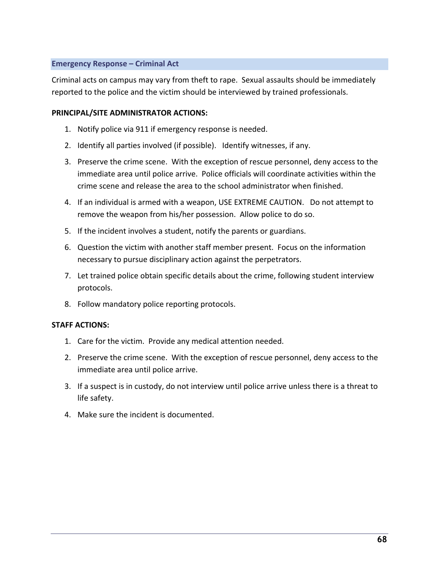## **Emergency Response – Criminal Act**

Criminal acts on campus may vary from theft to rape. Sexual assaults should be immediately reported to the police and the victim should be interviewed by trained professionals.

## **PRINCIPAL/SITE ADMINISTRATOR ACTIONS:**

- 1. Notify police via 911 if emergency response is needed.
- 2. Identify all parties involved (if possible). Identify witnesses, if any.
- 3. Preserve the crime scene. With the exception of rescue personnel, deny access to the immediate area until police arrive. Police officials will coordinate activities within the crime scene and release the area to the school administrator when finished.
- 4. If an individual is armed with a weapon, USE EXTREME CAUTION. Do not attempt to remove the weapon from his/her possession. Allow police to do so.
- 5. If the incident involves a student, notify the parents or guardians.
- 6. Question the victim with another staff member present. Focus on the information necessary to pursue disciplinary action against the perpetrators.
- 7. Let trained police obtain specific details about the crime, following student interview protocols.
- 8. Follow mandatory police reporting protocols.

- 1. Care for the victim. Provide any medical attention needed.
- 2. Preserve the crime scene. With the exception of rescue personnel, deny access to the immediate area until police arrive.
- 3. If a suspect is in custody, do not interview until police arrive unless there is a threat to life safety.
- 4. Make sure the incident is documented.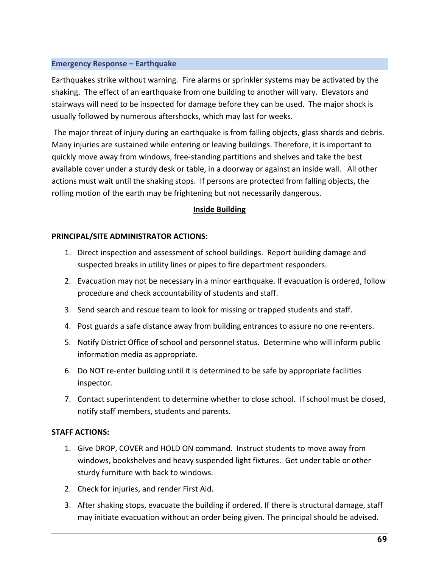## **Emergency Response – Earthquake**

Earthquakes strike without warning. Fire alarms or sprinkler systems may be activated by the shaking. The effect of an earthquake from one building to another will vary. Elevators and stairways will need to be inspected for damage before they can be used. The major shock is usually followed by numerous aftershocks, which may last for weeks.

The major threat of injury during an earthquake is from falling objects, glass shards and debris. Many injuries are sustained while entering or leaving buildings. Therefore, it is important to quickly move away from windows, free-standing partitions and shelves and take the best available cover under a sturdy desk or table, in a doorway or against an inside wall. All other actions must wait until the shaking stops. If persons are protected from falling objects, the rolling motion of the earth may be frightening but not necessarily dangerous.

## **Inside Building**

## **PRINCIPAL/SITE ADMINISTRATOR ACTIONS:**

- 1. Direct inspection and assessment of school buildings. Report building damage and suspected breaks in utility lines or pipes to fire department responders.
- 2. Evacuation may not be necessary in a minor earthquake. If evacuation is ordered, follow procedure and check accountability of students and staff.
- 3. Send search and rescue team to look for missing or trapped students and staff.
- 4. Post guards a safe distance away from building entrances to assure no one re-enters.
- 5. Notify District Office of school and personnel status. Determine who will inform public information media as appropriate.
- 6. Do NOT re-enter building until it is determined to be safe by appropriate facilities inspector.
- 7. Contact superintendent to determine whether to close school. If school must be closed, notify staff members, students and parents.

- 1. Give DROP, COVER and HOLD ON command. Instruct students to move away from windows, bookshelves and heavy suspended light fixtures. Get under table or other sturdy furniture with back to windows.
- 2. Check for injuries, and render First Aid.
- 3. After shaking stops, evacuate the building if ordered. If there is structural damage, staff may initiate evacuation without an order being given. The principal should be advised.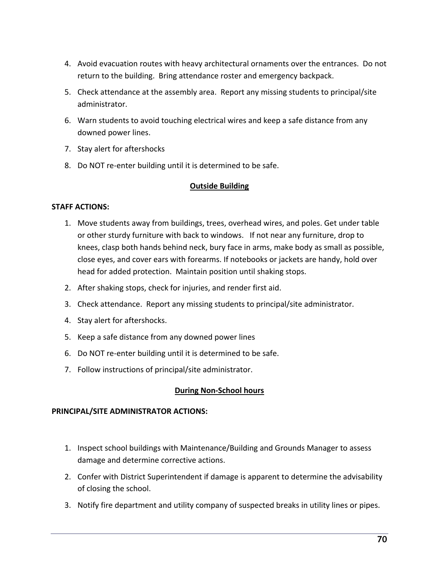- 4. Avoid evacuation routes with heavy architectural ornaments over the entrances. Do not return to the building. Bring attendance roster and emergency backpack.
- 5. Check attendance at the assembly area. Report any missing students to principal/site administrator.
- 6. Warn students to avoid touching electrical wires and keep a safe distance from any downed power lines.
- 7. Stay alert for aftershocks
- 8. Do NOT re-enter building until it is determined to be safe.

# **Outside Building**

## **STAFF ACTIONS:**

- 1. Move students away from buildings, trees, overhead wires, and poles. Get under table or other sturdy furniture with back to windows. If not near any furniture, drop to knees, clasp both hands behind neck, bury face in arms, make body as small as possible, close eyes, and cover ears with forearms. If notebooks or jackets are handy, hold over head for added protection. Maintain position until shaking stops.
- 2. After shaking stops, check for injuries, and render first aid.
- 3. Check attendance. Report any missing students to principal/site administrator.
- 4. Stay alert for aftershocks.
- 5. Keep a safe distance from any downed power lines
- 6. Do NOT re-enter building until it is determined to be safe.
- 7. Follow instructions of principal/site administrator.

# **During Non-School hours**

# **PRINCIPAL/SITE ADMINISTRATOR ACTIONS:**

- 1. Inspect school buildings with Maintenance/Building and Grounds Manager to assess damage and determine corrective actions.
- 2. Confer with District Superintendent if damage is apparent to determine the advisability of closing the school.
- 3. Notify fire department and utility company of suspected breaks in utility lines or pipes.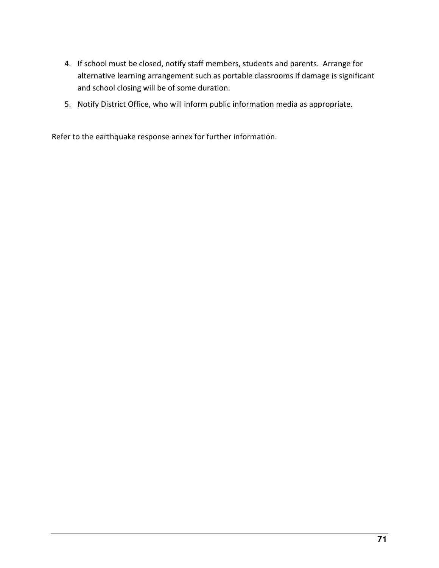- 4. If school must be closed, notify staff members, students and parents. Arrange for alternative learning arrangement such as portable classrooms if damage is significant and school closing will be of some duration.
- 5. Notify District Office, who will inform public information media as appropriate.

Refer to the earthquake response annex for further information.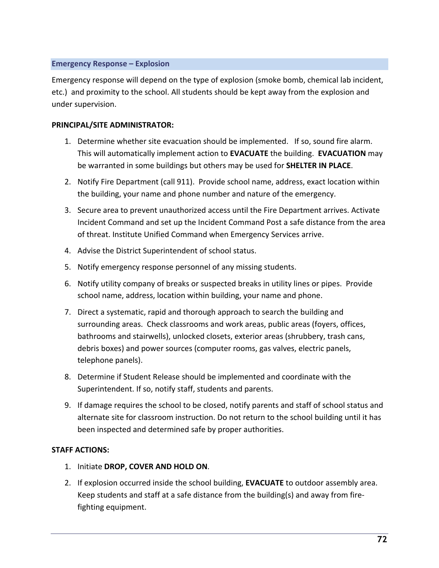## **Emergency Response – Explosion**

Emergency response will depend on the type of explosion (smoke bomb, chemical lab incident, etc.) and proximity to the school. All students should be kept away from the explosion and under supervision.

## **PRINCIPAL/SITE ADMINISTRATOR:**

- 1. Determine whether site evacuation should be implemented. If so, sound fire alarm. This will automatically implement action to **EVACUATE** the building. **EVACUATION** may be warranted in some buildings but others may be used for **SHELTER IN PLACE**.
- 2. Notify Fire Department (call 911). Provide school name, address, exact location within the building, your name and phone number and nature of the emergency.
- 3. Secure area to prevent unauthorized access until the Fire Department arrives. Activate Incident Command and set up the Incident Command Post a safe distance from the area of threat. Institute Unified Command when Emergency Services arrive.
- 4. Advise the District Superintendent of school status.
- 5. Notify emergency response personnel of any missing students.
- 6. Notify utility company of breaks or suspected breaks in utility lines or pipes. Provide school name, address, location within building, your name and phone.
- 7. Direct a systematic, rapid and thorough approach to search the building and surrounding areas. Check classrooms and work areas, public areas (foyers, offices, bathrooms and stairwells), unlocked closets, exterior areas (shrubbery, trash cans, debris boxes) and power sources (computer rooms, gas valves, electric panels, telephone panels).
- 8. Determine if Student Release should be implemented and coordinate with the Superintendent. If so, notify staff, students and parents.
- 9. If damage requires the school to be closed, notify parents and staff of school status and alternate site for classroom instruction. Do not return to the school building until it has been inspected and determined safe by proper authorities.

- 1. Initiate **DROP, COVER AND HOLD ON**.
- 2. If explosion occurred inside the school building, **EVACUATE** to outdoor assembly area. Keep students and staff at a safe distance from the building(s) and away from firefighting equipment.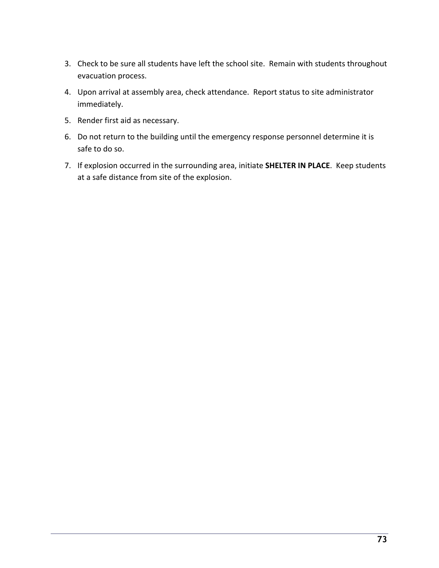- 3. Check to be sure all students have left the school site. Remain with students throughout evacuation process.
- 4. Upon arrival at assembly area, check attendance. Report status to site administrator immediately.
- 5. Render first aid as necessary.
- 6. Do not return to the building until the emergency response personnel determine it is safe to do so.
- 7. If explosion occurred in the surrounding area, initiate **SHELTER IN PLACE**. Keep students at a safe distance from site of the explosion.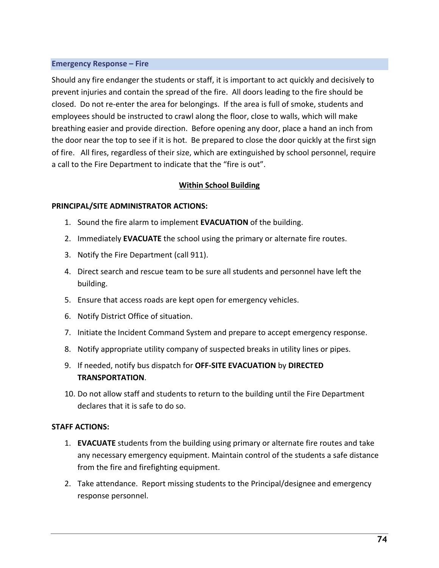### **Emergency Response – Fire**

Should any fire endanger the students or staff, it is important to act quickly and decisively to prevent injuries and contain the spread of the fire. All doors leading to the fire should be closed. Do not re-enter the area for belongings. If the area is full of smoke, students and employees should be instructed to crawl along the floor, close to walls, which will make breathing easier and provide direction. Before opening any door, place a hand an inch from the door near the top to see if it is hot. Be prepared to close the door quickly at the first sign of fire. All fires, regardless of their size, which are extinguished by school personnel, require a call to the Fire Department to indicate that the "fire is out".

# **Within School Building**

### **PRINCIPAL/SITE ADMINISTRATOR ACTIONS:**

- 1. Sound the fire alarm to implement **EVACUATION** of the building.
- 2. Immediately **EVACUATE** the school using the primary or alternate fire routes.
- 3. Notify the Fire Department (call 911).
- 4. Direct search and rescue team to be sure all students and personnel have left the building.
- 5. Ensure that access roads are kept open for emergency vehicles.
- 6. Notify District Office of situation.
- 7. Initiate the Incident Command System and prepare to accept emergency response.
- 8. Notify appropriate utility company of suspected breaks in utility lines or pipes.
- 9. If needed, notify bus dispatch for **OFF-SITE EVACUATION** by **DIRECTED TRANSPORTATION**.
- 10. Do not allow staff and students to return to the building until the Fire Department declares that it is safe to do so.

- 1. **EVACUATE** students from the building using primary or alternate fire routes and take any necessary emergency equipment. Maintain control of the students a safe distance from the fire and firefighting equipment.
- 2. Take attendance. Report missing students to the Principal/designee and emergency response personnel.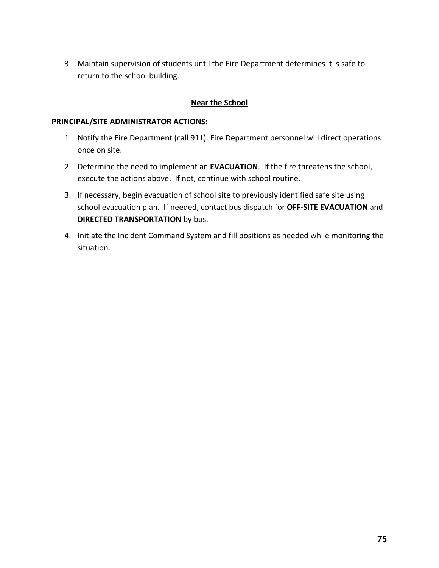3. Maintain supervision of students until the Fire Department determines it is safe to return to the school building.

# **Near the School**

### **PRINCIPAL/SITE ADMINISTRATOR ACTIONS:**

- 1. Notify the Fire Department (call 911). Fire Department personnel will direct operations once on site.
- 2. Determine the need to implement an **EVACUATION**. If the fire threatens the school, execute the actions above. If not, continue with school routine.
- 3. If necessary, begin evacuation of school site to previously identified safe site using school evacuation plan. If needed, contact bus dispatch for **OFF-SITE EVACUATION** and **DIRECTED TRANSPORTATION** by bus.
- 4. Initiate the Incident Command System and fill positions as needed while monitoring the situation.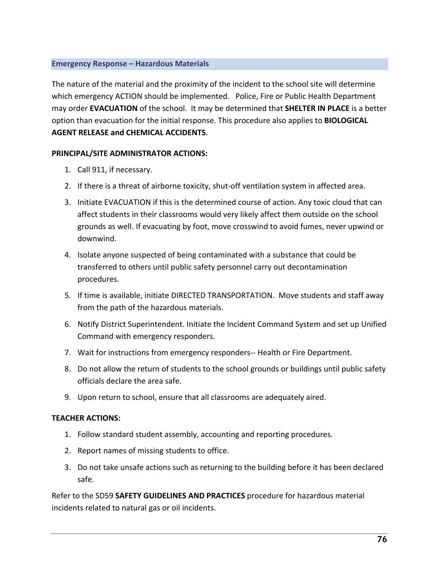### **Emergency Response – Hazardous Materials**

The nature of the material and the proximity of the incident to the school site will determine which emergency ACTION should be implemented. Police, Fire or Public Health Department may order **EVACUATION** of the school. It may be determined that **SHELTER IN PLACE** is a better option than evacuation for the initial response. This procedure also applies to **BIOLOGICAL AGENT RELEASE and CHEMICAL ACCIDENTS**.

# **PRINCIPAL/SITE ADMINISTRATOR ACTIONS:**

- 1. Call 911, if necessary.
- 2. If there is a threat of airborne toxicity, shut-off ventilation system in affected area.
- 3. Initiate EVACUATION if this is the determined course of action. Any toxic cloud that can affect students in their classrooms would very likely affect them outside on the school grounds as well. If evacuating by foot, move crosswind to avoid fumes, never upwind or downwind.
- 4. Isolate anyone suspected of being contaminated with a substance that could be transferred to others until public safety personnel carry out decontamination procedures.
- 5. If time is available, initiate DIRECTED TRANSPORTATION. Move students and staff away from the path of the hazardous materials.
- 6. Notify District Superintendent. Initiate the Incident Command System and set up Unified Command with emergency responders.
- 7. Wait for instructions from emergency responders-- Health or Fire Department.
- 8. Do not allow the return of students to the school grounds or buildings until public safety officials declare the area safe.
- 9. Upon return to school, ensure that all classrooms are adequately aired.

# **TEACHER ACTIONS:**

- 1. Follow standard student assembly, accounting and reporting procedures.
- 2. Report names of missing students to office.
- 3. Do not take unsafe actions such as returning to the building before it has been declared safe.

Refer to the SD59 **SAFETY GUIDELINES AND PRACTICES** procedure for hazardous material incidents related to natural gas or oil incidents.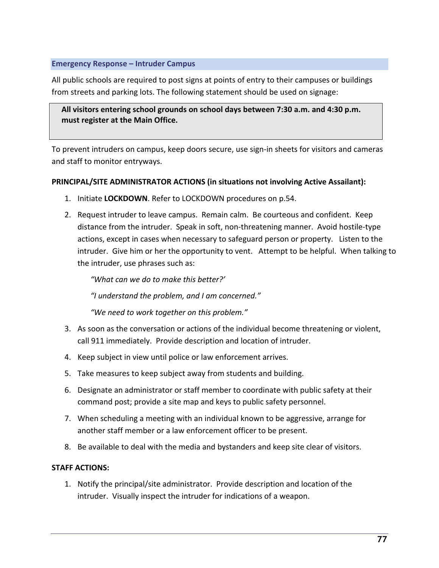### **Emergency Response – Intruder Campus**

All public schools are required to post signs at points of entry to their campuses or buildings from streets and parking lots. The following statement should be used on signage:

**All visitors entering school grounds on school days between 7:30 a.m. and 4:30 p.m. must register at the Main Office.** 

To prevent intruders on campus, keep doors secure, use sign-in sheets for visitors and cameras and staff to monitor entryways.

## **PRINCIPAL/SITE ADMINISTRATOR ACTIONS (in situations not involving Active Assailant):**

- 1. Initiate **LOCKDOWN**. Refer to LOCKDOWN procedures on p.54.
- 2. Request intruder to leave campus. Remain calm. Be courteous and confident. Keep distance from the intruder. Speak in soft, non-threatening manner. Avoid hostile-type actions, except in cases when necessary to safeguard person or property. Listen to the intruder. Give him or her the opportunity to vent. Attempt to be helpful. When talking to the intruder, use phrases such as:

*"What can we do to make this better?'*

*"I understand the problem, and I am concerned."*

*"We need to work together on this problem."*

- 3. As soon as the conversation or actions of the individual become threatening or violent, call 911 immediately. Provide description and location of intruder.
- 4. Keep subject in view until police or law enforcement arrives.
- 5. Take measures to keep subject away from students and building.
- 6. Designate an administrator or staff member to coordinate with public safety at their command post; provide a site map and keys to public safety personnel.
- 7. When scheduling a meeting with an individual known to be aggressive, arrange for another staff member or a law enforcement officer to be present.
- 8. Be available to deal with the media and bystanders and keep site clear of visitors.

### **STAFF ACTIONS:**

1. Notify the principal/site administrator. Provide description and location of the intruder. Visually inspect the intruder for indications of a weapon.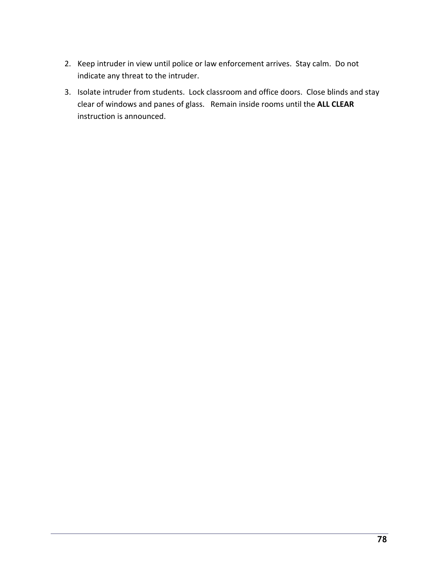- 2. Keep intruder in view until police or law enforcement arrives. Stay calm. Do not indicate any threat to the intruder.
- 3. Isolate intruder from students. Lock classroom and office doors. Close blinds and stay clear of windows and panes of glass. Remain inside rooms until the **ALL CLEAR** instruction is announced.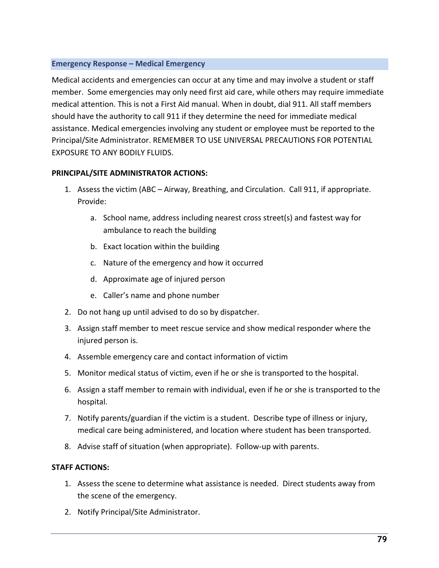## **Emergency Response – Medical Emergency**

Medical accidents and emergencies can occur at any time and may involve a student or staff member. Some emergencies may only need first aid care, while others may require immediate medical attention. This is not a First Aid manual. When in doubt, dial 911. All staff members should have the authority to call 911 if they determine the need for immediate medical assistance. Medical emergencies involving any student or employee must be reported to the Principal/Site Administrator. REMEMBER TO USE UNIVERSAL PRECAUTIONS FOR POTENTIAL EXPOSURE TO ANY BODILY FLUIDS.

# **PRINCIPAL/SITE ADMINISTRATOR ACTIONS:**

- 1. Assess the victim (ABC Airway, Breathing, and Circulation. Call 911, if appropriate. Provide:
	- a. School name, address including nearest cross street(s) and fastest way for ambulance to reach the building
	- b. Exact location within the building
	- c. Nature of the emergency and how it occurred
	- d. Approximate age of injured person
	- e. Caller's name and phone number
- 2. Do not hang up until advised to do so by dispatcher.
- 3. Assign staff member to meet rescue service and show medical responder where the injured person is.
- 4. Assemble emergency care and contact information of victim
- 5. Monitor medical status of victim, even if he or she is transported to the hospital.
- 6. Assign a staff member to remain with individual, even if he or she is transported to the hospital.
- 7. Notify parents/guardian if the victim is a student. Describe type of illness or injury, medical care being administered, and location where student has been transported.
- 8. Advise staff of situation (when appropriate). Follow-up with parents.

- 1. Assess the scene to determine what assistance is needed. Direct students away from the scene of the emergency.
- 2. Notify Principal/Site Administrator.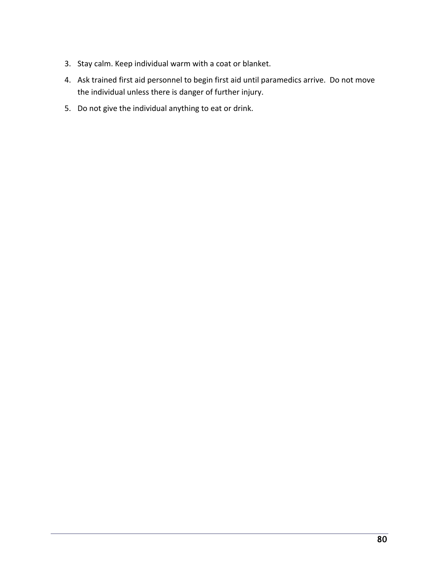- 3. Stay calm. Keep individual warm with a coat or blanket.
- 4. Ask trained first aid personnel to begin first aid until paramedics arrive. Do not move the individual unless there is danger of further injury.
- 5. Do not give the individual anything to eat or drink.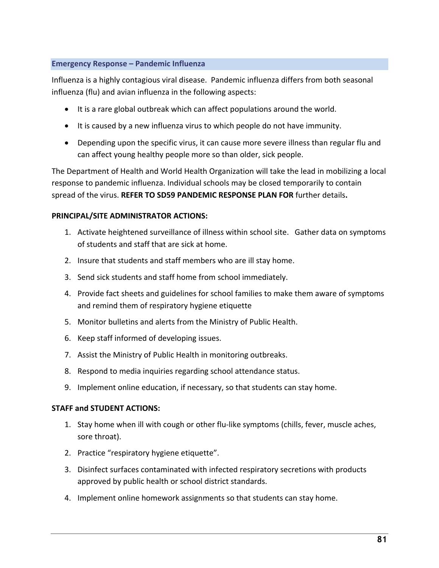## **Emergency Response – Pandemic Influenza**

Influenza is a highly contagious viral disease. Pandemic influenza differs from both seasonal influenza (flu) and avian influenza in the following aspects:

- It is a rare global outbreak which can affect populations around the world.
- It is caused by a new influenza virus to which people do not have immunity.
- Depending upon the specific virus, it can cause more severe illness than regular flu and can affect young healthy people more so than older, sick people.

The Department of Health and World Health Organization will take the lead in mobilizing a local response to pandemic influenza. Individual schools may be closed temporarily to contain spread of the virus. **REFER TO SD59 PANDEMIC RESPONSE PLAN FOR** further details**.**

# **PRINCIPAL/SITE ADMINISTRATOR ACTIONS:**

- 1. Activate heightened surveillance of illness within school site. Gather data on symptoms of students and staff that are sick at home.
- 2. Insure that students and staff members who are ill stay home.
- 3. Send sick students and staff home from school immediately.
- 4. Provide fact sheets and guidelines for school families to make them aware of symptoms and remind them of respiratory hygiene etiquette
- 5. Monitor bulletins and alerts from the Ministry of Public Health.
- 6. Keep staff informed of developing issues.
- 7. Assist the Ministry of Public Health in monitoring outbreaks.
- 8. Respond to media inquiries regarding school attendance status.
- 9. Implement online education, if necessary, so that students can stay home.

# **STAFF and STUDENT ACTIONS:**

- 1. Stay home when ill with cough or other flu-like symptoms (chills, fever, muscle aches, sore throat).
- 2. Practice "respiratory hygiene etiquette".
- 3. Disinfect surfaces contaminated with infected respiratory secretions with products approved by public health or school district standards.
- 4. Implement online homework assignments so that students can stay home.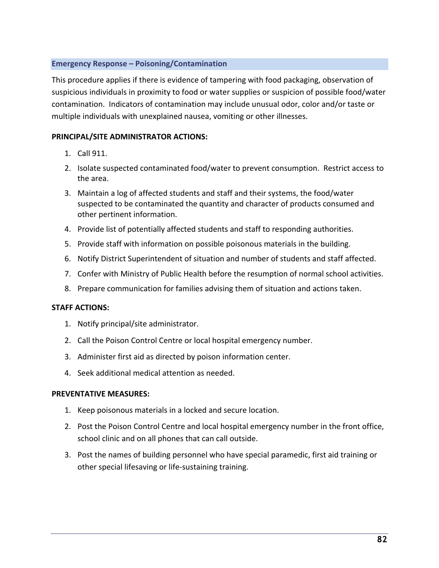### **Emergency Response – Poisoning/Contamination**

This procedure applies if there is evidence of tampering with food packaging, observation of suspicious individuals in proximity to food or water supplies or suspicion of possible food/water contamination. Indicators of contamination may include unusual odor, color and/or taste or multiple individuals with unexplained nausea, vomiting or other illnesses.

## **PRINCIPAL/SITE ADMINISTRATOR ACTIONS:**

- 1. Call 911.
- 2. Isolate suspected contaminated food/water to prevent consumption. Restrict access to the area.
- 3. Maintain a log of affected students and staff and their systems, the food/water suspected to be contaminated the quantity and character of products consumed and other pertinent information.
- 4. Provide list of potentially affected students and staff to responding authorities.
- 5. Provide staff with information on possible poisonous materials in the building.
- 6. Notify District Superintendent of situation and number of students and staff affected.
- 7. Confer with Ministry of Public Health before the resumption of normal school activities.
- 8. Prepare communication for families advising them of situation and actions taken.

### **STAFF ACTIONS:**

- 1. Notify principal/site administrator.
- 2. Call the Poison Control Centre or local hospital emergency number.
- 3. Administer first aid as directed by poison information center.
- 4. Seek additional medical attention as needed.

### **PREVENTATIVE MEASURES:**

- 1. Keep poisonous materials in a locked and secure location.
- 2. Post the Poison Control Centre and local hospital emergency number in the front office, school clinic and on all phones that can call outside.
- 3. Post the names of building personnel who have special paramedic, first aid training or other special lifesaving or life-sustaining training.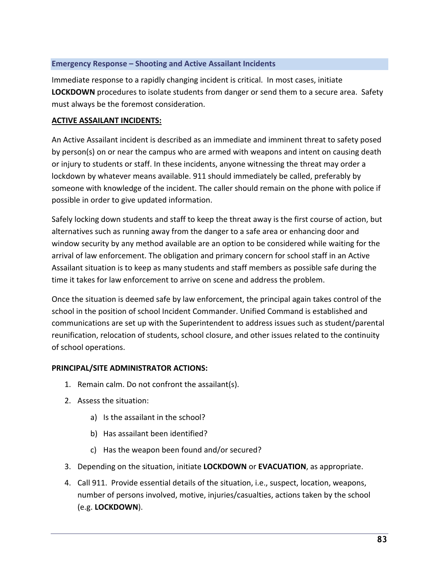## **Emergency Response – Shooting and Active Assailant Incidents**

Immediate response to a rapidly changing incident is critical. In most cases, initiate **LOCKDOWN** procedures to isolate students from danger or send them to a secure area. Safety must always be the foremost consideration.

## **ACTIVE ASSAILANT INCIDENTS:**

An Active Assailant incident is described as an immediate and imminent threat to safety posed by person(s) on or near the campus who are armed with weapons and intent on causing death or injury to students or staff. In these incidents, anyone witnessing the threat may order a lockdown by whatever means available. 911 should immediately be called, preferably by someone with knowledge of the incident. The caller should remain on the phone with police if possible in order to give updated information.

Safely locking down students and staff to keep the threat away is the first course of action, but alternatives such as running away from the danger to a safe area or enhancing door and window security by any method available are an option to be considered while waiting for the arrival of law enforcement. The obligation and primary concern for school staff in an Active Assailant situation is to keep as many students and staff members as possible safe during the time it takes for law enforcement to arrive on scene and address the problem.

Once the situation is deemed safe by law enforcement, the principal again takes control of the school in the position of school Incident Commander. Unified Command is established and communications are set up with the Superintendent to address issues such as student/parental reunification, relocation of students, school closure, and other issues related to the continuity of school operations.

# **PRINCIPAL/SITE ADMINISTRATOR ACTIONS:**

- 1. Remain calm. Do not confront the assailant(s).
- 2. Assess the situation:
	- a) Is the assailant in the school?
	- b) Has assailant been identified?
	- c) Has the weapon been found and/or secured?
- 3. Depending on the situation, initiate **LOCKDOWN** or **EVACUATION**, as appropriate.
- 4. Call 911. Provide essential details of the situation, i.e., suspect, location, weapons, number of persons involved, motive, injuries/casualties, actions taken by the school (e.g. **LOCKDOWN**).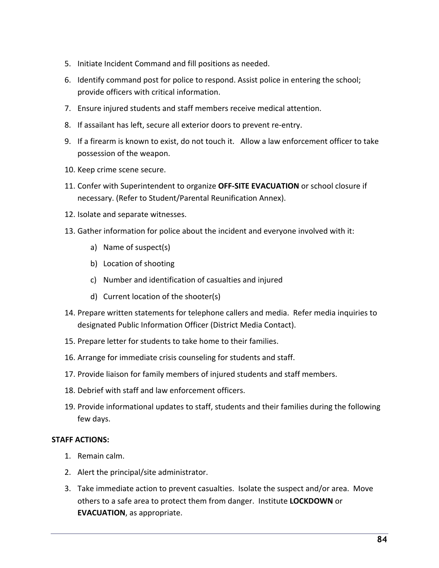- 5. Initiate Incident Command and fill positions as needed.
- 6. Identify command post for police to respond. Assist police in entering the school; provide officers with critical information.
- 7. Ensure injured students and staff members receive medical attention.
- 8. If assailant has left, secure all exterior doors to prevent re-entry.
- 9. If a firearm is known to exist, do not touch it. Allow a law enforcement officer to take possession of the weapon.
- 10. Keep crime scene secure.
- 11. Confer with Superintendent to organize **OFF-SITE EVACUATION** or school closure if necessary. (Refer to Student/Parental Reunification Annex).
- 12. Isolate and separate witnesses.
- 13. Gather information for police about the incident and everyone involved with it:
	- a) Name of suspect(s)
	- b) Location of shooting
	- c) Number and identification of casualties and injured
	- d) Current location of the shooter(s)
- 14. Prepare written statements for telephone callers and media. Refer media inquiries to designated Public Information Officer (District Media Contact).
- 15. Prepare letter for students to take home to their families.
- 16. Arrange for immediate crisis counseling for students and staff.
- 17. Provide liaison for family members of injured students and staff members.
- 18. Debrief with staff and law enforcement officers.
- 19. Provide informational updates to staff, students and their families during the following few days.

- 1. Remain calm.
- 2. Alert the principal/site administrator.
- 3. Take immediate action to prevent casualties. Isolate the suspect and/or area. Move others to a safe area to protect them from danger. Institute **LOCKDOWN** or **EVACUATION**, as appropriate.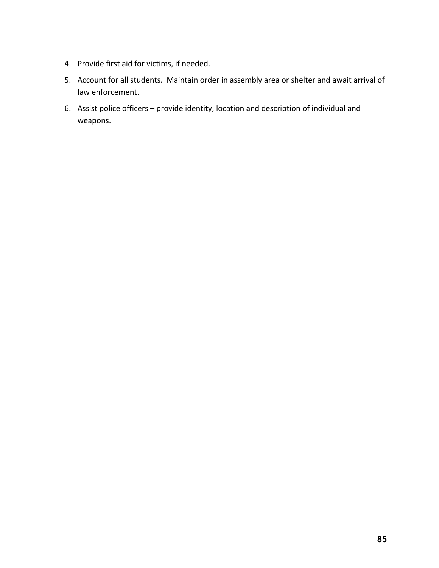- 4. Provide first aid for victims, if needed.
- 5. Account for all students. Maintain order in assembly area or shelter and await arrival of law enforcement.
- 6. Assist police officers provide identity, location and description of individual and weapons.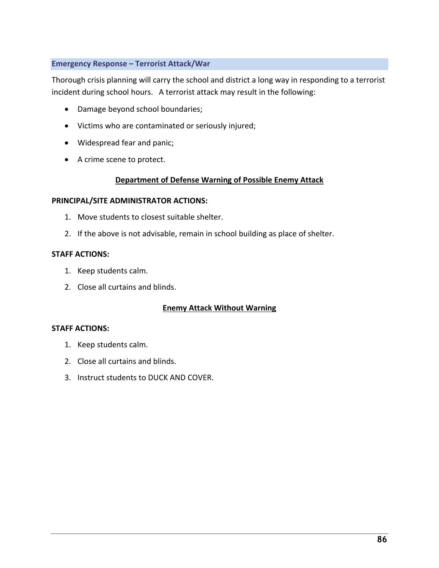## **Emergency Response – Terrorist Attack/War**

Thorough crisis planning will carry the school and district a long way in responding to a terrorist incident during school hours. A terrorist attack may result in the following:

- Damage beyond school boundaries;
- Victims who are contaminated or seriously injured;
- Widespread fear and panic;
- A crime scene to protect.

# **Department of Defense Warning of Possible Enemy Attack**

## **PRINCIPAL/SITE ADMINISTRATOR ACTIONS:**

- 1. Move students to closest suitable shelter.
- 2. If the above is not advisable, remain in school building as place of shelter.

## **STAFF ACTIONS:**

- 1. Keep students calm.
- 2. Close all curtains and blinds.

# **Enemy Attack Without Warning**

- 1. Keep students calm.
- 2. Close all curtains and blinds.
- 3. Instruct students to DUCK AND COVER.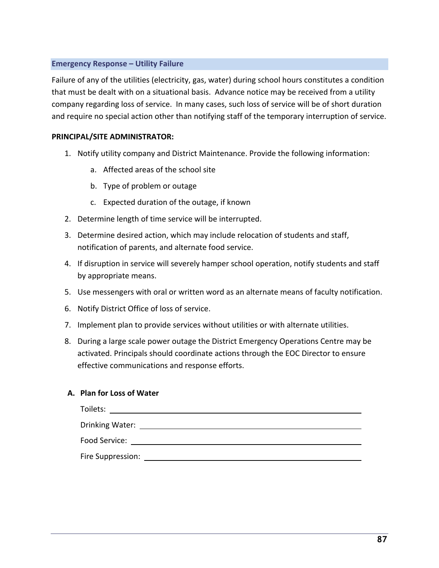## **Emergency Response – Utility Failure**

Failure of any of the utilities (electricity, gas, water) during school hours constitutes a condition that must be dealt with on a situational basis. Advance notice may be received from a utility company regarding loss of service. In many cases, such loss of service will be of short duration and require no special action other than notifying staff of the temporary interruption of service.

### **PRINCIPAL/SITE ADMINISTRATOR:**

- 1. Notify utility company and District Maintenance. Provide the following information:
	- a. Affected areas of the school site
	- b. Type of problem or outage
	- c. Expected duration of the outage, if known
- 2. Determine length of time service will be interrupted.
- 3. Determine desired action, which may include relocation of students and staff, notification of parents, and alternate food service.
- 4. If disruption in service will severely hamper school operation, notify students and staff by appropriate means.
- 5. Use messengers with oral or written word as an alternate means of faculty notification.
- 6. Notify District Office of loss of service.
- 7. Implement plan to provide services without utilities or with alternate utilities.
- 8. During a large scale power outage the District Emergency Operations Centre may be activated. Principals should coordinate actions through the EOC Director to ensure effective communications and response efforts.

### **A. Plan for Loss of Water**

| Toilets:          |  |  |
|-------------------|--|--|
| Drinking Water:   |  |  |
| Food Service:     |  |  |
| Fire Suppression: |  |  |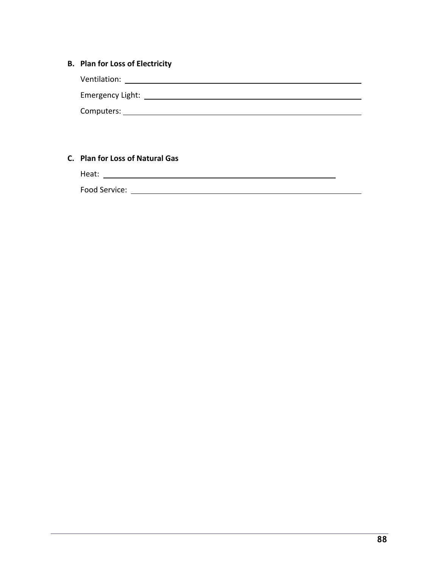# **B. Plan for Loss of Electricity**

Ventilation:

Emergency Light:

Computers:

# **C. Plan for Loss of Natural Gas**

Heat:

Food Service: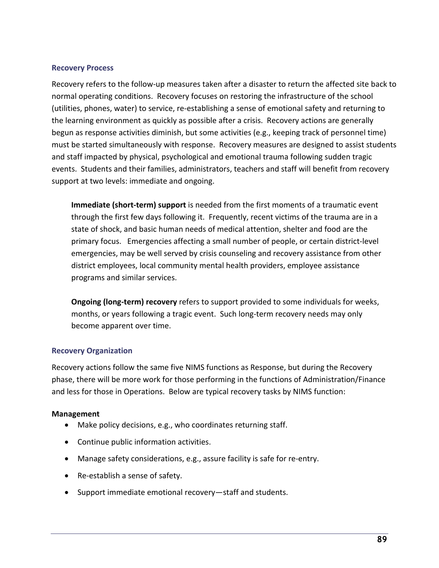### **Recovery Process**

Recovery refers to the follow-up measures taken after a disaster to return the affected site back to normal operating conditions. Recovery focuses on restoring the infrastructure of the school (utilities, phones, water) to service, re-establishing a sense of emotional safety and returning to the learning environment as quickly as possible after a crisis. Recovery actions are generally begun as response activities diminish, but some activities (e.g., keeping track of personnel time) must be started simultaneously with response. Recovery measures are designed to assist students and staff impacted by physical, psychological and emotional trauma following sudden tragic events. Students and their families, administrators, teachers and staff will benefit from recovery support at two levels: immediate and ongoing.

**Immediate (short-term) support** is needed from the first moments of a traumatic event through the first few days following it. Frequently, recent victims of the trauma are in a state of shock, and basic human needs of medical attention, shelter and food are the primary focus. Emergencies affecting a small number of people, or certain district-level emergencies, may be well served by crisis counseling and recovery assistance from other district employees, local community mental health providers, employee assistance programs and similar services.

**Ongoing (long-term) recovery** refers to support provided to some individuals for weeks, months, or years following a tragic event. Such long-term recovery needs may only become apparent over time.

### **Recovery Organization**

Recovery actions follow the same five NIMS functions as Response, but during the Recovery phase, there will be more work for those performing in the functions of Administration/Finance and less for those in Operations. Below are typical recovery tasks by NIMS function:

### **Management**

- Make policy decisions, e.g., who coordinates returning staff.
- Continue public information activities.
- Manage safety considerations, e.g., assure facility is safe for re-entry.
- Re-establish a sense of safety.
- Support immediate emotional recovery—staff and students.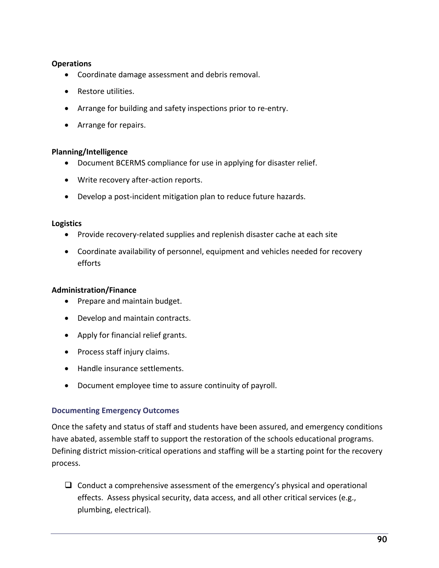## **Operations**

- Coordinate damage assessment and debris removal.
- Restore utilities.
- Arrange for building and safety inspections prior to re-entry.
- Arrange for repairs.

# **Planning/Intelligence**

- Document BCERMS compliance for use in applying for disaster relief.
- Write recovery after-action reports.
- Develop a post-incident mitigation plan to reduce future hazards.

### **Logistics**

- Provide recovery-related supplies and replenish disaster cache at each site
- Coordinate availability of personnel, equipment and vehicles needed for recovery efforts

### **Administration/Finance**

- Prepare and maintain budget.
- Develop and maintain contracts.
- Apply for financial relief grants.
- Process staff injury claims.
- Handle insurance settlements.
- Document employee time to assure continuity of payroll.

### **Documenting Emergency Outcomes**

Once the safety and status of staff and students have been assured, and emergency conditions have abated, assemble staff to support the restoration of the schools educational programs. Defining district mission-critical operations and staffing will be a starting point for the recovery process.

 $\Box$  Conduct a comprehensive assessment of the emergency's physical and operational effects. Assess physical security, data access, and all other critical services (e.g., plumbing, electrical).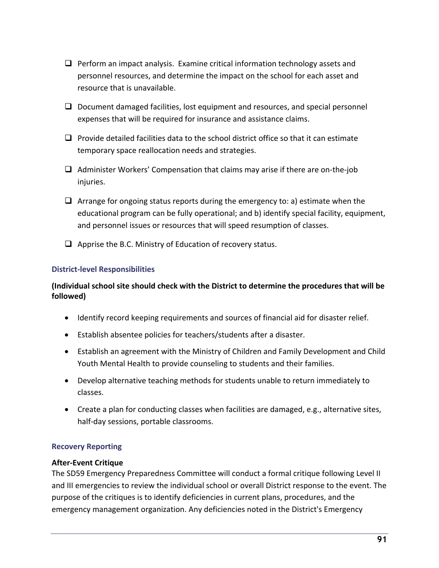- $\Box$  Perform an impact analysis. Examine critical information technology assets and personnel resources, and determine the impact on the school for each asset and resource that is unavailable.
- $\Box$  Document damaged facilities, lost equipment and resources, and special personnel expenses that will be required for insurance and assistance claims.
- $\Box$  Provide detailed facilities data to the school district office so that it can estimate temporary space reallocation needs and strategies.
- $\Box$  Administer Workers' Compensation that claims may arise if there are on-the-job injuries.
- $\Box$  Arrange for ongoing status reports during the emergency to: a) estimate when the educational program can be fully operational; and b) identify special facility, equipment, and personnel issues or resources that will speed resumption of classes.
- $\Box$  Apprise the B.C. Ministry of Education of recovery status.

# **District-level Responsibilities**

# **(Individual school site should check with the District to determine the procedures that will be followed)**

- Identify record keeping requirements and sources of financial aid for disaster relief.
- Establish absentee policies for teachers/students after a disaster.
- Establish an agreement with the Ministry of Children and Family Development and Child Youth Mental Health to provide counseling to students and their families.
- Develop alternative teaching methods for students unable to return immediately to classes.
- Create a plan for conducting classes when facilities are damaged, e.g., alternative sites, half-day sessions, portable classrooms.

# **Recovery Reporting**

### **After-Event Critique**

The SD59 Emergency Preparedness Committee will conduct a formal critique following Level II and III emergencies to review the individual school or overall District response to the event. The purpose of the critiques is to identify deficiencies in current plans, procedures, and the emergency management organization. Any deficiencies noted in the District's Emergency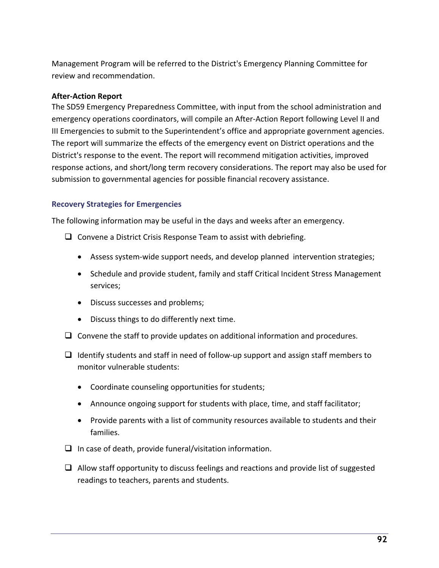Management Program will be referred to the District's Emergency Planning Committee for review and recommendation.

## **After-Action Report**

The SD59 Emergency Preparedness Committee, with input from the school administration and emergency operations coordinators, will compile an After-Action Report following Level II and III Emergencies to submit to the Superintendent's office and appropriate government agencies. The report will summarize the effects of the emergency event on District operations and the District's response to the event. The report will recommend mitigation activities, improved response actions, and short/long term recovery considerations. The report may also be used for submission to governmental agencies for possible financial recovery assistance.

## **Recovery Strategies for Emergencies**

The following information may be useful in the days and weeks after an emergency.

- $\Box$  Convene a District Crisis Response Team to assist with debriefing.
	- Assess system-wide support needs, and develop planned intervention strategies;
	- Schedule and provide student, family and staff Critical Incident Stress Management services;
	- Discuss successes and problems;
	- Discuss things to do differently next time.
- $\Box$  Convene the staff to provide updates on additional information and procedures.
- $\Box$  Identify students and staff in need of follow-up support and assign staff members to monitor vulnerable students:
	- Coordinate counseling opportunities for students;
	- Announce ongoing support for students with place, time, and staff facilitator;
	- Provide parents with a list of community resources available to students and their families.
- $\Box$  In case of death, provide funeral/visitation information.
- $\Box$  Allow staff opportunity to discuss feelings and reactions and provide list of suggested readings to teachers, parents and students.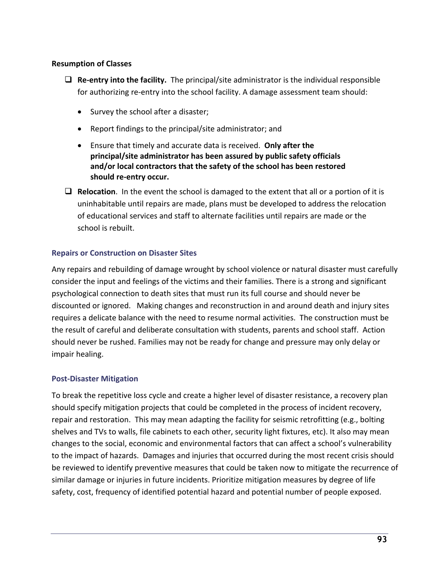# **Resumption of Classes**

- $\Box$  **Re-entry into the facility.** The principal/site administrator is the individual responsible for authorizing re-entry into the school facility. A damage assessment team should:
	- Survey the school after a disaster;
	- Report findings to the principal/site administrator; and
	- Ensure that timely and accurate data is received. **Only after the principal/site administrator has been assured by public safety officials and/or local contractors that the safety of the school has been restored should re-entry occur.**
- $\Box$  **Relocation**. In the event the school is damaged to the extent that all or a portion of it is uninhabitable until repairs are made, plans must be developed to address the relocation of educational services and staff to alternate facilities until repairs are made or the school is rebuilt.

# **Repairs or Construction on Disaster Sites**

Any repairs and rebuilding of damage wrought by school violence or natural disaster must carefully consider the input and feelings of the victims and their families. There is a strong and significant psychological connection to death sites that must run its full course and should never be discounted or ignored. Making changes and reconstruction in and around death and injury sites requires a delicate balance with the need to resume normal activities. The construction must be the result of careful and deliberate consultation with students, parents and school staff. Action should never be rushed. Families may not be ready for change and pressure may only delay or impair healing.

# **Post-Disaster Mitigation**

To break the repetitive loss cycle and create a higher level of disaster resistance, a recovery plan should specify mitigation projects that could be completed in the process of incident recovery, repair and restoration. This may mean adapting the facility for seismic retrofitting (e.g., bolting shelves and TVs to walls, file cabinets to each other, security light fixtures, etc). It also may mean changes to the social, economic and environmental factors that can affect a school's vulnerability to the impact of hazards. Damages and injuries that occurred during the most recent crisis should be reviewed to identify preventive measures that could be taken now to mitigate the recurrence of similar damage or injuries in future incidents. Prioritize mitigation measures by degree of life safety, cost, frequency of identified potential hazard and potential number of people exposed.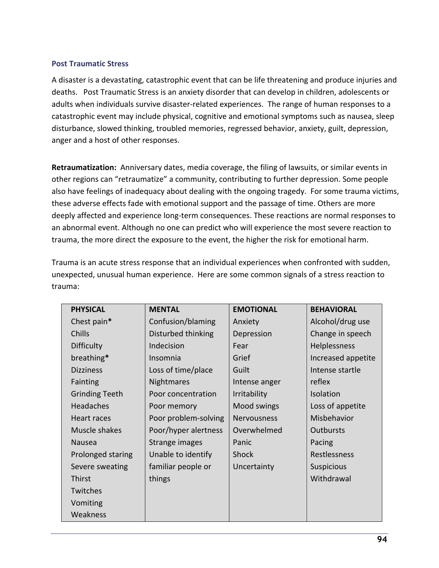## **Post Traumatic Stress**

A disaster is a devastating, catastrophic event that can be life threatening and produce injuries and deaths. Post Traumatic Stress is an anxiety disorder that can develop in children, adolescents or adults when individuals survive disaster-related experiences. The range of human responses to a catastrophic event may include physical, cognitive and emotional symptoms such as nausea, sleep disturbance, slowed thinking, troubled memories, regressed behavior, anxiety, guilt, depression, anger and a host of other responses.

**Retraumatization:** Anniversary dates, media coverage, the filing of lawsuits, or similar events in other regions can "retraumatize" a community, contributing to further depression. Some people also have feelings of inadequacy about dealing with the ongoing tragedy. For some trauma victims, these adverse effects fade with emotional support and the passage of time. Others are more deeply affected and experience long-term consequences. These reactions are normal responses to an abnormal event. Although no one can predict who will experience the most severe reaction to trauma, the more direct the exposure to the event, the higher the risk for emotional harm.

Trauma is an acute stress response that an individual experiences when confronted with sudden, unexpected, unusual human experience. Here are some common signals of a stress reaction to trauma:

| <b>PHYSICAL</b>       | <b>MENTAL</b>        | <b>EMOTIONAL</b>   | <b>BEHAVIORAL</b>   |  |
|-----------------------|----------------------|--------------------|---------------------|--|
| Chest pain*           | Confusion/blaming    | Anxiety            | Alcohol/drug use    |  |
| <b>Chills</b>         | Disturbed thinking   | Depression         | Change in speech    |  |
| <b>Difficulty</b>     | Indecision           | Fear               | Helplessness        |  |
| breathing*            | Insomnia             | Grief              | Increased appetite  |  |
| <b>Dizziness</b>      | Loss of time/place   | Guilt              | Intense startle     |  |
| Fainting              | Nightmares           | Intense anger      | reflex              |  |
| <b>Grinding Teeth</b> | Poor concentration   | Irritability       | Isolation           |  |
| Headaches             | Poor memory          | Mood swings        | Loss of appetite    |  |
| Heart races           | Poor problem-solving | <b>Nervousness</b> | Misbehavior         |  |
| Muscle shakes         | Poor/hyper alertness | Overwhelmed        | <b>Outbursts</b>    |  |
| <b>Nausea</b>         | Strange images       | Panic              | Pacing              |  |
| Prolonged staring     | Unable to identify   | Shock              | <b>Restlessness</b> |  |
| Severe sweating       | familiar people or   | Uncertainty        | Suspicious          |  |
| Thirst                | things               |                    | Withdrawal          |  |
| Twitches              |                      |                    |                     |  |
| Vomiting              |                      |                    |                     |  |
| Weakness              |                      |                    |                     |  |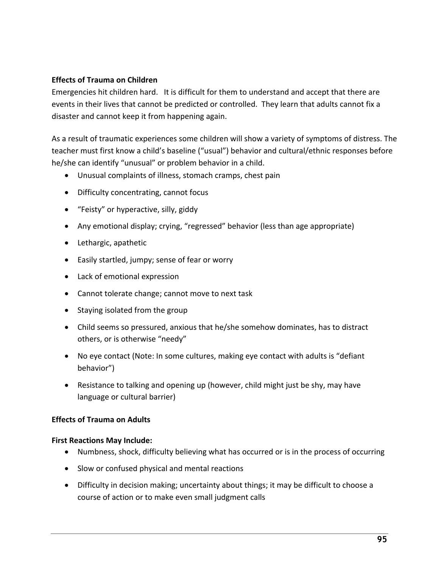# **Effects of Trauma on Children**

Emergencies hit children hard. It is difficult for them to understand and accept that there are events in their lives that cannot be predicted or controlled. They learn that adults cannot fix a disaster and cannot keep it from happening again.

As a result of traumatic experiences some children will show a variety of symptoms of distress. The teacher must first know a child's baseline ("usual") behavior and cultural/ethnic responses before he/she can identify "unusual" or problem behavior in a child.

- Unusual complaints of illness, stomach cramps, chest pain
- Difficulty concentrating, cannot focus
- "Feisty" or hyperactive, silly, giddy
- Any emotional display; crying, "regressed" behavior (less than age appropriate)
- Lethargic, apathetic
- Easily startled, jumpy; sense of fear or worry
- Lack of emotional expression
- Cannot tolerate change; cannot move to next task
- Staying isolated from the group
- Child seems so pressured, anxious that he/she somehow dominates, has to distract others, or is otherwise "needy"
- No eye contact (Note: In some cultures, making eye contact with adults is "defiant behavior")
- Resistance to talking and opening up (however, child might just be shy, may have language or cultural barrier)

# **Effects of Trauma on Adults**

### **First Reactions May Include:**

- Numbness, shock, difficulty believing what has occurred or is in the process of occurring
- Slow or confused physical and mental reactions
- Difficulty in decision making; uncertainty about things; it may be difficult to choose a course of action or to make even small judgment calls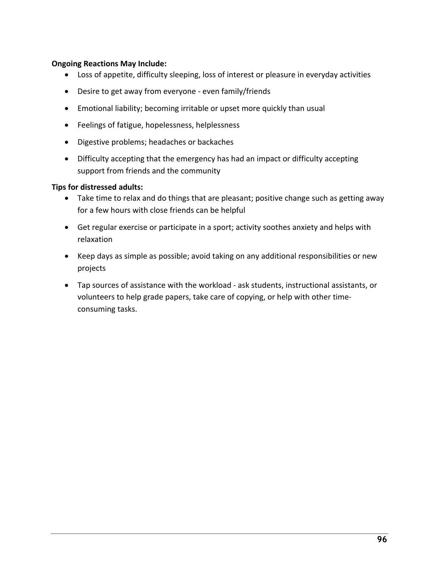## **Ongoing Reactions May Include:**

- Loss of appetite, difficulty sleeping, loss of interest or pleasure in everyday activities
- Desire to get away from everyone even family/friends
- Emotional liability; becoming irritable or upset more quickly than usual
- Feelings of fatigue, hopelessness, helplessness
- Digestive problems; headaches or backaches
- Difficulty accepting that the emergency has had an impact or difficulty accepting support from friends and the community

## **Tips for distressed adults:**

- Take time to relax and do things that are pleasant; positive change such as getting away for a few hours with close friends can be helpful
- Get regular exercise or participate in a sport; activity soothes anxiety and helps with relaxation
- Keep days as simple as possible; avoid taking on any additional responsibilities or new projects
- Tap sources of assistance with the workload ask students, instructional assistants, or volunteers to help grade papers, take care of copying, or help with other timeconsuming tasks.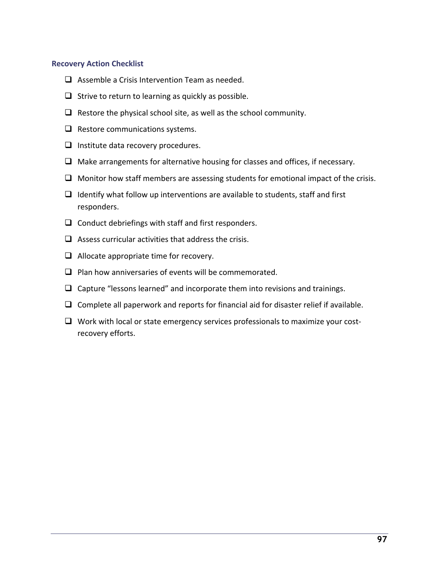### **Recovery Action Checklist**

- $\Box$  Assemble a Crisis Intervention Team as needed.
- $\Box$  Strive to return to learning as quickly as possible.
- $\Box$  Restore the physical school site, as well as the school community.
- $\Box$  Restore communications systems.
- $\Box$  Institute data recovery procedures.
- $\Box$  Make arrangements for alternative housing for classes and offices, if necessary.
- $\Box$  Monitor how staff members are assessing students for emotional impact of the crisis.
- $\Box$  Identify what follow up interventions are available to students, staff and first responders.
- $\Box$  Conduct debriefings with staff and first responders.
- $\Box$  Assess curricular activities that address the crisis.
- $\Box$  Allocate appropriate time for recovery.
- $\Box$  Plan how anniversaries of events will be commemorated.
- $\Box$  Capture "lessons learned" and incorporate them into revisions and trainings.
- $\Box$  Complete all paperwork and reports for financial aid for disaster relief if available.
- $\Box$  Work with local or state emergency services professionals to maximize your costrecovery efforts.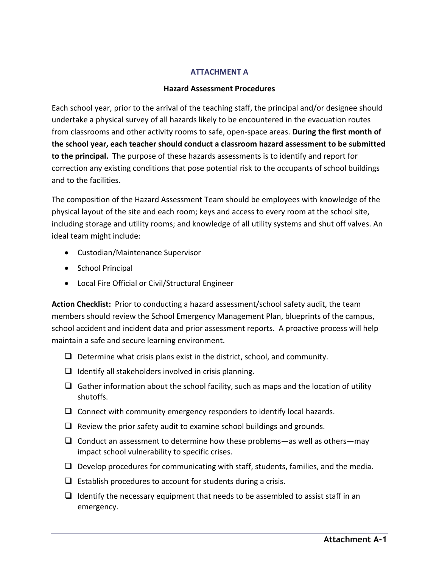### **ATTACHMENT A**

## **Hazard Assessment Procedures**

Each school year, prior to the arrival of the teaching staff, the principal and/or designee should undertake a physical survey of all hazards likely to be encountered in the evacuation routes from classrooms and other activity rooms to safe, open-space areas. **During the first month of the school year, each teacher should conduct a classroom hazard assessment to be submitted to the principal.** The purpose of these hazards assessments is to identify and report for correction any existing conditions that pose potential risk to the occupants of school buildings and to the facilities.

The composition of the Hazard Assessment Team should be employees with knowledge of the physical layout of the site and each room; keys and access to every room at the school site, including storage and utility rooms; and knowledge of all utility systems and shut off valves. An ideal team might include:

- Custodian/Maintenance Supervisor
- School Principal
- Local Fire Official or Civil/Structural Engineer

**Action Checklist:** Prior to conducting a hazard assessment/school safety audit, the team members should review the School Emergency Management Plan, blueprints of the campus, school accident and incident data and prior assessment reports. A proactive process will help maintain a safe and secure learning environment.

- $\Box$  Determine what crisis plans exist in the district, school, and community.
- $\Box$  Identify all stakeholders involved in crisis planning.
- $\Box$  Gather information about the school facility, such as maps and the location of utility shutoffs.
- $\Box$  Connect with community emergency responders to identify local hazards.
- $\Box$  Review the prior safety audit to examine school buildings and grounds.
- $\Box$  Conduct an assessment to determine how these problems—as well as others—may impact school vulnerability to specific crises.
- $\Box$  Develop procedures for communicating with staff, students, families, and the media.
- $\Box$  Establish procedures to account for students during a crisis.
- $\Box$  Identify the necessary equipment that needs to be assembled to assist staff in an emergency.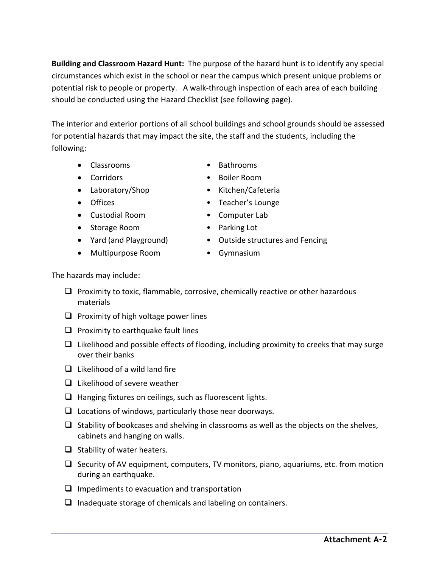**Building and Classroom Hazard Hunt:** The purpose of the hazard hunt is to identify any special circumstances which exist in the school or near the campus which present unique problems or potential risk to people or property. A walk-through inspection of each area of each building should be conducted using the Hazard Checklist (see following page).

The interior and exterior portions of all school buildings and school grounds should be assessed for potential hazards that may impact the site, the staff and the students, including the following:

- Classrooms Bathrooms
- 
- Laboratory/Shop Kitchen/Cafeteria
- 
- Custodial Room Computer Lab
- Storage Room **•** Parking Lot
- 
- Multipurpose Room Gymnasium
- 
- Corridors Boiler Room
	-
- Offices Teacher's Lounge
	-
	-
- Yard (and Playground) Outside structures and Fencing
	-

The hazards may include:

- $\Box$  Proximity to toxic, flammable, corrosive, chemically reactive or other hazardous materials
- $\Box$  Proximity of high voltage power lines
- $\Box$  Proximity to earthquake fault lines
- $\Box$  Likelihood and possible effects of flooding, including proximity to creeks that may surge over their banks
- $\Box$  Likelihood of a wild land fire
- $\Box$  Likelihood of severe weather
- $\Box$  Hanging fixtures on ceilings, such as fluorescent lights.
- $\Box$  Locations of windows, particularly those near doorways.
- $\Box$  Stability of bookcases and shelving in classrooms as well as the objects on the shelves, cabinets and hanging on walls.
- $\Box$  Stability of water heaters.
- $\Box$  Security of AV equipment, computers, TV monitors, piano, aquariums, etc. from motion during an earthquake.
- $\Box$  Impediments to evacuation and transportation
- $\Box$  Inadequate storage of chemicals and labeling on containers.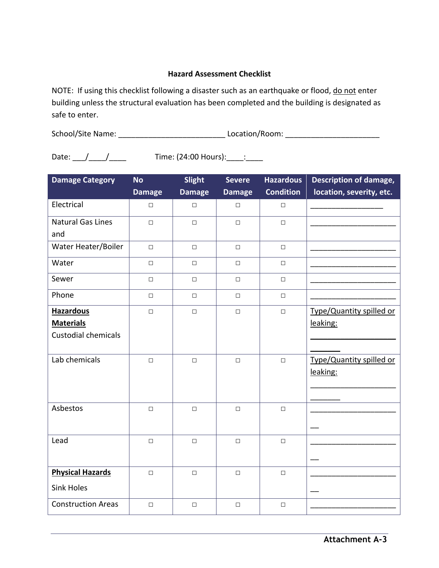## **Hazard Assessment Checklist**

NOTE: If using this checklist following a disaster such as an earthquake or flood, do not enter building unless the structural evaluation has been completed and the building is designated as safe to enter.

School/Site Name: example and the contraction of Location/Room:  $\sim$  Location/Room:

Date:  $\frac{1}{2}$  / \_\_\_\_/ \_\_\_\_\_\_ Time: (24:00 Hours): \_\_\_\_: \_\_\_\_

**Damage Category No Damage Slight Damage Severe Damage Hazardous Condition Description of damage, location, severity, etc.**  Electrical □ □ □ □ \_\_\_\_\_\_\_\_\_\_\_\_\_\_\_\_\_ Natural Gas Lines and □ │ □ │ □ │ □ │<u>\_\_\_\_\_\_\_\_\_\_\_\_</u>\_\_\_\_\_\_ Water Heater/Boiler | □ | □ | □ | □ Water □ □ □ □ \_\_\_\_\_\_\_\_\_\_\_\_\_\_\_\_\_\_\_\_ Sewer □ □ □ □ \_\_\_\_\_\_\_\_\_\_\_\_\_\_\_\_\_\_\_\_ Phone │ □ │ □ │ □ │ □ │ <u>\_\_\_\_\_\_\_\_\_\_\_\_\_\_\_\_\_\_\_\_</u>\_\_\_\_\_\_\_\_\_\_\_ **Hazardous Materials**  Custodial chemicals □ │ □ │ □ │ □ │ <u>Type/Quantity spilled or</u> leaking:  $\overline{\phantom{a}}$  , where  $\overline{\phantom{a}}$  $\frac{1}{2}$ Lab chemicals  $\Box$   $\Box$   $\Box$   $\Box$   $\Box$   $\Box$   $\Box$  Type/Quantity spilled or leaking:  $\mathcal{L}_\text{max}$  and  $\mathcal{L}_\text{max}$  and  $\mathcal{L}_\text{max}$  $\frac{1}{2}$ Asbestos │ □ │ □ │ □ │ □ │ <u>\_\_\_\_\_\_\_\_\_\_\_\_\_\_\_\_\_\_\_\_\_</u>  $\overline{\phantom{a}}$ Lead │ □ │ □ │ □ │ │ <u>\_\_\_\_\_\_\_\_\_\_\_\_\_\_\_\_\_\_\_\_\_</u>  $\overline{a}$ **Physical Hazards** Sink Holes □ │ □ │ □ │ □ │<u>\_\_\_\_\_\_\_\_\_\_\_\_</u>\_\_\_\_\_\_  $\overline{\phantom{a}}$ Construction Areas | □ | □ | □ | □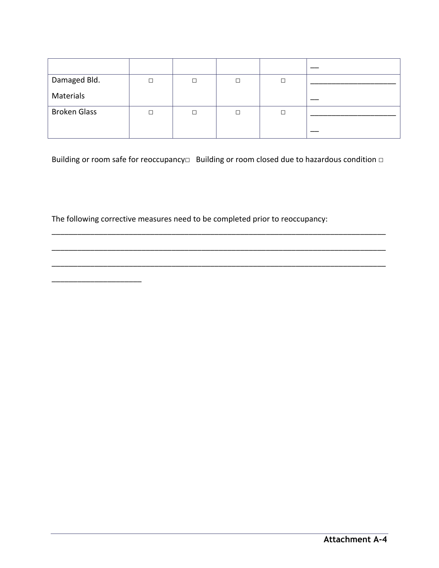| Damaged Bld.        |   | □ |   |  |
|---------------------|---|---|---|--|
| Materials           |   |   |   |  |
| <b>Broken Glass</b> | П | □ | □ |  |
|                     |   |   |   |  |

Building or room safe for reoccupancy□ Building or room closed due to hazardous condition □

\_\_\_\_\_\_\_\_\_\_\_\_\_\_\_\_\_\_\_\_\_\_\_\_\_\_\_\_\_\_\_\_\_\_\_\_\_\_\_\_\_\_\_\_\_\_\_\_\_\_\_\_\_\_\_\_\_\_\_\_\_\_\_\_\_\_\_\_\_\_\_\_\_\_\_\_\_\_

\_\_\_\_\_\_\_\_\_\_\_\_\_\_\_\_\_\_\_\_\_\_\_\_\_\_\_\_\_\_\_\_\_\_\_\_\_\_\_\_\_\_\_\_\_\_\_\_\_\_\_\_\_\_\_\_\_\_\_\_\_\_\_\_\_\_\_\_\_\_\_\_\_\_\_\_\_\_

\_\_\_\_\_\_\_\_\_\_\_\_\_\_\_\_\_\_\_\_\_\_\_\_\_\_\_\_\_\_\_\_\_\_\_\_\_\_\_\_\_\_\_\_\_\_\_\_\_\_\_\_\_\_\_\_\_\_\_\_\_\_\_\_\_\_\_\_\_\_\_\_\_\_\_\_\_\_

The following corrective measures need to be completed prior to reoccupancy:

\_\_\_\_\_\_\_\_\_\_\_\_\_\_\_\_\_\_\_\_\_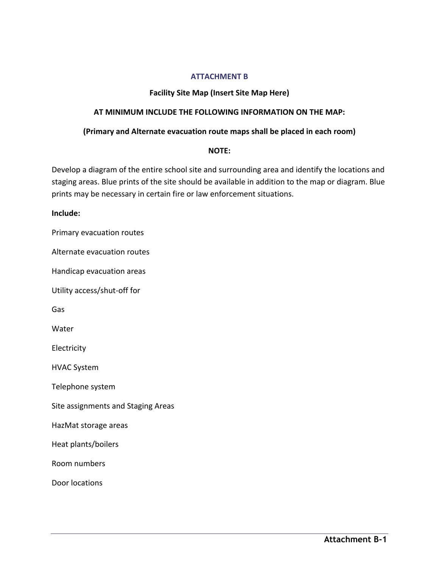### **ATTACHMENT B**

# **Facility Site Map (Insert Site Map Here)**

## **AT MINIMUM INCLUDE THE FOLLOWING INFORMATION ON THE MAP:**

### **(Primary and Alternate evacuation route maps shall be placed in each room)**

#### **NOTE:**

Develop a diagram of the entire school site and surrounding area and identify the locations and staging areas. Blue prints of the site should be available in addition to the map or diagram. Blue prints may be necessary in certain fire or law enforcement situations.

### **Include:**

Primary evacuation routes

Alternate evacuation routes

Handicap evacuation areas

Utility access/shut-off for

Gas

Water

Electricity

HVAC System

Telephone system

Site assignments and Staging Areas

HazMat storage areas

Heat plants/boilers

Room numbers

Door locations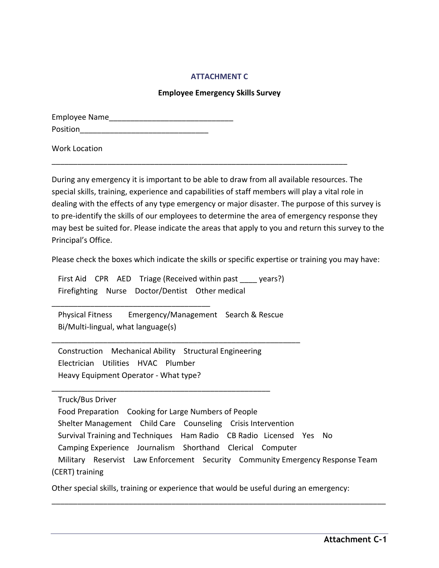### **ATTACHMENT C**

#### **Employee Emergency Skills Survey**

| <b>Employee Name</b> |  |
|----------------------|--|
| Position             |  |

Work Location

During any emergency it is important to be able to draw from all available resources. The special skills, training, experience and capabilities of staff members will play a vital role in dealing with the effects of any type emergency or major disaster. The purpose of this survey is to pre-identify the skills of our employees to determine the area of emergency response they may best be suited for. Please indicate the areas that apply to you and return this survey to the Principal's Office.

\_\_\_\_\_\_\_\_\_\_\_\_\_\_\_\_\_\_\_\_\_\_\_\_\_\_\_\_\_\_\_\_\_\_\_\_\_\_\_\_\_\_\_\_\_\_\_\_\_\_\_\_\_\_\_\_\_\_\_\_\_\_\_\_\_\_\_\_\_

Please check the boxes which indicate the skills or specific expertise or training you may have:

First Aid CPR AED Triage (Received within past years?) Firefighting Nurse Doctor/Dentist Other medical

 Physical Fitness Emergency/Management Search & Rescue Bi/Multi-lingual, what language(s)

\_\_\_\_\_\_\_\_\_\_\_\_\_\_\_\_\_\_\_\_\_\_\_\_\_\_\_\_\_\_\_\_\_\_\_\_\_\_\_\_\_\_\_\_\_\_\_\_\_\_\_\_\_\_\_\_\_\_

 Construction Mechanical Ability Structural Engineering Electrician Utilities HVAC Plumber Heavy Equipment Operator - What type?

\_\_\_\_\_\_\_\_\_\_\_\_\_\_\_\_\_\_\_\_\_\_\_\_\_\_\_\_\_\_\_\_\_\_\_\_\_\_\_\_\_\_\_\_\_\_\_\_\_\_\_

\_\_\_\_\_\_\_\_\_\_\_\_\_\_\_\_\_\_\_\_\_\_\_\_\_\_\_\_\_\_\_\_\_\_\_\_\_

Truck/Bus Driver

 Food Preparation Cooking for Large Numbers of People Shelter Management Child Care Counseling Crisis Intervention Survival Training and Techniques Ham Radio CB Radio Licensed Yes No Camping Experience Journalism Shorthand Clerical Computer Military Reservist Law Enforcement Security Community Emergency Response Team (CERT) training

\_\_\_\_\_\_\_\_\_\_\_\_\_\_\_\_\_\_\_\_\_\_\_\_\_\_\_\_\_\_\_\_\_\_\_\_\_\_\_\_\_\_\_\_\_\_\_\_\_\_\_\_\_\_\_\_\_\_\_\_\_\_\_\_\_\_\_\_\_\_\_\_\_\_\_\_\_\_

Other special skills, training or experience that would be useful during an emergency: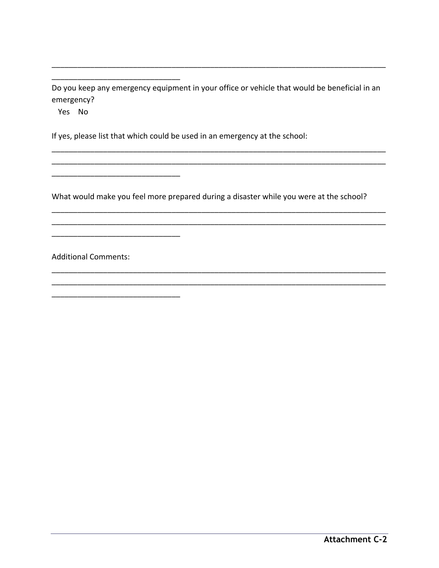Do you keep any emergency equipment in your office or vehicle that would be beneficial in an emergency?

Yes No

If yes, please list that which could be used in an emergency at the school:

What would make you feel more prepared during a disaster while you were at the school?

**Additional Comments:**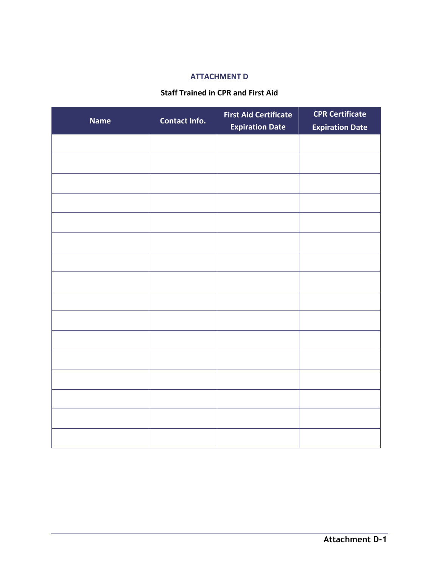# **ATTACHMENT D**

#### **Staff Trained in CPR and First Aid**

| <b>Name</b> | Contact Info. | <b>First Aid Certificate</b><br><b>Expiration Date</b> | <b>CPR Certificate</b><br><b>Expiration Date</b> |
|-------------|---------------|--------------------------------------------------------|--------------------------------------------------|
|             |               |                                                        |                                                  |
|             |               |                                                        |                                                  |
|             |               |                                                        |                                                  |
|             |               |                                                        |                                                  |
|             |               |                                                        |                                                  |
|             |               |                                                        |                                                  |
|             |               |                                                        |                                                  |
|             |               |                                                        |                                                  |
|             |               |                                                        |                                                  |
|             |               |                                                        |                                                  |
|             |               |                                                        |                                                  |
|             |               |                                                        |                                                  |
|             |               |                                                        |                                                  |
|             |               |                                                        |                                                  |
|             |               |                                                        |                                                  |
|             |               |                                                        |                                                  |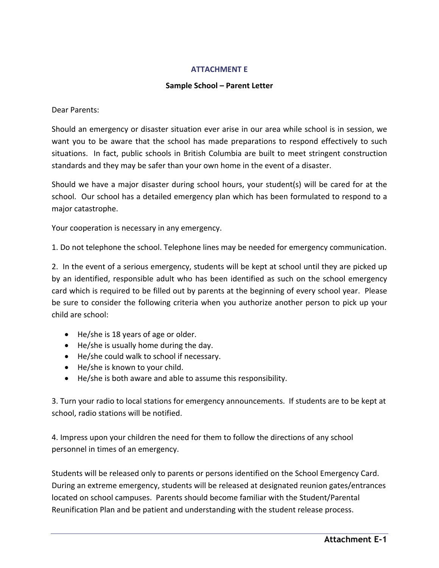#### **ATTACHMENT E**

# **Sample School – Parent Letter**

Dear Parents:

Should an emergency or disaster situation ever arise in our area while school is in session, we want you to be aware that the school has made preparations to respond effectively to such situations. In fact, public schools in British Columbia are built to meet stringent construction standards and they may be safer than your own home in the event of a disaster.

Should we have a major disaster during school hours, your student(s) will be cared for at the school. Our school has a detailed emergency plan which has been formulated to respond to a major catastrophe.

Your cooperation is necessary in any emergency.

1. Do not telephone the school. Telephone lines may be needed for emergency communication.

2. In the event of a serious emergency, students will be kept at school until they are picked up by an identified, responsible adult who has been identified as such on the school emergency card which is required to be filled out by parents at the beginning of every school year. Please be sure to consider the following criteria when you authorize another person to pick up your child are school:

- He/she is 18 years of age or older.
- He/she is usually home during the day.
- He/she could walk to school if necessary.
- He/she is known to your child.
- He/she is both aware and able to assume this responsibility.

3. Turn your radio to local stations for emergency announcements. If students are to be kept at school, radio stations will be notified.

4. Impress upon your children the need for them to follow the directions of any school personnel in times of an emergency.

Students will be released only to parents or persons identified on the School Emergency Card. During an extreme emergency, students will be released at designated reunion gates/entrances located on school campuses. Parents should become familiar with the Student/Parental Reunification Plan and be patient and understanding with the student release process.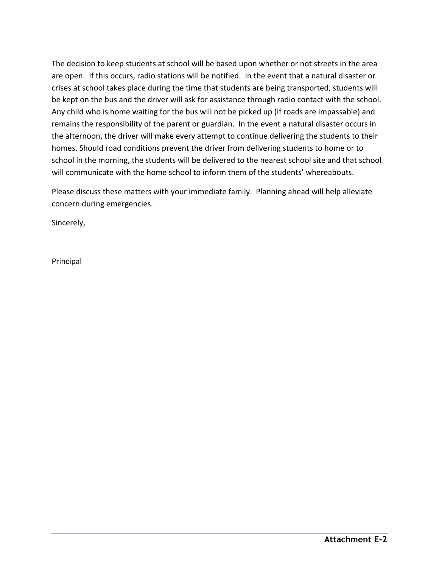The decision to keep students at school will be based upon whether or not streets in the area are open. If this occurs, radio stations will be notified. In the event that a natural disaster or crises at school takes place during the time that students are being transported, students will be kept on the bus and the driver will ask for assistance through radio contact with the school. Any child who is home waiting for the bus will not be picked up (if roads are impassable) and remains the responsibility of the parent or guardian. In the event a natural disaster occurs in the afternoon, the driver will make every attempt to continue delivering the students to their homes. Should road conditions prevent the driver from delivering students to home or to school in the morning, the students will be delivered to the nearest school site and that school will communicate with the home school to inform them of the students' whereabouts.

Please discuss these matters with your immediate family. Planning ahead will help alleviate concern during emergencies.

Sincerely,

Principal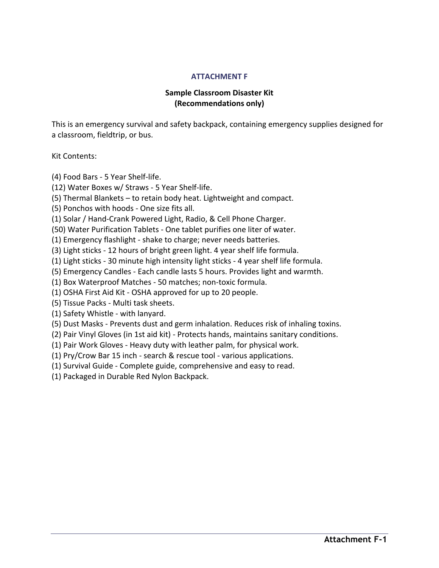#### **ATTACHMENT F**

# **Sample Classroom Disaster Kit (Recommendations only)**

This is an emergency survival and safety backpack, containing emergency supplies designed for a classroom, fieldtrip, or bus.

Kit Contents:

(4) Food Bars - 5 Year Shelf-life.

(12) Water Boxes w/ Straws - 5 Year Shelf-life.

(5) Thermal Blankets – to retain body heat. Lightweight and compact.

(5) Ponchos with hoods - One size fits all.

(1) Solar / Hand-Crank Powered Light, Radio, & Cell Phone Charger.

(50) Water Purification Tablets - One tablet purifies one liter of water.

(1) Emergency flashlight - shake to charge; never needs batteries.

(3) Light sticks - 12 hours of bright green light. 4 year shelf life formula.

(1) Light sticks - 30 minute high intensity light sticks - 4 year shelf life formula.

(5) Emergency Candles - Each candle lasts 5 hours. Provides light and warmth.

(1) Box Waterproof Matches - 50 matches; non-toxic formula.

(1) OSHA First Aid Kit - OSHA approved for up to 20 people.

(5) Tissue Packs - Multi task sheets.

(1) Safety Whistle - with lanyard.

(5) Dust Masks - Prevents dust and germ inhalation. Reduces risk of inhaling toxins.

(2) Pair Vinyl Gloves (in 1st aid kit) - Protects hands, maintains sanitary conditions.

(1) Pair Work Gloves - Heavy duty with leather palm, for physical work.

(1) Pry/Crow Bar 15 inch - search & rescue tool - various applications.

(1) Survival Guide - Complete guide, comprehensive and easy to read.

(1) Packaged in Durable Red Nylon Backpack.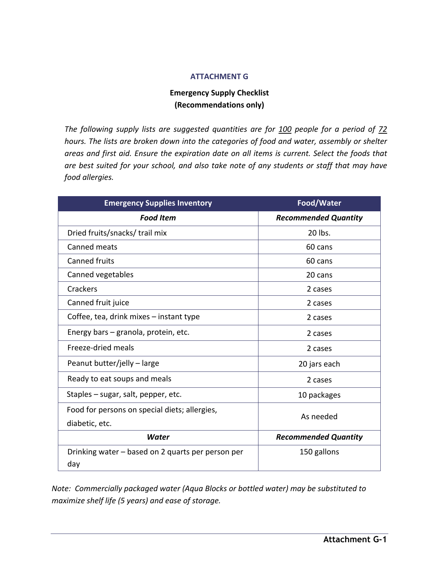# **ATTACHMENT G**

# **Emergency Supply Checklist (Recommendations only)**

*The following supply lists are suggested quantities are for 100 people for a period of 72 hours. The lists are broken down into the categories of food and water, assembly or shelter areas and first aid. Ensure the expiration date on all items is current. Select the foods that are best suited for your school, and also take note of any students or staff that may have food allergies.* 

| <b>Emergency Supplies Inventory</b>               | Food/Water                  |  |
|---------------------------------------------------|-----------------------------|--|
| <b>Food Item</b>                                  | <b>Recommended Quantity</b> |  |
| Dried fruits/snacks/ trail mix                    | 20 lbs.                     |  |
| Canned meats                                      | 60 cans                     |  |
| <b>Canned fruits</b>                              | 60 cans                     |  |
| Canned vegetables                                 | 20 cans                     |  |
| Crackers                                          | 2 cases                     |  |
| Canned fruit juice                                | 2 cases                     |  |
| Coffee, tea, drink mixes - instant type           | 2 cases                     |  |
| Energy bars - granola, protein, etc.              | 2 cases                     |  |
| Freeze-dried meals                                | 2 cases                     |  |
| Peanut butter/jelly - large                       | 20 jars each                |  |
| Ready to eat soups and meals                      | 2 cases                     |  |
| Staples - sugar, salt, pepper, etc.               | 10 packages                 |  |
| Food for persons on special diets; allergies,     |                             |  |
| diabetic, etc.                                    | As needed                   |  |
| Water                                             | <b>Recommended Quantity</b> |  |
| Drinking water – based on 2 quarts per person per | 150 gallons                 |  |
| day                                               |                             |  |

*Note: Commercially packaged water (Aqua Blocks or bottled water) may be substituted to maximize shelf life (5 years) and ease of storage.*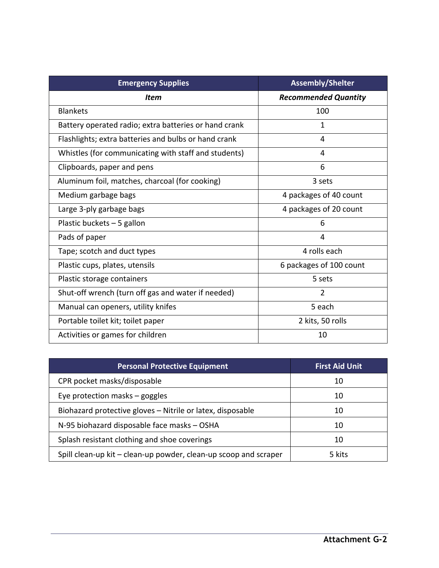| <b>Emergency Supplies</b>                             | <b>Assembly/Shelter</b>     |
|-------------------------------------------------------|-----------------------------|
| <b>Item</b>                                           | <b>Recommended Quantity</b> |
| <b>Blankets</b>                                       | 100                         |
| Battery operated radio; extra batteries or hand crank | 1                           |
| Flashlights; extra batteries and bulbs or hand crank  | 4                           |
| Whistles (for communicating with staff and students)  | 4                           |
| Clipboards, paper and pens                            | 6                           |
| Aluminum foil, matches, charcoal (for cooking)        | 3 sets                      |
| Medium garbage bags                                   | 4 packages of 40 count      |
| Large 3-ply garbage bags                              | 4 packages of 20 count      |
| Plastic buckets - 5 gallon                            | 6                           |
| Pads of paper                                         | 4                           |
| Tape; scotch and duct types                           | 4 rolls each                |
| Plastic cups, plates, utensils                        | 6 packages of 100 count     |
| Plastic storage containers                            | 5 sets                      |
| Shut-off wrench (turn off gas and water if needed)    | $\overline{2}$              |
| Manual can openers, utility knifes                    | 5 each                      |
| Portable toilet kit; toilet paper                     | 2 kits, 50 rolls            |
| Activities or games for children                      | 10                          |

| <b>Personal Protective Equipment</b>                             | <b>First Aid Unit</b> |
|------------------------------------------------------------------|-----------------------|
| CPR pocket masks/disposable                                      | 10                    |
| Eye protection masks $-$ goggles                                 | 10                    |
| Biohazard protective gloves - Nitrile or latex, disposable       | 10                    |
| N-95 biohazard disposable face masks - OSHA                      | 10                    |
| Splash resistant clothing and shoe coverings                     | 10                    |
| Spill clean-up kit - clean-up powder, clean-up scoop and scraper | 5 kits                |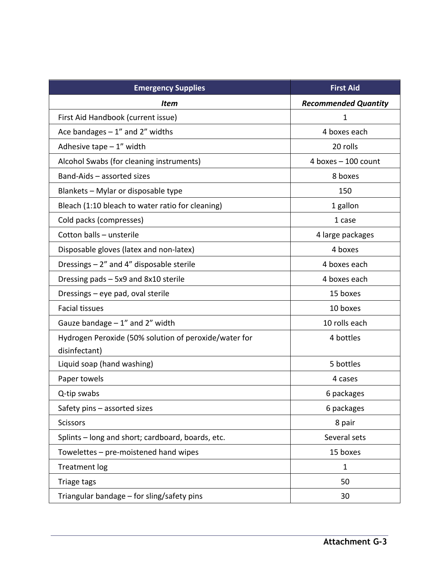| <b>Emergency Supplies</b>                             | <b>First Aid</b>            |
|-------------------------------------------------------|-----------------------------|
| Item                                                  | <b>Recommended Quantity</b> |
| First Aid Handbook (current issue)                    | 1                           |
| Ace bandages $-1$ " and $2$ " widths                  | 4 boxes each                |
| Adhesive tape $-1$ " width                            | 20 rolls                    |
| Alcohol Swabs (for cleaning instruments)              | 4 boxes $-100$ count        |
| Band-Aids - assorted sizes                            | 8 boxes                     |
| Blankets - Mylar or disposable type                   | 150                         |
| Bleach (1:10 bleach to water ratio for cleaning)      | 1 gallon                    |
| Cold packs (compresses)                               | 1 case                      |
| Cotton balls - unsterile                              | 4 large packages            |
| Disposable gloves (latex and non-latex)               | 4 boxes                     |
| Dressings - 2" and 4" disposable sterile              | 4 boxes each                |
| Dressing pads - 5x9 and 8x10 sterile                  | 4 boxes each                |
| Dressings - eye pad, oval sterile                     | 15 boxes                    |
| <b>Facial tissues</b>                                 | 10 boxes                    |
| Gauze bandage $-1$ " and 2" width                     | 10 rolls each               |
| Hydrogen Peroxide (50% solution of peroxide/water for | 4 bottles                   |
| disinfectant)                                         |                             |
| Liquid soap (hand washing)                            | 5 bottles                   |
| Paper towels                                          | 4 cases                     |
| Q-tip swabs                                           | 6 packages                  |
| Safety pins - assorted sizes                          | 6 packages                  |
| <b>Scissors</b>                                       | 8 pair                      |
| Splints - long and short; cardboard, boards, etc.     | Several sets                |
| Towelettes - pre-moistened hand wipes                 | 15 boxes                    |
| <b>Treatment log</b>                                  | 1                           |
| Triage tags                                           | 50                          |
| Triangular bandage – for sling/safety pins            | 30                          |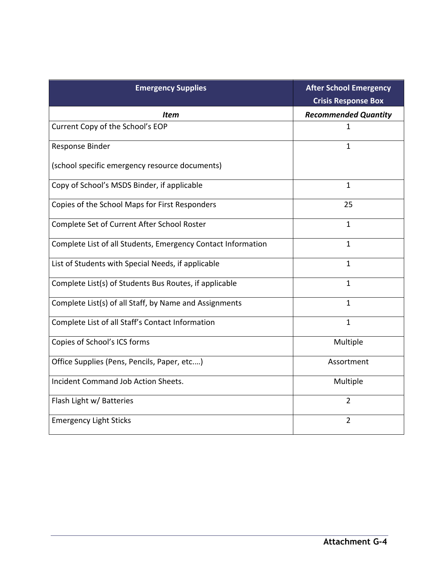| <b>Emergency Supplies</b>                                    | <b>After School Emergency</b><br><b>Crisis Response Box</b> |
|--------------------------------------------------------------|-------------------------------------------------------------|
| Item                                                         | <b>Recommended Quantity</b>                                 |
| Current Copy of the School's EOP                             | 1                                                           |
| Response Binder                                              | $\mathbf{1}$                                                |
| (school specific emergency resource documents)               |                                                             |
| Copy of School's MSDS Binder, if applicable                  | $\mathbf{1}$                                                |
| Copies of the School Maps for First Responders               | 25                                                          |
| Complete Set of Current After School Roster                  | $\mathbf{1}$                                                |
| Complete List of all Students, Emergency Contact Information | $\mathbf{1}$                                                |
| List of Students with Special Needs, if applicable           | 1                                                           |
| Complete List(s) of Students Bus Routes, if applicable       | 1                                                           |
| Complete List(s) of all Staff, by Name and Assignments       | 1                                                           |
| Complete List of all Staff's Contact Information             | $\mathbf{1}$                                                |
| Copies of School's ICS forms                                 | Multiple                                                    |
| Office Supplies (Pens, Pencils, Paper, etc)                  | Assortment                                                  |
| Incident Command Job Action Sheets.                          | Multiple                                                    |
| Flash Light w/ Batteries                                     | $\overline{2}$                                              |
| <b>Emergency Light Sticks</b>                                | $\overline{2}$                                              |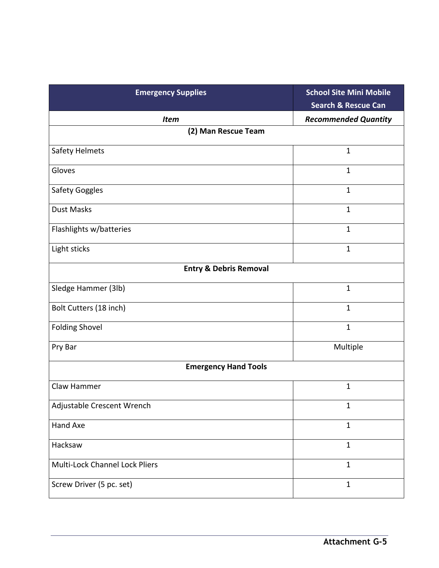| <b>Emergency Supplies</b>         | <b>School Site Mini Mobile</b><br><b>Search &amp; Rescue Can</b> |  |
|-----------------------------------|------------------------------------------------------------------|--|
| <b>Item</b>                       | <b>Recommended Quantity</b>                                      |  |
| (2) Man Rescue Team               |                                                                  |  |
| Safety Helmets                    | $\mathbf{1}$                                                     |  |
| Gloves                            | $\mathbf{1}$                                                     |  |
| Safety Goggles                    | $\mathbf{1}$                                                     |  |
| <b>Dust Masks</b>                 | $\mathbf{1}$                                                     |  |
| Flashlights w/batteries           | $\mathbf{1}$                                                     |  |
| Light sticks                      | $\mathbf{1}$                                                     |  |
| <b>Entry &amp; Debris Removal</b> |                                                                  |  |
| Sledge Hammer (3lb)               | $\mathbf{1}$                                                     |  |
| Bolt Cutters (18 inch)            | $\mathbf{1}$                                                     |  |
| <b>Folding Shovel</b>             | $\mathbf 1$                                                      |  |
| Pry Bar                           | Multiple                                                         |  |
| <b>Emergency Hand Tools</b>       |                                                                  |  |
| Claw Hammer                       | $\mathbf{1}$                                                     |  |
| Adjustable Crescent Wrench        | 1                                                                |  |
| Hand Axe                          | $\mathbf{1}$                                                     |  |
| Hacksaw                           | $\mathbf{1}$                                                     |  |
| Multi-Lock Channel Lock Pliers    | $\mathbf{1}$                                                     |  |
| Screw Driver (5 pc. set)          | $\mathbf{1}$                                                     |  |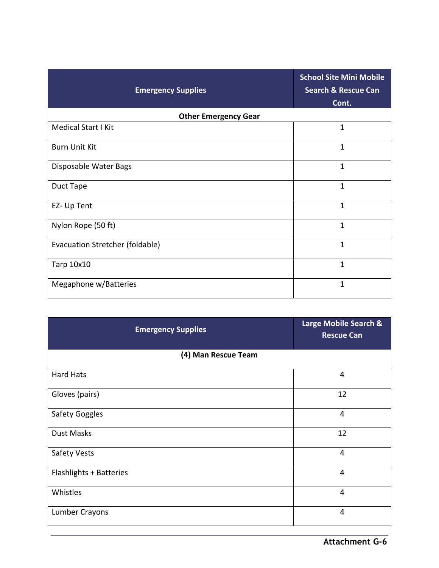| <b>Emergency Supplies</b>       | <b>School Site Mini Mobile</b><br><b>Search &amp; Rescue Can</b><br>Cont. |  |  |
|---------------------------------|---------------------------------------------------------------------------|--|--|
| <b>Other Emergency Gear</b>     |                                                                           |  |  |
| <b>Medical Start I Kit</b>      | 1                                                                         |  |  |
| <b>Burn Unit Kit</b>            | $\mathbf{1}$                                                              |  |  |
| Disposable Water Bags           | 1                                                                         |  |  |
| Duct Tape                       | $\mathbf{1}$                                                              |  |  |
| EZ- Up Tent                     | $\mathbf{1}$                                                              |  |  |
| Nylon Rope (50 ft)              | $\mathbf{1}$                                                              |  |  |
| Evacuation Stretcher (foldable) | $\mathbf{1}$                                                              |  |  |
| Tarp 10x10                      | 1                                                                         |  |  |
| Megaphone w/Batteries           | 1                                                                         |  |  |

| <b>Emergency Supplies</b>      | <b>Large Mobile Search &amp;</b><br><b>Rescue Can</b> |  |
|--------------------------------|-------------------------------------------------------|--|
| (4) Man Rescue Team            |                                                       |  |
| <b>Hard Hats</b>               | $\overline{4}$                                        |  |
| Gloves (pairs)                 | 12                                                    |  |
| <b>Safety Goggles</b>          | 4                                                     |  |
| <b>Dust Masks</b>              | 12                                                    |  |
| Safety Vests                   | 4                                                     |  |
| <b>Flashlights + Batteries</b> | $\overline{4}$                                        |  |
| Whistles                       | $\overline{4}$                                        |  |
| Lumber Crayons                 | $\overline{4}$                                        |  |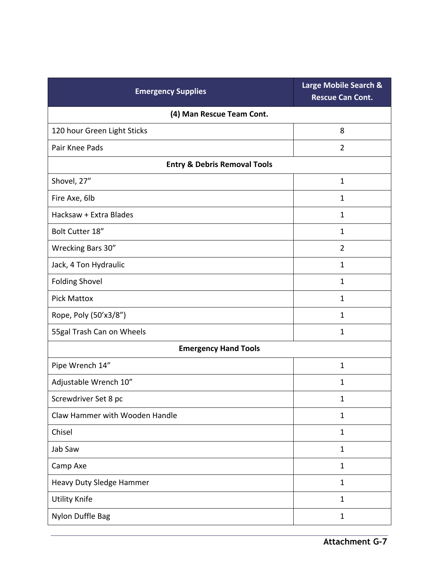| <b>Emergency Supplies</b>               | Large Mobile Search &<br><b>Rescue Can Cont.</b> |  |  |
|-----------------------------------------|--------------------------------------------------|--|--|
| (4) Man Rescue Team Cont.               |                                                  |  |  |
| 120 hour Green Light Sticks             | 8                                                |  |  |
| Pair Knee Pads                          | $\overline{2}$                                   |  |  |
| <b>Entry &amp; Debris Removal Tools</b> |                                                  |  |  |
| Shovel, 27"                             | $\mathbf{1}$                                     |  |  |
| Fire Axe, 6lb                           | $\mathbf{1}$                                     |  |  |
| Hacksaw + Extra Blades                  | $\mathbf{1}$                                     |  |  |
| Bolt Cutter 18"                         | $\mathbf{1}$                                     |  |  |
| Wrecking Bars 30"                       | $\overline{2}$                                   |  |  |
| Jack, 4 Ton Hydraulic                   | $\mathbf{1}$                                     |  |  |
| <b>Folding Shovel</b>                   | 1                                                |  |  |
| <b>Pick Mattox</b>                      | $\mathbf 1$                                      |  |  |
| Rope, Poly (50'x3/8")                   | $\mathbf{1}$                                     |  |  |
| 55gal Trash Can on Wheels               | $\mathbf{1}$                                     |  |  |
| <b>Emergency Hand Tools</b>             |                                                  |  |  |
| Pipe Wrench 14"                         | $\mathbf 1$                                      |  |  |
| Adjustable Wrench 10"                   | $\mathbf 1$                                      |  |  |
| Screwdriver Set 8 pc                    | $\mathbf 1$                                      |  |  |
| Claw Hammer with Wooden Handle          | $\mathbf{1}$                                     |  |  |
| Chisel                                  | $\mathbf{1}$                                     |  |  |
| Jab Saw                                 | $\mathbf{1}$                                     |  |  |
| Camp Axe                                | $\mathbf{1}$                                     |  |  |
| Heavy Duty Sledge Hammer                | $\mathbf{1}$                                     |  |  |
| <b>Utility Knife</b>                    | $\mathbf{1}$                                     |  |  |
| Nylon Duffle Bag                        | $\mathbf{1}$                                     |  |  |